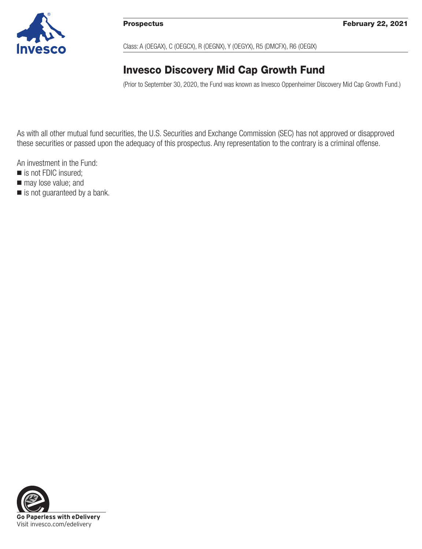

Class: A (OEGAX), C (OEGCX), R (OEGNX), Y (OEGYX), R5 (DMCFX), R6 (OEGIX)

# **Invesco Discovery Mid Cap Growth Fund**

(Prior to September 30, 2020, the Fund was known as Invesco Oppenheimer Discovery Mid Cap Growth Fund.)

As with all other mutual fund securities, the U.S. Securities and Exchange Commission (SEC) has not approved or disapproved these securities or passed upon the adequacy of this prospectus. Any representation to the contrary is a criminal offense.

An investment in the Fund:

- is not FDIC insured;
- $\blacksquare$  may lose value; and
- is not guaranteed by a bank.

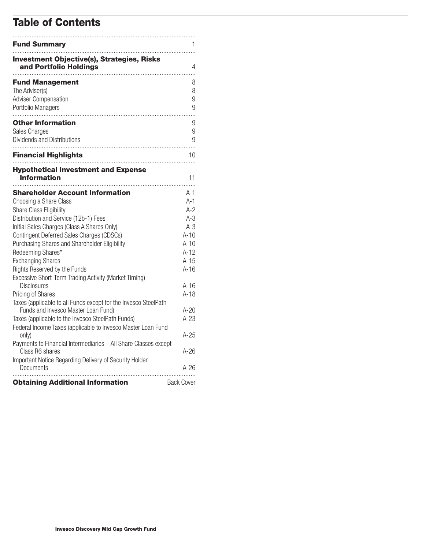# **Table of Contents**

| <b>Fund Summary</b>                                                                                                                                                                                                                                                                                                                                                                                                                                                                                                                                                                                                                                                                                                                                                                                                |                                                                                                                                                   |
|--------------------------------------------------------------------------------------------------------------------------------------------------------------------------------------------------------------------------------------------------------------------------------------------------------------------------------------------------------------------------------------------------------------------------------------------------------------------------------------------------------------------------------------------------------------------------------------------------------------------------------------------------------------------------------------------------------------------------------------------------------------------------------------------------------------------|---------------------------------------------------------------------------------------------------------------------------------------------------|
| <b>Investment Objective(s), Strategies, Risks</b><br>and Portfolio Holdings                                                                                                                                                                                                                                                                                                                                                                                                                                                                                                                                                                                                                                                                                                                                        | 4                                                                                                                                                 |
| <b>Fund Management</b><br>The Adviser(s)<br><b>Adviser Compensation</b><br>Portfolio Managers                                                                                                                                                                                                                                                                                                                                                                                                                                                                                                                                                                                                                                                                                                                      | 8<br>8<br>9<br>9                                                                                                                                  |
| <b>Other Information</b><br>Sales Charges<br>Dividends and Distributions                                                                                                                                                                                                                                                                                                                                                                                                                                                                                                                                                                                                                                                                                                                                           | 9<br>9<br>9                                                                                                                                       |
| <b>Financial Highlights</b>                                                                                                                                                                                                                                                                                                                                                                                                                                                                                                                                                                                                                                                                                                                                                                                        | 10                                                                                                                                                |
| <b>Hypothetical Investment and Expense</b><br>Information                                                                                                                                                                                                                                                                                                                                                                                                                                                                                                                                                                                                                                                                                                                                                          | 11                                                                                                                                                |
| <b>Shareholder Account Information</b><br>Choosing a Share Class<br>Share Class Eligibility<br>Distribution and Service (12b-1) Fees<br>Initial Sales Charges (Class A Shares Only)<br><b>Contingent Deferred Sales Charges (CDSCs)</b><br>Purchasing Shares and Shareholder Eligibility<br>Redeeming Shares*<br><b>Exchanging Shares</b><br>Rights Reserved by the Funds<br>Excessive Short-Term Trading Activity (Market Timing)<br><b>Disclosures</b><br><b>Pricing of Shares</b><br>Taxes (applicable to all Funds except for the Invesco SteelPath<br>Funds and Invesco Master Loan Fund)<br>Taxes (applicable to the Invesco SteelPath Funds)<br>Federal Income Taxes (applicable to Invesco Master Loan Fund<br>only)<br>Payments to Financial Intermediaries - All Share Classes except<br>Class R6 shares | A-1<br>$A-1$<br>$A-2$<br>$A-3$<br>$A-3$<br>$A-10$<br>$A-10$<br>$A-12$<br>$A-15$<br>$A-16$<br>A-16<br>$A-18$<br>$A-20$<br>$A-23$<br>A-25<br>$A-26$ |
| Important Notice Regarding Delivery of Security Holder<br>Documents                                                                                                                                                                                                                                                                                                                                                                                                                                                                                                                                                                                                                                                                                                                                                | A-26                                                                                                                                              |
| <b>Obtaining Additional Information</b>                                                                                                                                                                                                                                                                                                                                                                                                                                                                                                                                                                                                                                                                                                                                                                            | <b>Back Cover</b>                                                                                                                                 |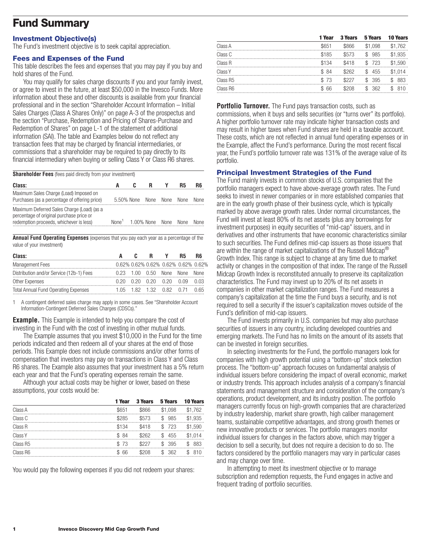# **Fund Summary**

#### **Investment Objective(s)**

The Fund's investment objective is to seek capital appreciation.

#### **Fees and Expenses of the Fund**

This table describes the fees and expenses that you may pay if you buy and hold shares of the Fund.

You may qualify for sales charge discounts if you and your family invest, or agree to invest in the future, at least \$50,000 in the Invesco Funds. More information about these and other discounts is available from your financial professional and in the section "Shareholder Account Information – Initial Sales Charges (Class A Shares Only)" on page A-3 of the prospectus and the section "Purchase, Redemption and Pricing of Shares-Purchase and Redemption of Shares" on page L-1 of the statement of additional information (SAI). The table and Examples below do not reflect any transaction fees that may be charged by financial intermediaries, or commissions that a shareholder may be required to pay directly to its financial intermediary when buying or selling Class Y or Class R6 shares.

**Shareholder Fees** (fees paid directly from your investment)

| Class:                                                                                                                            | A                                 |                 | в |      | <b>R5</b>   | R6          |
|-----------------------------------------------------------------------------------------------------------------------------------|-----------------------------------|-----------------|---|------|-------------|-------------|
| Maximum Sales Charge (Load) Imposed on<br>Purchases (as a percentage of offering price)                                           |                                   | 5.50% None None |   | None | <b>None</b> | <b>None</b> |
| Maximum Deferred Sales Charge (Load) (as a<br>percentage of original purchase price or<br>redemption proceeds, whichever is less) | None <sup>1</sup> 1.00% None None |                 |   |      | <b>None</b> | <b>None</b> |

**Annual Fund Operating Expenses** (expenses that you pay each year as a percentage of the value of your investment)

| Class:                                      |  |                                     |             |
|---------------------------------------------|--|-------------------------------------|-------------|
| Management Fees                             |  | 0.62% 0.62% 0.62% 0.62% 0.62% 0.62% |             |
| Distribution and/or Service (12b-1) Fees    |  | 0.23 1.00 0.50 None None            | <b>None</b> |
| Other Expenses                              |  | 0.20 0.20 0.20 0.20 0.09            |             |
| <b>Total Annual Fund Operating Expenses</b> |  | 1.05 1.82 1.32 0.82 0.71            | በ 65        |

1 A contingent deferred sales charge may apply in some cases. See "Shareholder Account Information-Contingent Deferred Sales Charges (CDSCs)."

**Example.** This Example is intended to help you compare the cost of investing in the Fund with the cost of investing in other mutual funds.

The Example assumes that you invest \$10,000 in the Fund for the time periods indicated and then redeem all of your shares at the end of those periods. This Example does not include commissions and/or other forms of compensation that investors may pay on transactions in Class Y and Class R6 shares. The Example also assumes that your investment has a 5% return each year and that the Fund's operating expenses remain the same.

Although your actual costs may be higher or lower, based on these assumptions, your costs would be:

| 1 Year | <b>3 Years</b> | 5 Years | <b>10 Years</b> |
|--------|----------------|---------|-----------------|
| \$651  | \$866          | \$1.098 | \$1.762         |
| \$285  | \$573          | \$985   | \$1.935         |
| \$134  | \$418          | \$723   | \$1.590         |
| \$84   | \$262          | \$455   | \$1.014         |
| \$73   | \$227          | \$395   | \$ 883          |
| \$ 66  | \$208          | \$362   | \$810           |
|        |                |         |                 |

You would pay the following expenses if you did not redeem your shares:

|          | 1 Year | <b>3 Years</b> | 5 Years   | <b>10 Years</b> |
|----------|--------|----------------|-----------|-----------------|
| Class A  | \$651  | \$866          | \$1.098   | \$1.762         |
| Class C  | \$185  | \$573          | \$985     | \$1.935         |
| Class R  | \$134  | \$418          | \$723     | \$1.590         |
| Class Y  | \$84   | \$262          | \$455     | \$1.014         |
| Class R5 | \$73   | \$227          | \$395     | 883             |
| Class R6 | \$ 66  | \$208          | 362<br>\$ | 810             |
|          |        |                |           |                 |

**Portfolio Turnover.** The Fund pays transaction costs, such as commissions, when it buys and sells securities (or "turns over" its portfolio). A higher portfolio turnover rate may indicate higher transaction costs and may result in higher taxes when Fund shares are held in a taxable account. These costs, which are not reflected in annual fund operating expenses or in the Example, affect the Fund's performance. During the most recent fiscal year, the Fund's portfolio turnover rate was 131% of the average value of its portfolio.

# **Principal Investment Strategies of the Fund**

The Fund mainly invests in common stocks of U.S. companies that the portfolio managers expect to have above-average growth rates. The Fund seeks to invest in newer companies or in more established companies that are in the early growth phase of their business cycle, which is typically marked by above average growth rates. Under normal circumstances, the Fund will invest at least 80% of its net assets (plus any borrowings for investment purposes) in equity securities of "mid-cap" issuers, and in derivatives and other instruments that have economic characteristics similar to such securities. The Fund defines mid-cap issuers as those issuers that are within the range of market capitalizations of the Russell Midcap® Growth Index. This range is subject to change at any time due to market activity or changes in the composition of that index. The range of the Russell Midcap Growth Index is reconstituted annually to preserve its capitalization characteristics. The Fund may invest up to 20% of its net assets in companies in other market capitalization ranges. The Fund measures a company's capitalization at the time the Fund buys a security, and is not required to sell a security if the issuer's capitalization moves outside of the Fund's definition of mid-cap issuers.

The Fund invests primarily in U.S. companies but may also purchase securities of issuers in any country, including developed countries and emerging markets. The Fund has no limits on the amount of its assets that can be invested in foreign securities.

In selecting investments for the Fund, the portfolio managers look for companies with high growth potential using a "bottom-up" stock selection process. The "bottom-up" approach focuses on fundamental analysis of individual issuers before considering the impact of overall economic, market or industry trends. This approach includes analysis of a company's financial statements and management structure and consideration of the company's operations, product development, and its industry position. The portfolio managers currently focus on high-growth companies that are characterized by industry leadership, market share growth, high caliber management teams, sustainable competitive advantages, and strong growth themes or new innovative products or services. The portfolio managers monitor individual issuers for changes in the factors above, which may trigger a decision to sell a security, but does not require a decision to do so. The factors considered by the portfolio managers may vary in particular cases and may change over time.

In attempting to meet its investment objective or to manage subscription and redemption requests, the Fund engages in active and frequent trading of portfolio securities.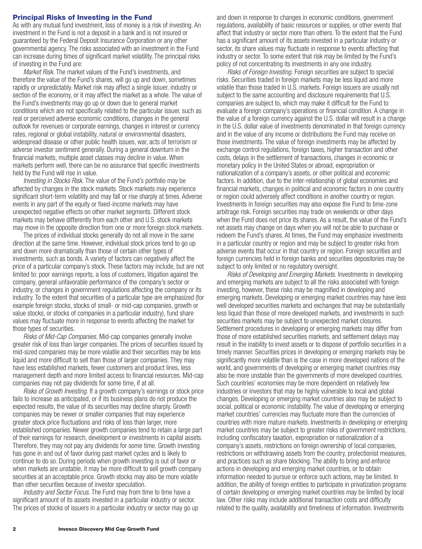#### **Principal Risks of Investing in the Fund**

As with any mutual fund investment, loss of money is a risk of investing. An investment in the Fund is not a deposit in a bank and is not insured or guaranteed by the Federal Deposit Insurance Corporation or any other governmental agency. The risks associated with an investment in the Fund can increase during times of significant market volatility. The principal risks of investing in the Fund are:

*Market Risk.* The market values of the Fund's investments, and therefore the value of the Fund's shares, will go up and down, sometimes rapidly or unpredictably. Market risk may affect a single issuer, industry or section of the economy, or it may affect the market as a whole. The value of the Fund's investments may go up or down due to general market conditions which are not specifically related to the particular issuer, such as real or perceived adverse economic conditions, changes in the general outlook for revenues or corporate earnings, changes in interest or currency rates, regional or global instability, natural or environmental disasters, widespread disease or other public health issues, war, acts of terrorism or adverse investor sentiment generally. During a general downturn in the financial markets, multiple asset classes may decline in value. When markets perform well, there can be no assurance that specific investments held by the Fund will rise in value.

*Investing in Stocks Risk.* The value of the Fund's portfolio may be affected by changes in the stock markets. Stock markets may experience significant short-term volatility and may fall or rise sharply at times. Adverse events in any part of the equity or fixed-income markets may have unexpected negative effects on other market segments. Different stock markets may behave differently from each other and U.S. stock markets may move in the opposite direction from one or more foreign stock markets.

The prices of individual stocks generally do not all move in the same direction at the same time. However, individual stock prices tend to go up and down more dramatically than those of certain other types of investments, such as bonds. A variety of factors can negatively affect the price of a particular company's stock. These factors may include, but are not limited to: poor earnings reports, a loss of customers, litigation against the company, general unfavorable performance of the company's sector or industry, or changes in government regulations affecting the company or its industry. To the extent that securities of a particular type are emphasized (for example foreign stocks, stocks of small- or mid-cap companies, growth or value stocks, or stocks of companies in a particular industry), fund share values may fluctuate more in response to events affecting the market for those types of securities.

*Risks of Mid-Cap Companies.* Mid-cap companies generally involve greater risk of loss than larger companies. The prices of securities issued by mid-sized companies may be more volatile and their securities may be less liquid and more difficult to sell than those of larger companies. They may have less established markets, fewer customers and product lines, less management depth and more limited access to financial resources. Mid-cap companies may not pay dividends for some time, if at all.

*Risks of Growth Investing.* If a growth company's earnings or stock price fails to increase as anticipated, or if its business plans do not produce the expected results, the value of its securities may decline sharply. Growth companies may be newer or smaller companies that may experience greater stock price fluctuations and risks of loss than larger, more established companies. Newer growth companies tend to retain a large part of their earnings for research, development or investments in capital assets. Therefore, they may not pay any dividends for some time. Growth investing has gone in and out of favor during past market cycles and is likely to continue to do so. During periods when growth investing is out of favor or when markets are unstable, it may be more difficult to sell growth company securities at an acceptable price. Growth stocks may also be more volatile than other securities because of investor speculation.

*Industry and Sector Focus.* The Fund may from time to time have a significant amount of its assets invested in a particular industry or sector. The prices of stocks of issuers in a particular industry or sector may go up and down in response to changes in economic conditions, government regulations, availability of basic resources or supplies, or other events that affect that industry or sector more than others. To the extent that the Fund has a significant amount of its assets invested in a particular industry or sector, its share values may fluctuate in response to events affecting that industry or sector. To some extent that risk may be limited by the Fund's policy of not concentrating its investments in any one industry.

*Risks of Foreign Investing.* Foreign securities are subject to special risks. Securities traded in foreign markets may be less liquid and more volatile than those traded in U.S. markets. Foreign issuers are usually not subject to the same accounting and disclosure requirements that U.S. companies are subject to, which may make it difficult for the Fund to evaluate a foreign company's operations or financial condition. A change in the value of a foreign currency against the U.S. dollar will result in a change in the U.S. dollar value of investments denominated in that foreign currency and in the value of any income or distributions the Fund may receive on those investments. The value of foreign investments may be affected by exchange control regulations, foreign taxes, higher transaction and other costs, delays in the settlement of transactions, changes in economic or monetary policy in the United States or abroad, expropriation or nationalization of a company's assets, or other political and economic factors. In addition, due to the inter-relationship of global economies and financial markets, changes in political and economic factors in one country or region could adversely affect conditions in another country or region. Investments in foreign securities may also expose the Fund to time-zone arbitrage risk. Foreign securities may trade on weekends or other days when the Fund does not price its shares. As a result, the value of the Fund's net assets may change on days when you will not be able to purchase or redeem the Fund's shares. At times, the Fund may emphasize investments in a particular country or region and may be subject to greater risks from adverse events that occur in that country or region. Foreign securities and foreign currencies held in foreign banks and securities depositories may be subject to only limited or no regulatory oversight.

*Risks of Developing and Emerging Markets.* Investments in developing and emerging markets are subject to all the risks associated with foreign investing, however, these risks may be magnified in developing and emerging markets. Developing or emerging market countries may have less well developed securities markets and exchanges that may be substantially less liquid than those of more developed markets, and investments in such securities markets may be subject to unexpected market closures. Settlement procedures in developing or emerging markets may differ from those of more established securities markets, and settlement delays may result in the inability to invest assets or to dispose of portfolio securities in a timely manner. Securities prices in developing or emerging markets may be significantly more volatile than is the case in more developed nations of the world, and governments of developing or emerging market countries may also be more unstable than the governments of more developed countries. Such countries' economies may be more dependent on relatively few industries or investors that may be highly vulnerable to local and global changes. Developing or emerging market countries also may be subject to social, political or economic instability. The value of developing or emerging market countries' currencies may fluctuate more than the currencies of countries with more mature markets. Investments in developing or emerging market countries may be subject to greater risks of government restrictions, including confiscatory taxation, expropriation or nationalization of a company's assets, restrictions on foreign ownership of local companies, restrictions on withdrawing assets from the country, protectionist measures, and practices such as share blocking. The ability to bring and enforce actions in developing and emerging market countries, or to obtain information needed to pursue or enforce such actions, may be limited. In addition, the ability of foreign entities to participate in privatization programs of certain developing or emerging market countries may be limited by local law. Other risks may include additional transaction costs and difficulty related to the quality, availability and timeliness of information. Investments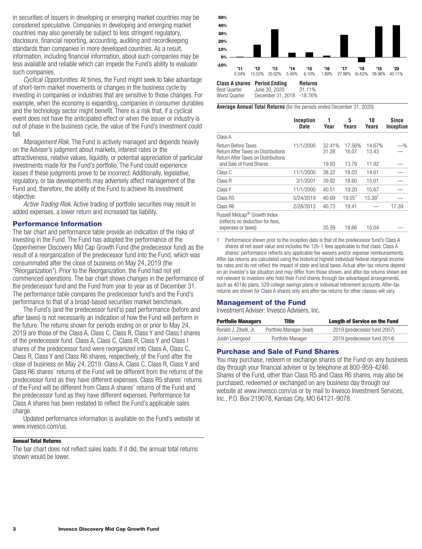in securities of issuers in developing or emerging market countries may be considered speculative. Companies in developing and emerging market countries may also generally be subject to less stringent regulatory, disclosure, financial reporting, accounting, auditing and recordkeeping standards than companies in more developed countries. As a result, information, including financial information, about such companies may be less available and reliable which can impede the Fund's ability to evaluate such companies.

*Cyclical Opportunities.* At times, the Fund might seek to take advantage of short-term market movements or changes in the business cycle by investing in companies or industries that are sensitive to those changes. For example, when the economy is expanding, companies in consumer durables and the technology sector might benefit. There is a risk that, if a cyclical event does not have the anticipated effect or when the issuer or industry is out of phase in the business cycle, the value of the Fund's investment could fall.

*Management Risk.* The Fund is actively managed and depends heavily on the Adviser's judgment about markets, interest rates or the attractiveness, relative values, liquidity, or potential appreciation of particular investments made for the Fund's portfolio. The Fund could experience losses if these judgments prove to be incorrect. Additionally, legislative, regulatory, or tax developments may adversely affect management of the Fund and, therefore, the ability of the Fund to achieve its investment objective.

*Active Trading Risk.* Active trading of portfolio securities may result in added expenses, a lower return and increased tax liability.

#### **Performance Information**

The bar chart and performance table provide an indication of the risks of investing in the Fund. The Fund has adopted the performance of the Oppenheimer Discovery Mid Cap Growth Fund (the predecessor fund) as the result of a reorganization of the predecessor fund into the Fund, which was consummated after the close of business on May 24, 2019 (the "Reorganization"). Prior to the Reorganization, the Fund had not yet commenced operations. The bar chart shows changes in the performance of the predecessor fund and the Fund from year to year as of December 31. The performance table compares the predecessor fund's and the Fund's performance to that of a broad-based securities market benchmark.

The Fund's (and the predecessor fund's) past performance (before and after taxes) is not necessarily an indication of how the Fund will perform in the future. The returns shown for periods ending on or prior to May 24, 2019 are those of the Class A, Class C, Class R, Class Y and Class I shares of the predecessor fund. Class A, Class C, Class R, Class Y and Class I shares of the predecessor fund were reorganized into Class A, Class C, Class R, Class Y and Class R6 shares, respectively, of the Fund after the close of business on May 24, 2019. Class A, Class C, Class R, Class Y and Class R6 shares' returns of the Fund will be different from the returns of the predecessor fund as they have different expenses. Class R5 shares' returns of the Fund will be different from Class A shares' returns of the Fund and the predecessor fund as they have different expenses. Performance for Class A shares has been restated to reflect the Fund's applicable sales charge.

Updated performance information is available on the Fund's website at www.invesco.com/us.

#### **Annual Total Returns**

The bar chart does not reflect sales loads. If it did, the annual total returns shown would be lower.



**Average Annual Total Returns** (for the periods ended December 31, 2020)

|                                                                              | Inception<br><b>Date</b> | 1<br>Year | 5<br>Years         | 10<br><b>Years</b> | Since<br>Inception |
|------------------------------------------------------------------------------|--------------------------|-----------|--------------------|--------------------|--------------------|
|                                                                              |                          |           |                    |                    |                    |
| Class A                                                                      |                          |           |                    |                    |                    |
| Return Before Taxes                                                          | 11/1/2000                | 32.41%    | 17.56%             | 14.67%             | $-$ %              |
| Return After Taxes on Distributions                                          |                          | 31.28     | 16.07              | 13.43              |                    |
| Return After Taxes on Distributions<br>and Sale of Fund Shares               |                          | 19.93     | 13.79              | 11.92              |                    |
| Class C                                                                      | 11/1/2000                | 38.22     | 18.03              | 14.61              |                    |
| Class R                                                                      | 3/1/2001                 | 39.82     | 18.60              | 15.01              |                    |
| Class Y                                                                      | 11/1/2000                | 40.51     | 19.20              | 15.67              |                    |
| Class R5                                                                     | 5/24/2019                | 40.69     | 19.05 <sup>1</sup> | 15.39 <sup>1</sup> |                    |
| Class R6                                                                     | 2/28/2013                | 40.73     | 19.41              |                    | 17.39              |
| Russell Midcap <sup>®</sup> Growth Index<br>(reflects no deduction for fees, |                          |           |                    |                    |                    |
| expenses or taxes)                                                           |                          | 35.59     | 18.66              | 15.04              |                    |

1 Performance shown prior to the inception date is that of the predecessor fund's Class A shares at net asset value and includes the 12b-1 fees applicable to that class. Class A

shares' performance reflects any applicable fee waivers and/or expense reimbursements. After-tax returns are calculated using the historical highest individual federal marginal income tax rates and do not reflect the impact of state and local taxes. Actual after-tax returns depend on an investor's tax situation and may differ from those shown, and after-tax returns shown are not relevant to investors who hold their Fund shares through tax-advantaged arrangements, such as 401(k) plans, 529 college savings plans or individual retirement accounts. After-tax returns are shown for Class A shares only and after-tax returns for other classes will vary.

#### **Management of the Fund**

Investment Adviser: Invesco Advisers, Inc.

| <b>Portfolio Managers</b> | Title                    | <b>Length of Service on the Fund</b> |
|---------------------------|--------------------------|--------------------------------------|
| Ronald J. Zibelli, Jr.    | Portfolio Manager (lead) | 2019 (predecessor fund 2007)         |
| Justin Livengood          | Portfolio Manager        | 2019 (predecessor fund 2014)         |

#### **Purchase and Sale of Fund Shares**

You may purchase, redeem or exchange shares of the Fund on any business day through your financial adviser or by telephone at 800-959-4246. Shares of the Fund, other than Class R5 and Class R6 shares, may also be purchased, redeemed or exchanged on any business day through our website at www.invesco.com/us or by mail to Invesco Investment Services, Inc., P.O. Box 219078, Kansas City, MO 64121-9078.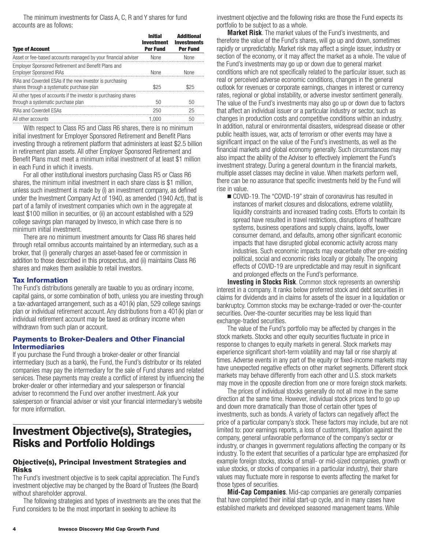The minimum investments for Class A, C, R and Y shares for fund accounts are as follows:

| <b>Type of Account</b>                                                                                 | <b>Initial</b><br><b>Investment</b><br><b>Per Fund</b> | <b>Additional</b><br><b>Investments</b><br><b>Per Fund</b> |
|--------------------------------------------------------------------------------------------------------|--------------------------------------------------------|------------------------------------------------------------|
| Asset or fee-based accounts managed by your financial adviser                                          | None                                                   | None                                                       |
| Employer Sponsored Retirement and Benefit Plans and<br><b>Employer Sponsored IRAs</b>                  | None                                                   | None                                                       |
| IRAs and Coverdell ESAs if the new investor is purchasing<br>shares through a systematic purchase plan | \$25                                                   | \$25                                                       |
| All other types of accounts if the investor is purchasing shares<br>through a systematic purchase plan | 50                                                     | 50                                                         |
| <b>IRAs and Coverdell ESAs</b>                                                                         | 250                                                    | 25                                                         |
| All other accounts                                                                                     | 1.000                                                  | 50                                                         |
|                                                                                                        |                                                        |                                                            |

With respect to Class R5 and Class R6 shares, there is no minimum initial investment for Employer Sponsored Retirement and Benefit Plans investing through a retirement platform that administers at least \$2.5 billion in retirement plan assets. All other Employer Sponsored Retirement and Benefit Plans must meet a minimum initial investment of at least \$1 million in each Fund in which it invests.

For all other institutional investors purchasing Class R5 or Class R6 shares, the minimum initial investment in each share class is \$1 million, unless such investment is made by (i) an investment company, as defined under the Investment Company Act of 1940, as amended (1940 Act), that is part of a family of investment companies which own in the aggregate at least \$100 million in securities, or (ii) an account established with a 529 college savings plan managed by Invesco, in which case there is no minimum initial investment.

There are no minimum investment amounts for Class R6 shares held through retail omnibus accounts maintained by an intermediary, such as a broker, that (i) generally charges an asset-based fee or commission in addition to those described in this prospectus, and (ii) maintains Class R6 shares and makes them available to retail investors.

#### **Tax Information**

The Fund's distributions generally are taxable to you as ordinary income, capital gains, or some combination of both, unless you are investing through a tax-advantaged arrangement, such as a 401(k) plan, 529 college savings plan or individual retirement account. Any distributions from a 401(k) plan or individual retirement account may be taxed as ordinary income when withdrawn from such plan or account.

#### **Payments to Broker-Dealers and Other Financial Intermediaries**

If you purchase the Fund through a broker-dealer or other financial intermediary (such as a bank), the Fund, the Fund's distributor or its related companies may pay the intermediary for the sale of Fund shares and related services. These payments may create a conflict of interest by influencing the broker-dealer or other intermediary and your salesperson or financial adviser to recommend the Fund over another investment. Ask your salesperson or financial adviser or visit your financial intermediary's website for more information.

# **Investment Objective(s), Strategies, Risks and Portfolio Holdings**

#### **Objective(s), Principal Investment Strategies and Risks**

The Fund's investment objective is to seek capital appreciation. The Fund's investment objective may be changed by the Board of Trustees (the Board) without shareholder approval.

The following strategies and types of investments are the ones that the Fund considers to be the most important in seeking to achieve its

investment objective and the following risks are those the Fund expects its portfolio to be subject to as a whole.

**Market Risk***.* The market values of the Fund's investments, and therefore the value of the Fund's shares, will go up and down, sometimes rapidly or unpredictably. Market risk may affect a single issuer, industry or section of the economy, or it may affect the market as a whole. The value of the Fund's investments may go up or down due to general market conditions which are not specifically related to the particular issuer, such as real or perceived adverse economic conditions, changes in the general outlook for revenues or corporate earnings, changes in interest or currency rates, regional or global instability, or adverse investor sentiment generally. The value of the Fund's investments may also go up or down due to factors that affect an individual issuer or a particular industry or sector, such as changes in production costs and competitive conditions within an industry. In addition, natural or environmental disasters, widespread disease or other public health issues, war, acts of terrorism or other events may have a significant impact on the value of the Fund's investments, as well as the financial markets and global economy generally. Such circumstances may also impact the ability of the Adviser to effectively implement the Fund's investment strategy. During a general downturn in the financial markets, multiple asset classes may decline in value. When markets perform well, there can be no assurance that specific investments held by the Fund will rise in value.

■ COVID-19. The "COVID-19" strain of coronavirus has resulted in instances of market closures and dislocations, extreme volatility, liquidity constraints and increased trading costs. Efforts to contain its spread have resulted in travel restrictions, disruptions of healthcare systems, business operations and supply chains, layoffs, lower consumer demand, and defaults, among other significant economic impacts that have disrupted global economic activity across many industries. Such economic impacts may exacerbate other pre-existing political, social and economic risks locally or globally. The ongoing effects of COVID-19 are unpredictable and may result in significant and prolonged effects on the Fund's performance.

**Investing in Stocks Risk**. Common stock represents an ownership interest in a company. It ranks below preferred stock and debt securities in claims for dividends and in claims for assets of the issuer in a liquidation or bankruptcy. Common stocks may be exchange-traded or over-the-counter securities. Over-the-counter securities may be less liquid than exchange-traded securities.

The value of the Fund's portfolio may be affected by changes in the stock markets. Stocks and other equity securities fluctuate in price in response to changes to equity markets in general. Stock markets may experience significant short-term volatility and may fall or rise sharply at times. Adverse events in any part of the equity or fixed-income markets may have unexpected negative effects on other market segments. Different stock markets may behave differently from each other and U.S. stock markets may move in the opposite direction from one or more foreign stock markets.

The prices of individual stocks generally do not all move in the same direction at the same time. However, individual stock prices tend to go up and down more dramatically than those of certain other types of investments, such as bonds. A variety of factors can negatively affect the price of a particular company's stock. These factors may include, but are not limited to: poor earnings reports, a loss of customers, litigation against the company, general unfavorable performance of the company's sector or industry, or changes in government regulations affecting the company or its industry. To the extent that securities of a particular type are emphasized (for example foreign stocks, stocks of small- or mid-sized companies, growth or value stocks, or stocks of companies in a particular industry), their share values may fluctuate more in response to events affecting the market for those types of securities.

**Mid-Cap Companies**. Mid-cap companies are generally companies that have completed their initial start-up cycle, and in many cases have established markets and developed seasoned management teams. While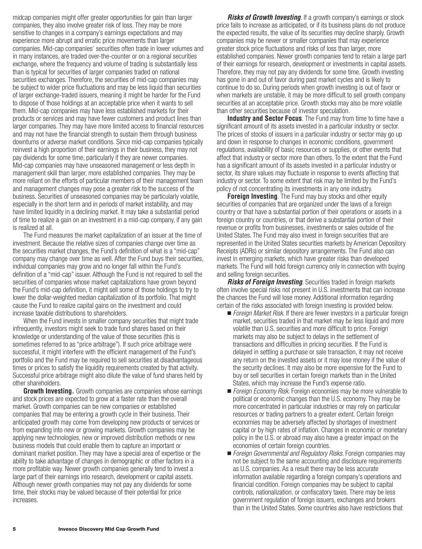midcap companies might offer greater opportunities for gain than larger companies, they also involve greater risk of loss. They may be more sensitive to changes in a company's earnings expectations and may experience more abrupt and erratic price movements than larger companies. Mid-cap companies' securities often trade in lower volumes and in many instances, are traded over-the-counter or on a regional securities exchange, where the frequency and volume of trading is substantially less than is typical for securities of larger companies traded on national securities exchanges. Therefore, the securities of mid-cap companies may be subject to wider price fluctuations and may be less liquid than securities of larger exchange-traded issuers, meaning it might be harder for the Fund to dispose of those holdings at an acceptable price when it wants to sell them. Mid-cap companies may have less established markets for their products or services and may have fewer customers and product lines than larger companies. They may have more limited access to financial resources and may not have the financial strength to sustain them through business downturns or adverse market conditions. Since mid-cap companies typically reinvest a high proportion of their earnings in their business, they may not pay dividends for some time, particularly if they are newer companies. Mid-cap companies may have unseasoned management or less depth in management skill than larger, more established companies. They may be more reliant on the efforts of particular members of their management team and management changes may pose a greater risk to the success of the business. Securities of unseasoned companies may be particularly volatile, especially in the short term and in periods of market instability, and may have limited liquidity in a declining market. It may take a substantial period of time to realize a gain on an investment in a mid-cap company, if any gain is realized at all.

The Fund measures the market capitalization of an issuer at the time of investment. Because the relative sizes of companies change over time as the securities market changes, the Fund's definition of what is a "mid-cap" company may change over time as well. After the Fund buys their securities, individual companies may grow and no longer fall within the Fund's definition of a "mid-cap" issuer. Although the Fund is not required to sell the securities of companies whose market capitalizations have grown beyond the Fund's mid-cap definition, it might sell some of those holdings to try to lower the dollar-weighted median capitalization of its portfolio. That might cause the Fund to realize capital gains on the investment and could increase taxable distributions to shareholders.

When the Fund invests in smaller company securities that might trade infrequently, investors might seek to trade fund shares based on their knowledge or understanding of the value of those securities (this is sometimes referred to as "price arbitrage"). If such price arbitrage were successful, it might interfere with the efficient management of the Fund's portfolio and the Fund may be required to sell securities at disadvantageous times or prices to satisfy the liquidity requirements created by that activity. Successful price arbitrage might also dilute the value of fund shares held by other shareholders.

**Growth Investing.** Growth companies are companies whose earnings and stock prices are expected to grow at a faster rate than the overall market. Growth companies can be new companies or established companies that may be entering a growth cycle in their business. Their anticipated growth may come from developing new products or services or from expanding into new or growing markets. Growth companies may be applying new technologies, new or improved distribution methods or new business models that could enable them to capture an important or dominant market position. They may have a special area of expertise or the ability to take advantage of changes in demographic or other factors in a more profitable way. Newer growth companies generally tend to invest a large part of their earnings into research, development or capital assets. Although newer growth companies may not pay any dividends for some time, their stocks may be valued because of their potential for price increases.

*Risks of Growth Investing.* If a growth company's earnings or stock price fails to increase as anticipated, or if its business plans do not produce the expected results, the value of its securities may decline sharply. Growth companies may be newer or smaller companies that may experience greater stock price fluctuations and risks of loss than larger, more established companies. Newer growth companies tend to retain a large part of their earnings for research, development or investments in capital assets. Therefore, they may not pay any dividends for some time. Growth investing has gone in and out of favor during past market cycles and is likely to continue to do so. During periods when growth investing is out of favor or when markets are unstable, it may be more difficult to sell growth company securities at an acceptable price. Growth stocks may also be more volatile than other securities because of investor speculation.

**Industry and Sector Focus**. The Fund may from time to time have a significant amount of its assets invested in a particular industry or sector. The prices of stocks of issuers in a particular industry or sector may go up and down in response to changes in economic conditions, government regulations, availability of basic resources or supplies, or other events that affect that industry or sector more than others. To the extent that the Fund has a significant amount of its assets invested in a particular industry or sector, its share values may fluctuate in response to events affecting that industry or sector. To some extent that risk may be limited by the Fund's policy of not concentrating its investments in any one industry.

**Foreign Investing***.* The Fund may buy stocks and other equity securities of companies that are organized under the laws of a foreign country or that have a substantial portion of their operations or assets in a foreign country or countries, or that derive a substantial portion of their revenue or profits from businesses, investments or sales outside of the United States. The Fund may also invest in foreign securities that are represented in the United States securities markets by American Depository Receipts (ADRs) or similar depository arrangements. The Fund also can invest in emerging markets, which have greater risks than developed markets. The Fund will hold foreign currency only in connection with buying and selling foreign securities.

*Risks of Foreign Investing.* Securities traded in foreign markets often involve special risks not present in U.S. investments that can increase the chances the Fund will lose money. Additional information regarding certain of the risks associated with foreign investing is provided below.

- *Foreign Market Risk*. If there are fewer investors in a particular foreign market, securities traded in that market may be less liquid and more volatile than U.S. securities and more difficult to price. Foreign markets may also be subject to delays in the settlement of transactions and difficulties in pricing securities. If the Fund is delayed in settling a purchase or sale transaction, it may not receive any return on the invested assets or it may lose money if the value of the security declines. It may also be more expensive for the Fund to buy or sell securities in certain foreign markets than in the United States, which may increase the Fund's expense ratio.
- *Foreign Economy Risk*. Foreign economies may be more vulnerable to political or economic changes than the U.S. economy. They may be more concentrated in particular industries or may rely on particular resources or trading partners to a greater extent. Certain foreign economies may be adversely affected by shortages of investment capital or by high rates of inflation. Changes in economic or monetary policy in the U.S. or abroad may also have a greater impact on the economies of certain foreign countries.
- *Foreign Governmental and Regulatory Risks*. Foreign companies may not be subject to the same accounting and disclosure requirements as U.S. companies. As a result there may be less accurate information available regarding a foreign company's operations and financial condition. Foreign companies may be subject to capital controls, nationalization, or confiscatory taxes. There may be less government regulation of foreign issuers, exchanges and brokers than in the United States. Some countries also have restrictions that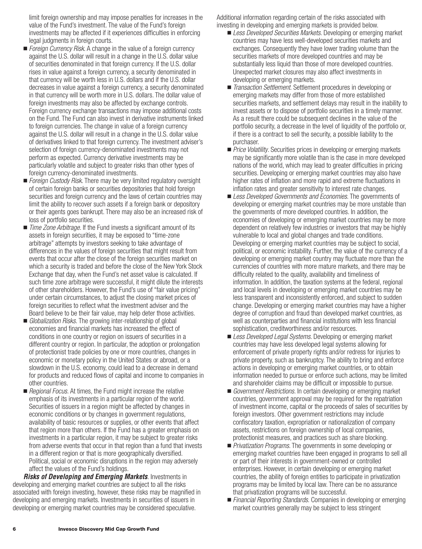limit foreign ownership and may impose penalties for increases in the value of the Fund's investment. The value of the Fund's foreign investments may be affected if it experiences difficulties in enforcing legal judgments in foreign courts.

- *Foreign Currency Risk*. A change in the value of a foreign currency against the U.S. dollar will result in a change in the U.S. dollar value of securities denominated in that foreign currency. If the U.S. dollar rises in value against a foreign currency, a security denominated in that currency will be worth less in U.S. dollars and if the U.S. dollar decreases in value against a foreign currency, a security denominated in that currency will be worth more in U.S. dollars. The dollar value of foreign investments may also be affected by exchange controls. Foreign currency exchange transactions may impose additional costs on the Fund. The Fund can also invest in derivative instruments linked to foreign currencies. The change in value of a foreign currency against the U.S. dollar will result in a change in the U.S. dollar value of derivatives linked to that foreign currency. The investment adviser's selection of foreign currency-denominated investments may not perform as expected. Currency derivative investments may be particularly volatile and subject to greater risks than other types of foreign currency-denominated investments.
- *Foreign Custody Risk*. There may be very limited regulatory oversight of certain foreign banks or securities depositories that hold foreign securities and foreign currency and the laws of certain countries may limit the ability to recover such assets if a foreign bank or depository or their agents goes bankrupt. There may also be an increased risk of loss of portfolio securities.
- *Time Zone Arbitrage.* If the Fund invests a significant amount of its assets in foreign securities, it may be exposed to "time-zone arbitrage" attempts by investors seeking to take advantage of differences in the values of foreign securities that might result from events that occur after the close of the foreign securities market on which a security is traded and before the close of the New York Stock Exchange that day, when the Fund's net asset value is calculated. If such time zone arbitrage were successful, it might dilute the interests of other shareholders. However, the Fund's use of "fair value pricing" under certain circumstances, to adjust the closing market prices of foreign securities to reflect what the investment adviser and the Board believe to be their fair value, may help deter those activities.
- *Globalization Risks.* The growing inter-relationship of global economies and financial markets has increased the effect of conditions in one country or region on issuers of securities in a different country or region. In particular, the adoption or prolongation of protectionist trade policies by one or more countries, changes in economic or monetary policy in the United States or abroad, or a slowdown in the U.S. economy, could lead to a decrease in demand for products and reduced flows of capital and income to companies in other countries.
- *Regional Focus.* At times, the Fund might increase the relative emphasis of its investments in a particular region of the world. Securities of issuers in a region might be affected by changes in economic conditions or by changes in government regulations, availability of basic resources or supplies, or other events that affect that region more than others. If the Fund has a greater emphasis on investments in a particular region, it may be subject to greater risks from adverse events that occur in that region than a fund that invests in a different region or that is more geographically diversified. Political, social or economic disruptions in the region may adversely affect the values of the Fund's holdings.

*Risks of Developing and Emerging Markets*. Investments in developing and emerging market countries are subject to all the risks associated with foreign investing, however, these risks may be magnified in developing and emerging markets. Investments in securities of issuers in developing or emerging market countries may be considered speculative.

Additional information regarding certain of the risks associated with investing in developing and emerging markets is provided below.

- Less Developed Securities Markets. Developing or emerging market countries may have less well-developed securities markets and exchanges. Consequently they have lower trading volume than the securities markets of more developed countries and may be substantially less liquid than those of more developed countries. Unexpected market closures may also affect investments in developing or emerging markets.
- *Transaction Settlement*. Settlement procedures in developing or emerging markets may differ from those of more established securities markets, and settlement delays may result in the inability to invest assets or to dispose of portfolio securities in a timely manner. As a result there could be subsequent declines in the value of the portfolio security, a decrease in the level of liquidity of the portfolio or, if there is a contract to sell the security, a possible liability to the purchaser.
- *Price Volatility*. Securities prices in developing or emerging markets may be significantly more volatile than is the case in more developed nations of the world, which may lead to greater difficulties in pricing securities. Developing or emerging market countries may also have higher rates of inflation and more rapid and extreme fluctuations in inflation rates and greater sensitivity to interest rate changes.
- *Less Developed Governments and Economies*. The governments of developing or emerging market countries may be more unstable than the governments of more developed countries. In addition, the economies of developing or emerging market countries may be more dependent on relatively few industries or investors that may be highly vulnerable to local and global changes and trade conditions. Developing or emerging market countries may be subject to social, political, or economic instability. Further, the value of the currency of a developing or emerging market country may fluctuate more than the currencies of countries with more mature markets, and there may be difficulty related to the quality, availability and timeliness of information. In addition, the taxation systems at the federal, regional and local levels in developing or emerging market countries may be less transparent and inconsistently enforced, and subject to sudden change. Developing or emerging market countries may have a higher degree of corruption and fraud than developed market countries, as well as counterparties and financial institutions with less financial sophistication, creditworthiness and/or resources.
- Less Developed Legal Systems. Developing or emerging market countries may have less developed legal systems allowing for enforcement of private property rights and/or redress for injuries to private property, such as bankruptcy. The ability to bring and enforce actions in developing or emerging market countries, or to obtain information needed to pursue or enforce such actions, may be limited and shareholder claims may be difficult or impossible to pursue.
- *Government Restrictions*. In certain developing or emerging market countries, government approval may be required for the repatriation of investment income, capital or the proceeds of sales of securities by foreign investors. Other government restrictions may include confiscatory taxation, expropriation or nationalization of company assets, restrictions on foreign ownership of local companies, protectionist measures, and practices such as share blocking.
- *Privatization Programs*. The governments in some developing or emerging market countries have been engaged in programs to sell all or part of their interests in government-owned or controlled enterprises. However, in certain developing or emerging market countries, the ability of foreign entities to participate in privatization programs may be limited by local law. There can be no assurance that privatization programs will be successful.
- Financial Reporting Standards. Companies in developing or emerging market countries generally may be subject to less stringent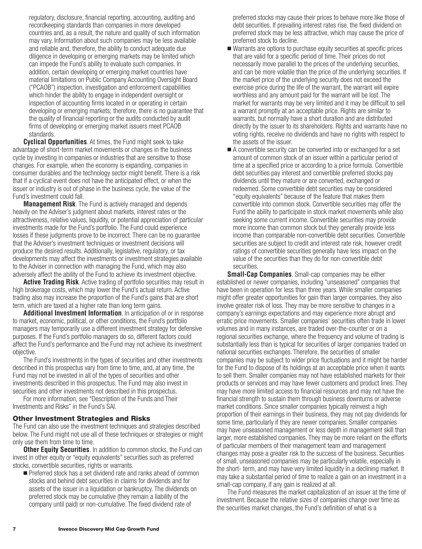regulatory, disclosure, financial reporting, accounting, auditing and recordkeeping standards than companies in more developed countries and, as a result, the nature and quality of such information may vary. Information about such companies may be less available and reliable and, therefore, the ability to conduct adequate due diligence in developing or emerging markets may be limited which can impede the Fund's ability to evaluate such companies. In addition, certain developing or emerging market countries have material limitations on Public Company Accounting Oversight Board ("PCAOB") inspection, investigation and enforcement capabilities which hinder the ability to engage in independent oversight or inspection of accounting firms located in or operating in certain developing or emerging markets; therefore, there is no guarantee that the quality of financial reporting or the audits conducted by audit firms of developing or emerging market issuers meet PCAOB standards.

**Cyclical Opportunities**. At times, the Fund might seek to take advantage of short-term market movements or changes in the business cycle by investing in companies or industries that are sensitive to those changes. For example, when the economy is expanding, companies in consumer durables and the technology sector might benefit. There is a risk that if a cyclical event does not have the anticipated effect, or when the issuer or industry is out of phase in the business cycle, the value of the Fund's investment could fall.

**Management Risk***.* The Fund is actively managed and depends heavily on the Adviser's judgment about markets, interest rates or the attractiveness, relative values, liquidity, or potential appreciation of particular investments made for the Fund's portfolio. The Fund could experience losses if these judgments prove to be incorrect. There can be no guarantee that the Adviser's investment techniques or investment decisions will produce the desired results. Additionally, legislative, regulatory, or tax developments may affect the investments or investment strategies available to the Adviser in connection with managing the Fund, which may also adversely affect the ability of the Fund to achieve its investment objective.

**Active Trading Risk***.* Active trading of portfolio securities may result in high brokerage costs, which may lower the Fund's actual return. Active trading also may increase the proportion of the Fund's gains that are short term, which are taxed at a higher rate than long term gains.

**Additional Investment Information**. In anticipation of or in response to market, economic, political, or other conditions, the Fund's portfolio managers may temporarily use a different investment strategy for defensive purposes. If the Fund's portfolio managers do so, different factors could affect the Fund's performance and the Fund may not achieve its investment objective.

The Fund's investments in the types of securities and other investments described in this prospectus vary from time to time, and, at any time, the Fund may not be invested in all of the types of securities and other investments described in this prospectus. The Fund may also invest in securities and other investments not described in this prospectus.

For more information, see "Description of the Funds and Their Investments and Risks" in the Fund's SAI.

#### **Other Investment Strategies and Risks**

The Fund can also use the investment techniques and strategies described below. The Fund might not use all of these techniques or strategies or might only use them from time to time.

**Other Equity Securities***.* In addition to common stocks, the Fund can invest in other equity or "equity equivalents" securities such as preferred stocks, convertible securities, rights or warrants.

**Preferred stock has a set dividend rate and ranks ahead of common** stocks and behind debt securities in claims for dividends and for assets of the issuer in a liquidation or bankruptcy. The dividends on preferred stock may be cumulative (they remain a liability of the company until paid) or non-cumulative. The fixed dividend rate of

preferred stocks may cause their prices to behave more like those of debt securities. If prevailing interest rates rise, the fixed dividend on preferred stock may be less attractive, which may cause the price of preferred stock to decline*.*

- Warrants are options to purchase equity securities at specific prices that are valid for a specific period of time. Their prices do not necessarily move parallel to the prices of the underlying securities, and can be more volatile than the price of the underlying securities. If the market price of the underlying security does not exceed the exercise price during the life of the warrant, the warrant will expire worthless and any amount paid for the warrant will be lost. The market for warrants may be very limited and it may be difficult to sell a warrant promptly at an acceptable price. Rights are similar to warrants, but normally have a short duration and are distributed directly by the issuer to its shareholders. Rights and warrants have no voting rights, receive no dividends and have no rights with respect to the assets of the issuer.
- A convertible security can be converted into or exchanged for a set amount of common stock of an issuer within a particular period of time at a specified price or according to a price formula. Convertible debt securities pay interest and convertible preferred stocks pay dividends until they mature or are converted, exchanged or redeemed. Some convertible debt securities may be considered "equity equivalents" because of the feature that makes them convertible into common stock. Convertible securities may offer the Fund the ability to participate in stock market movements while also seeking some current income. Convertible securities may provide more income than common stock but they generally provide less income than comparable non-convertible debt securities. Convertible securities are subject to credit and interest rate risk, however credit ratings of convertible securities generally have less impact on the value of the securities than they do for non-convertible debt securities.

**Small-Cap Companies**. Small-cap companies may be either established or newer companies, including "unseasoned" companies that have been in operation for less than three years. While smaller companies might offer greater opportunities for gain than larger companies, they also involve greater risk of loss. They may be more sensitive to changes in a company's earnings expectations and may experience more abrupt and erratic price movements. Smaller companies' securities often trade in lower volumes and in many instances, are traded over-the-counter or on a regional securities exchange, where the frequency and volume of trading is substantially less than is typical for securities of larger companies traded on national securities exchanges. Therefore, the securities of smaller companies may be subject to wider price fluctuations and it might be harder for the Fund to dispose of its holdings at an acceptable price when it wants to sell them. Smaller companies may not have established markets for their products or services and may have fewer customers and product lines. They may have more limited access to financial resources and may not have the financial strength to sustain them through business downturns or adverse market conditions. Since smaller companies typically reinvest a high proportion of their earnings in their business, they may not pay dividends for some time, particularly if they are newer companies. Smaller companies may have unseasoned management or less depth in management skill than larger, more established companies. They may be more reliant on the efforts of particular members of their management team and management changes may pose a greater risk to the success of the business. Securities of small, unseasoned companies may be particularly volatile, especially in the short- term, and may have very limited liquidity in a declining market. It may take a substantial period of time to realize a gain on an investment in a small-cap company, if any gain is realized at all.

The Fund measures the market capitalization of an issuer at the time of investment. Because the relative sizes of companies change over time as the securities market changes, the Fund's definition of what is a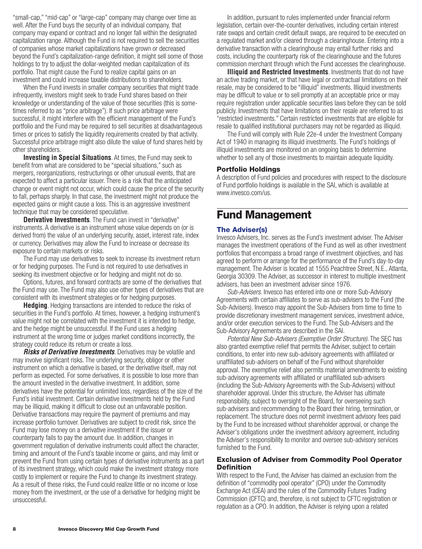"small-cap," "mid-cap" or "large-cap" company may change over time as well. After the Fund buys the security of an individual company, that company may expand or contract and no longer fall within the designated capitalization range. Although the Fund is not required to sell the securities of companies whose market capitalizations have grown or decreased beyond the Fund's capitalization-range definition, it might sell some of those holdings to try to adjust the dollar-weighted median capitalization of its portfolio. That might cause the Fund to realize capital gains on an investment and could increase taxable distributions to shareholders.

When the Fund invests in smaller company securities that might trade infrequently, investors might seek to trade Fund shares based on their knowledge or understanding of the value of those securities (this is sometimes referred to as "price arbitrage"). If such price arbitrage were successful, it might interfere with the efficient management of the Fund's portfolio and the Fund may be required to sell securities at disadvantageous times or prices to satisfy the liquidity requirements created by that activity. Successful price arbitrage might also dilute the value of fund shares held by other shareholders.

**Investing in Special Situations**. At times, the Fund may seek to benefit from what are considered to be "special situations," such as mergers, reorganizations, restructurings or other unusual events, that are expected to affect a particular issuer. There is a risk that the anticipated change or event might not occur, which could cause the price of the security to fall, perhaps sharply. In that case, the investment might not produce the expected gains or might cause a loss. This is an aggressive investment technique that may be considered speculative.

**Derivative Investments**. The Fund can invest in "derivative" instruments. A derivative is an instrument whose value depends on (or is derived from) the value of an underlying security, asset, interest rate, index or currency. Derivatives may allow the Fund to increase or decrease its exposure to certain markets or risks.

The Fund may use derivatives to seek to increase its investment return or for hedging purposes. The Fund is not required to use derivatives in seeking its investment objective or for hedging and might not do so.

Options, futures, and forward contracts are some of the derivatives that the Fund may use. The Fund may also use other types of derivatives that are consistent with its investment strategies or for hedging purposes.

**Hedging**. Hedging transactions are intended to reduce the risks of securities in the Fund's portfolio. At times, however, a hedging instrument's value might not be correlated with the investment it is intended to hedge, and the hedge might be unsuccessful. If the Fund uses a hedging instrument at the wrong time or judges market conditions incorrectly, the strategy could reduce its return or create a loss.

*Risks of Derivative Investments*. Derivatives may be volatile and may involve significant risks. The underlying security, obligor or other instrument on which a derivative is based, or the derivative itself, may not perform as expected. For some derivatives, it is possible to lose more than the amount invested in the derivative investment. In addition, some derivatives have the potential for unlimited loss, regardless of the size of the Fund's initial investment. Certain derivative investments held by the Fund may be illiquid, making it difficult to close out an unfavorable position. Derivative transactions may require the payment of premiums and may increase portfolio turnover. Derivatives are subject to credit risk, since the Fund may lose money on a derivative investment if the issuer or counterparty fails to pay the amount due. In addition, changes in government regulation of derivative instruments could affect the character, timing and amount of the Fund's taxable income or gains, and may limit or prevent the Fund from using certain types of derivative instruments as a part of its investment strategy, which could make the investment strategy more costly to implement or require the Fund to change its investment strategy. As a result of these risks, the Fund could realize little or no income or lose money from the investment, or the use of a derivative for hedging might be unsuccessful.

In addition, pursuant to rules implemented under financial reform legislation, certain over-the-counter derivatives, including certain interest rate swaps and certain credit default swaps, are required to be executed on a regulated market and/or cleared through a clearinghouse. Entering into a derivative transaction with a clearinghouse may entail further risks and costs, including the counterparty risk of the clearinghouse and the futures commission merchant through which the Fund accesses the clearinghouse.

**Illiquid and Restricted Investments**. Investments that do not have an active trading market, or that have legal or contractual limitations on their resale, may be considered to be "illiquid" investments. Illiquid investments may be difficult to value or to sell promptly at an acceptable price or may require registration under applicable securities laws before they can be sold publicly. Investments that have limitations on their resale are referred to as "restricted investments." Certain restricted investments that are eligible for resale to qualified institutional purchasers may not be regarded as illiquid.

The Fund will comply with Rule 22e-4 under the Investment Company Act of 1940 in managing its illiquid investments. The Fund's holdings of illiquid investments are monitored on an ongoing basis to determine whether to sell any of those investments to maintain adequate liquidity.

#### **Portfolio Holdings**

A description of Fund policies and procedures with respect to the disclosure of Fund portfolio holdings is available in the SAI, which is available at www.invesco.com/us.

# **Fund Management**

#### **The Adviser(s)**

Invesco Advisers, Inc. serves as the Fund's investment adviser. The Adviser manages the investment operations of the Fund as well as other investment portfolios that encompass a broad range of investment objectives, and has agreed to perform or arrange for the performance of the Fund's day-to-day management. The Adviser is located at 1555 Peachtree Street, N.E., Atlanta, Georgia 30309. The Adviser, as successor in interest to multiple investment advisers, has been an investment adviser since 1976.

*Sub-Advisers*. Invesco has entered into one or more Sub-Advisory Agreements with certain affiliates to serve as sub-advisers to the Fund (the Sub-Advisers). Invesco may appoint the Sub-Advisers from time to time to provide discretionary investment management services, investment advice, and/or order execution services to the Fund. The Sub-Advisers and the Sub-Advisory Agreements are described in the SAI.

*Potential New Sub-Advisers (Exemptive Order Structure)*. The SEC has also granted exemptive relief that permits the Adviser, subject to certain conditions, to enter into new sub-advisory agreements with affiliated or unaffiliated sub-advisers on behalf of the Fund without shareholder approval. The exemptive relief also permits material amendments to existing sub-advisory agreements with affiliated or unaffiliated sub-advisers (including the Sub-Advisory Agreements with the Sub-Advisers) without shareholder approval. Under this structure, the Adviser has ultimate responsibility, subject to oversight of the Board, for overseeing such sub-advisers and recommending to the Board their hiring, termination, or replacement. The structure does not permit investment advisory fees paid by the Fund to be increased without shareholder approval, or change the Adviser's obligations under the investment advisory agreement, including the Adviser's responsibility to monitor and oversee sub-advisory services furnished to the Fund.

#### **Exclusion of Adviser from Commodity Pool Operator Definition**

With respect to the Fund, the Adviser has claimed an exclusion from the definition of "commodity pool operator" (CPO) under the Commodity Exchange Act (CEA) and the rules of the Commodity Futures Trading Commission (CFTC) and, therefore, is not subject to CFTC registration or regulation as a CPO. In addition, the Adviser is relying upon a related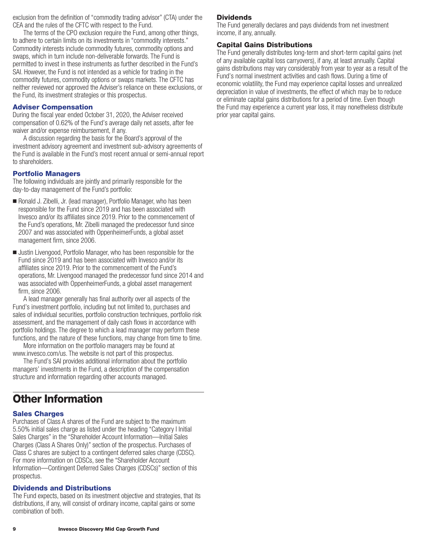exclusion from the definition of "commodity trading advisor" (CTA) under the CEA and the rules of the CFTC with respect to the Fund.

The terms of the CPO exclusion require the Fund, among other things, to adhere to certain limits on its investments in "commodity interests." Commodity interests include commodity futures, commodity options and swaps, which in turn include non-deliverable forwards. The Fund is permitted to invest in these instruments as further described in the Fund's SAI. However, the Fund is not intended as a vehicle for trading in the commodity futures, commodity options or swaps markets. The CFTC has neither reviewed nor approved the Adviser's reliance on these exclusions, or the Fund, its investment strategies or this prospectus.

# **Adviser Compensation**

During the fiscal year ended October 31, 2020, the Adviser received compensation of 0.62% of the Fund's average daily net assets, after fee waiver and/or expense reimbursement, if any.

A discussion regarding the basis for the Board's approval of the investment advisory agreement and investment sub-advisory agreements of the Fund is available in the Fund's most recent annual or semi-annual report to shareholders.

### **Portfolio Managers**

The following individuals are jointly and primarily responsible for the day-to-day management of the Fund's portfolio:

- Ronald J. Zibelli, Jr. (lead manager), Portfolio Manager, who has been responsible for the Fund since 2019 and has been associated with Invesco and/or its affiliates since 2019. Prior to the commencement of the Fund's operations, Mr. Zibelli managed the predecessor fund since 2007 and was associated with OppenheimerFunds, a global asset management firm, since 2006.
- Justin Livengood, Portfolio Manager, who has been responsible for the Fund since 2019 and has been associated with Invesco and/or its affiliates since 2019. Prior to the commencement of the Fund's operations, Mr. Livengood managed the predecessor fund since 2014 and was associated with OppenheimerFunds, a global asset management firm, since 2006.

A lead manager generally has final authority over all aspects of the Fund's investment portfolio, including but not limited to, purchases and sales of individual securities, portfolio construction techniques, portfolio risk assessment, and the management of daily cash flows in accordance with portfolio holdings. The degree to which a lead manager may perform these functions, and the nature of these functions, may change from time to time.

More information on the portfolio managers may be found at www.invesco.com/us. The website is not part of this prospectus.

The Fund's SAI provides additional information about the portfolio managers' investments in the Fund, a description of the compensation structure and information regarding other accounts managed.

# **Other Information**

# **Sales Charges**

Purchases of Class A shares of the Fund are subject to the maximum 5.50% initial sales charge as listed under the heading "Category I Initial Sales Charges" in the "Shareholder Account Information—Initial Sales Charges (Class A Shares Only)" section of the prospectus. Purchases of Class C shares are subject to a contingent deferred sales charge (CDSC). For more information on CDSCs, see the "Shareholder Account Information—Contingent Deferred Sales Charges (CDSCs)" section of this prospectus.

#### **Dividends and Distributions**

The Fund expects, based on its investment objective and strategies, that its distributions, if any, will consist of ordinary income, capital gains or some combination of both.

#### **Dividends**

The Fund generally declares and pays dividends from net investment income, if any, annually.

#### **Capital Gains Distributions**

The Fund generally distributes long-term and short-term capital gains (net of any available capital loss carryovers), if any, at least annually. Capital gains distributions may vary considerably from year to year as a result of the Fund's normal investment activities and cash flows. During a time of economic volatility, the Fund may experience capital losses and unrealized depreciation in value of investments, the effect of which may be to reduce or eliminate capital gains distributions for a period of time. Even though the Fund may experience a current year loss, it may nonetheless distribute prior year capital gains.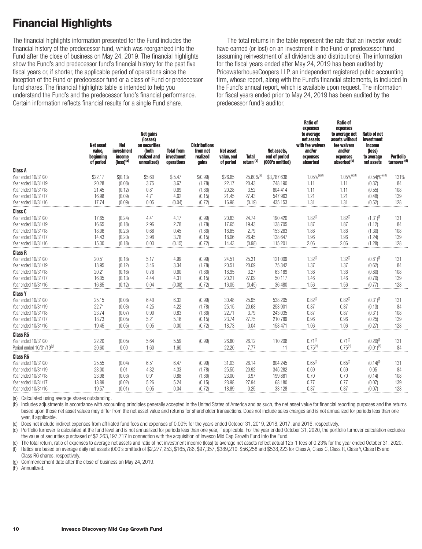# **Financial Highlights**

The financial highlights information presented for the Fund includes the financial history of the predecessor fund, which was reorganized into the Fund after the close of business on May 24, 2019. The financial highlights show the Fund's and predecessor fund's financial history for the past five fiscal years or, if shorter, the applicable period of operations since the inception of the Fund or predecessor fund or a class of Fund or predecessor fund shares. The financial highlights table is intended to help you understand the Fund's and the predecessor fund's financial performance. Certain information reflects financial results for a single Fund share.

The total returns in the table represent the rate that an investor would have earned (or lost) on an investment in the Fund or predecessor fund (assuming reinvestment of all dividends and distributions). The information for the fiscal years ended after May 24, 2019 has been audited by PricewaterhouseCoopers LLP, an independent registered public accounting firm, whose report, along with the Fund's financial statements, is included in the Fund's annual report, which is available upon request. The information for fiscal years ended prior to May 24, 2019 has been audited by the predecessor fund's auditor.

**Ratio of**

**Ratio of**

|                                      | <b>Net asset</b><br>value.<br>beginning<br>of period | <b>Net</b><br><b>investment</b><br>income<br>$(logs)^{(a)}$ | <b>Net gains</b><br>(losses)<br>on securities<br>(both<br>realized and<br>unrealized) | <b>Total from</b><br>investment<br>operations | <b>Distributions</b><br>from net<br>realized<br>gains | <b>Net asset</b><br>value, end<br>of period | <b>Total</b><br>return <sup>(b)</sup> | Net assets.<br>end of period<br>(000's omitted) | expenses<br>to average<br>net assets<br>with fee waivers<br>and/or<br>expenses<br>absorbed | expenses<br>to average net<br>assets without<br>fee waivers<br>and/or<br>expenses<br>absorbed <sup>(c)</sup> | <b>Ratio of net</b><br>investment<br>income<br>(loss)<br>to average<br>net assets | <b>Portfolio</b><br>turnover <sup>(d)</sup> |
|--------------------------------------|------------------------------------------------------|-------------------------------------------------------------|---------------------------------------------------------------------------------------|-----------------------------------------------|-------------------------------------------------------|---------------------------------------------|---------------------------------------|-------------------------------------------------|--------------------------------------------------------------------------------------------|--------------------------------------------------------------------------------------------------------------|-----------------------------------------------------------------------------------|---------------------------------------------|
| Class A                              |                                                      |                                                             |                                                                                       |                                               |                                                       |                                             |                                       |                                                 |                                                                                            |                                                                                                              |                                                                                   |                                             |
| Year ended 10/31/20                  | \$22.17                                              | \$(0.13)                                                    | \$5.60                                                                                | \$5.47                                        | \$(0.99)                                              | \$26.65                                     | 25.60% <sup>(e)</sup>                 | \$3,787,636                                     | $1.05\%$ <sup>(e)(f)</sup>                                                                 | $1.05\%$ <sup>(e)(f)</sup>                                                                                   | $(0.54)\%$ <sup>(e)(f)</sup>                                                      | 131%                                        |
| Year ended 10/31/19                  | 20.28                                                | (0.08)                                                      | 3.75                                                                                  | 3.67                                          | (1.78)                                                | 22.17                                       | 20.43                                 | 748.190                                         | 1.11                                                                                       | 1.11                                                                                                         | (0.37)                                                                            | 84                                          |
| Year ended 10/31/18                  | 21.45                                                | (0.12)                                                      | 0.81                                                                                  | 0.69                                          | (1.86)                                                | 20.28                                       | 3.52                                  | 604,414                                         | 1.11                                                                                       | 1.11                                                                                                         | (0.55)                                                                            | 108                                         |
| Year ended 10/31/17                  | 16.98                                                | (0.09)                                                      | 4.71                                                                                  | 4.62                                          | (0.15)                                                | 21.45                                       | 27.43                                 | 547,963                                         | 1.21                                                                                       | 1.21                                                                                                         | (0.48)                                                                            | 139                                         |
| Year ended 10/31/16                  | 17.74                                                | (0.09)                                                      | 0.05                                                                                  | (0.04)                                        | (0.72)                                                | 16.98                                       | (0.19)                                | 435,153                                         | 1.31                                                                                       | 1.31                                                                                                         | (0.52)                                                                            | 128                                         |
| Class C                              |                                                      |                                                             |                                                                                       |                                               |                                                       |                                             |                                       |                                                 |                                                                                            |                                                                                                              |                                                                                   |                                             |
| Year ended 10/31/20                  | 17.65                                                | (0.24)                                                      | 4.41                                                                                  | 4.17                                          | (0.99)                                                | 20.83                                       | 24.74                                 | 190,420                                         | $1.82$ <sup>(f)</sup>                                                                      | $1.82^{(f)}$                                                                                                 | $(1.31)^{(1)}$                                                                    | 131                                         |
| Year ended 10/31/19                  | 16.65                                                | (0.18)                                                      | 2.96                                                                                  | 2.78                                          | (1.78)                                                | 17.65                                       | 19.43                                 | 138,705                                         | 1.87                                                                                       | 1.87                                                                                                         | (1.12)                                                                            | 84                                          |
| Year ended 10/31/18                  | 18.06                                                | (0.23)                                                      | 0.68                                                                                  | 0.45                                          | (1.86)                                                | 16.65                                       | 2.79                                  | 153,263                                         | 1.86                                                                                       | 1.86                                                                                                         | (1.30)                                                                            | 108                                         |
| Year ended 10/31/17                  | 14.43                                                | (0.20)                                                      | 3.98                                                                                  | 3.78                                          | (0.15)                                                | 18.06                                       | 26.45                                 | 138,647                                         | 1.96                                                                                       | 1.96                                                                                                         | (1.24)                                                                            | 139                                         |
| Year ended 10/31/16                  | 15.30                                                | (0.18)                                                      | 0.03                                                                                  | (0.15)                                        | (0.72)                                                | 14.43                                       | (0.98)                                | 115,201                                         | 2.06                                                                                       | 2.06                                                                                                         | (1.28)                                                                            | 128                                         |
| <b>Class R</b>                       |                                                      |                                                             |                                                                                       |                                               |                                                       |                                             |                                       |                                                 |                                                                                            |                                                                                                              |                                                                                   |                                             |
| Year ended 10/31/20                  | 20.51                                                | (0.18)                                                      | 5.17                                                                                  | 4.99                                          | (0.99)                                                | 24.51                                       | 25.31                                 | 121,009                                         | $1.32$ <sup>(f)</sup>                                                                      | $1.32^{(f)}$                                                                                                 | $(0.81)^{(1)}$                                                                    | 131                                         |
| Year ended 10/31/19                  | 18.95                                                | (0.12)                                                      | 3.46                                                                                  | 3.34                                          | (1.78)                                                | 20.51                                       | 20.09                                 | 75,342                                          | 1.37                                                                                       | 1.37                                                                                                         | (0.62)                                                                            | 84                                          |
| Year ended 10/31/18                  | 20.21                                                | (0.16)                                                      | 0.76                                                                                  | 0.60                                          | (1.86)                                                | 18.95                                       | 3.27                                  | 63,189                                          | 1.36                                                                                       | 1.36                                                                                                         | (0.80)                                                                            | 108                                         |
| Year ended 10/31/17                  | 16.05                                                | (0.13)                                                      | 4.44                                                                                  | 4.31                                          | (0.15)                                                | 20.21                                       | 27.09                                 | 50,117                                          | 1.46                                                                                       | 1.46                                                                                                         | (0.70)                                                                            | 139                                         |
| Year ended 10/31/16                  | 16.85                                                | (0.12)                                                      | 0.04                                                                                  | (0.08)                                        | (0.72)                                                | 16.05                                       | (0.45)                                | 36.480                                          | 1.56                                                                                       | 1.56                                                                                                         | (0.77)                                                                            | 128                                         |
| <b>Class Y</b>                       |                                                      |                                                             |                                                                                       |                                               |                                                       |                                             |                                       |                                                 |                                                                                            |                                                                                                              |                                                                                   |                                             |
| Year ended 10/31/20                  | 25.15                                                | (0.08)                                                      | 6.40                                                                                  | 6.32                                          | (0.99)                                                | 30.48                                       | 25.95                                 | 538,205                                         | $0.82^{(f)}$                                                                               | 0.82 <sup>(f)</sup>                                                                                          | $(0.31)$ <sup>(f)</sup>                                                           | 131                                         |
| Year ended 10/31/19                  | 22.71                                                | (0.03)                                                      | 4.25                                                                                  | 4.22                                          | (1.78)                                                | 25.15                                       | 20.68                                 | 253,901                                         | 0.87                                                                                       | 0.87                                                                                                         | (0.13)                                                                            | 84                                          |
| Year ended 10/31/18                  | 23.74                                                | (0.07)                                                      | 0.90                                                                                  | 0.83                                          | (1.86)                                                | 22.71                                       | 3.79                                  | 243,035                                         | 0.87                                                                                       | 0.87                                                                                                         | (0.31)                                                                            | 108                                         |
| Year ended 10/31/17                  | 18.73                                                | (0.05)                                                      | 5.21                                                                                  | 5.16                                          | (0.15)                                                | 23.74                                       | 27.75                                 | 210,789                                         | 0.96                                                                                       | 0.96                                                                                                         | (0.25)                                                                            | 139                                         |
| Year ended 10/31/16                  | 19.45                                                | (0.05)                                                      | 0.05                                                                                  | 0.00                                          | (0.72)                                                | 18.73                                       | 0.04                                  | 158.471                                         | 1.06                                                                                       | 1.06                                                                                                         | (0.27)                                                                            | 128                                         |
| <b>Class R5</b>                      |                                                      |                                                             |                                                                                       |                                               |                                                       |                                             |                                       |                                                 |                                                                                            |                                                                                                              |                                                                                   |                                             |
| Year ended 10/31/20                  | 22.20                                                | (0.05)                                                      | 5.64                                                                                  | 5.59                                          | (0.99)                                                | 26.80                                       | 26.12                                 | 110,206                                         | $0.71^{(f)}$                                                                               | $0.71^{(f)}$                                                                                                 | $(0.20)$ <sup>(f)</sup>                                                           | 131                                         |
| Period ended 10/31/19 <sup>(g)</sup> | 20.60                                                | 0.00                                                        | 1.60                                                                                  | 1.60                                          |                                                       | 22.20                                       | 7.77                                  | 11                                              | $0.75^{(h)}$                                                                               | $0.75^{(h)}$                                                                                                 | $(0.01)^{(h)}$                                                                    | 84                                          |
| <b>Class R6</b>                      |                                                      |                                                             |                                                                                       |                                               |                                                       |                                             |                                       |                                                 |                                                                                            |                                                                                                              |                                                                                   |                                             |
| Year ended 10/31/20                  | 25.55                                                | (0.04)                                                      | 6.51                                                                                  | 6.47                                          | (0.99)                                                | 31.03                                       | 26.14                                 | 904,245                                         | $0.65^{(1)}$                                                                               | 0.65 <sup>(f)</sup>                                                                                          | $(0.14)^{(1)}$                                                                    | 131                                         |
| Year ended 10/31/19                  | 23.00                                                | 0.01                                                        | 4.32                                                                                  | 4.33                                          | (1.78)                                                | 25.55                                       | 20.92                                 | 345,282                                         | 0.69                                                                                       | 0.69                                                                                                         | 0.05                                                                              | 84                                          |
| Year ended 10/31/18                  | 23.98                                                | (0.03)                                                      | 0.91                                                                                  | 0.88                                          | (1.86)                                                | 23.00                                       | 3.97                                  | 199,881                                         | 0.70                                                                                       | 0.70                                                                                                         | (0.14)                                                                            | 108                                         |
| Year ended 10/31/17                  | 18.89                                                | (0.02)                                                      | 5.26                                                                                  | 5.24                                          | (0.15)                                                | 23.98                                       | 27.94                                 | 68,180                                          | 0.77                                                                                       | 0.77                                                                                                         | (0.07)                                                                            | 139                                         |
| Year ended 10/31/16                  | 19.57                                                | (0.01)                                                      | 0.05                                                                                  | 0.04                                          | (0.72)                                                | 18.89                                       | 0.25                                  | 33.128                                          | 0.87                                                                                       | 0.87                                                                                                         | (0.07)                                                                            | 128                                         |
|                                      |                                                      |                                                             |                                                                                       |                                               |                                                       |                                             |                                       |                                                 |                                                                                            |                                                                                                              |                                                                                   |                                             |

(a) Calculated using average shares outstanding.

(b) Includes adjustments in accordance with accounting principles generally accepted in the United States of America and as such, the net asset value for financial reporting purposes and the returns based upon those net asset values may differ from the net asset value and returns for shareholder transactions. Does not include sales charges and is not annualized for periods less than one year, if applicable.

(c) Does not include indirect expenses from affiliated fund fees and expenses of 0.00% for the years ended October 31, 2019, 2018, 2017, and 2016, respectively.

(d) Portfolio turnover is calculated at the fund level and is not annualized for periods less than one year, if applicable. For the year ended October 31, 2020, the portfolio turnover calculation excludes the value of securities purchased of \$2,263,197,717 in connection with the acquisition of Invesco Mid Cap Growth Fund into the Fund.

(e) The total return, ratio of expenses to average net assets and ratio of net investment income (loss) to average net assets reflect actual 12b-1 fees of 0.23% for the year ended October 31, 2020. (f) Ratios are based on average daily net assets (000's omitted) of \$2,277,253, \$165,786, \$97,357, \$389,210, \$56,258 and \$538,223 for Class A, Class C, Class R, Class Y, Class R5 and Class R6 shares, respectively.

(g) Commencement date after the close of business on May 24, 2019.

(h) Annualized.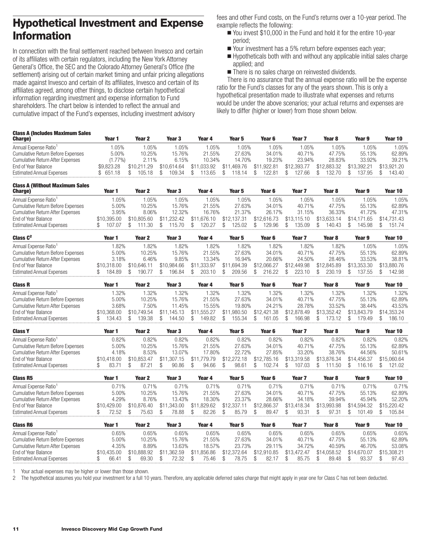# **Hypothetical Investment and Expense Information**

In connection with the final settlement reached between Invesco and certain of its affiliates with certain regulators, including the New York Attorney General's Office, the SEC and the Colorado Attorney General's Office (the settlement) arising out of certain market timing and unfair pricing allegations made against Invesco and certain of its affiliates, Invesco and certain of its affiliates agreed, among other things, to disclose certain hypothetical information regarding investment and expense information to Fund shareholders. The chart below is intended to reflect the annual and cumulative impact of the Fund's expenses, including investment advisory

fees and other Fund costs, on the Fund's returns over a 10-year period. The example reflects the following:

- You invest \$10,000 in the Fund and hold it for the entire 10-year period;
- Your investment has a 5% return before expenses each year;
- Hypotheticals both with and without any applicable initial sales charge applied; and
- There is no sales charge on reinvested dividends.

There is no assurance that the annual expense ratio will be the expense ratio for the Fund's classes for any of the years shown. This is only a hypothetical presentation made to illustrate what expenses and returns would be under the above scenarios; your actual returns and expenses are likely to differ (higher or lower) from those shown below.

| Class A (Includes Maximum Sales)<br>Charge) | Year 1     | Year 2      | Year <sub>3</sub> | Year 4      | Year 5      | Year 6      | Year 7      | Year 8      | Year 9      | Year 10     |
|---------------------------------------------|------------|-------------|-------------------|-------------|-------------|-------------|-------------|-------------|-------------|-------------|
| Annual Expense Ratio <sup>1</sup>           | .05%       | $0.05\%$    | .05%              | .05%        | .05%        | .05%        | .05%        | .05%        | .05%        | .05%        |
| Cumulative Return Before Expenses           | 5.00%      | 10.25%      | 15.76%            | 21.55%      | 27.63%      | 34.01%      | 40.71%      | 47.75%      | 55.13%      | 62.89%      |
| Cumulative Return After Expenses            | $(1.77\%)$ | $2.11\%$    | 6.15%             | 10.34%      | 14.70%      | 19.23%      | 23.94%      | 28.83%      | 33.92%      | 39.21%      |
| End of Year Balance                         | \$9.823.28 | \$10.211.29 | \$10,614.64       | \$11.033.92 | \$11.469.76 | \$11,922.81 | \$12,393,77 | \$12,883.32 | \$13.392.21 | \$13.921.20 |
| Estimated Annual Expenses                   | \$651.18   | 105.18      | 109.34            | $113.65$ \$ | $118.14$ \$ | 122.81      | 127.66      | 132.70      | 137.95      | 143.40      |
|                                             |            |             |                   |             |             |             |             |             |             |             |

| <b>Class A (Without Maximum Sales)</b><br><b>Charge</b> ) | Year 1      | Year 2      | Year 3      | Year 4           | Year 5      | Year 6      | Year 7      | Year 8      | Year 9      | Year 10     |
|-----------------------------------------------------------|-------------|-------------|-------------|------------------|-------------|-------------|-------------|-------------|-------------|-------------|
| Annual Expense Ratio <sup>1</sup>                         | .05%        | .05%        | 1.05%       | .05%             | .05%        | .05%        | .05%        | .05%        | .05%        | $0.05\%$    |
| Cumulative Return Before Expenses                         | 5.00%       | 10.25%      | 15.76%      | 21.55%           | 27.63%      | 34.01%      | 40.71%      | 47.75%      | 55.13%      | 62.89%      |
| <b>Cumulative Return After Expenses</b>                   | 3.95%       | 8.06%       | 12.32%      | 16.76%           | 21.37%      | 26.17%      | 31.15%      | 36.33%      | 41.72%      | 47.31%      |
| End of Year Balance                                       | \$10.395.00 | \$10,805.60 | \$11.232.42 | 1.676.10<br>\$11 | \$12.137.31 | \$12,616.73 | \$13,115.10 | \$13.633.14 | \$14.171.65 | \$14.731.43 |
| <b>Estimated Annual Expenses</b>                          | 107.07      | -30         | 15.70       | 120.27           | 125.02      | 129.96      | 135.09      | 140.43      | 145.98      | 151.74      |

| Class $C^2$                             | Year   | Year 2    | Year 3      | Year 4      | Year 5      | Year 6      | Year 7      | Year 8      | Year 9      | Year 10     |
|-----------------------------------------|--------|-----------|-------------|-------------|-------------|-------------|-------------|-------------|-------------|-------------|
| Annual Expense Ratio <sup>1</sup>       | .82%   | .82%      | .82%        | .82%        | .82%        | .82%        | .82%        | .82%        | .05%        | .05%        |
| Cumulative Return Before Expenses       | 5.00%  | 10.25%    | 15.76%      | 21.55%      | 27.63%      | 34.01%      | 40.71%      | 47.75%      | 55.13%      | 62.89%      |
| <b>Cumulative Return After Expenses</b> | 3.18%  | 6.46%     | 9.85%       | 13.34%      | 16.94%      | 20.66%      | 24.50%      | 28.46%      | 33.53%      | 38.81%      |
| End of Year Balance                     |        | \$10.646. | \$10.984.66 | \$11,333.97 | \$11.694.39 | \$12,066,27 | \$12,449.98 | \$12,845.89 | \$13.353.30 | \$13,880.76 |
| <b>Estimated Annual Expenses</b>        | 184.89 | 190.77    | 196.84      | 203.10      | 209.56      | 216.22      | 223.10      | 230.19      | 137.55      | 142.98      |

| <b>Class R</b>                    | Year        | Year 2            | Year 3  | Year 4      | Year 5      | Year 6      | Year '      | Year 8      | Year 9      | Year 10     |
|-----------------------------------|-------------|-------------------|---------|-------------|-------------|-------------|-------------|-------------|-------------|-------------|
| Annual Expense Ratio <sup>1</sup> | .32%        | .32%              | .32%    | $.32\%$     | .32%        | .32%        | .32%        | $.32\%$     | .32%        | .32%        |
| Cumulative Return Before Expenses | 5.00%       | 10.25%            | 15.76%  | 21.55%      | 27.63%      | 34.01%      | 40.71%      | 47.75%      | 55.13%      | 62.89%      |
| Cumulative Return After Expenses  | 3.68%       | 7.50%             | 45%     | 15.55%      | 19.80%      | 24.21%      | 28.78%      | 33.52%      | 38.44%      | 43.53%      |
| End of Year Balance               | \$10,368,00 | 1.749.54<br>\$10. | .145.13 | \$11.555.27 | \$11,980.50 | \$12,421.38 | \$12,878,49 | \$13,352.42 | \$13.843.79 | \$14,353,24 |
| <b>Estimated Annual Expenses</b>  | 134.43      | 139.38            | 144.50  | 149.82      | 155.34      | $161.05$ \$ | 166.98      |             | 179.49      | 186.10      |

| <b>Class Y</b>                           | Year 1      | Year 2      | Year 3                    | Year 4          | Year 5      | Year 6      | Year <sub>7</sub> | Year 8      | Year 9      | Year 10     |
|------------------------------------------|-------------|-------------|---------------------------|-----------------|-------------|-------------|-------------------|-------------|-------------|-------------|
| Annual Expense Ratio <sup>1</sup>        | 0.82%       | 0.82%       | 0.82%                     | 0.82%           | 0.82%       | 0.82%       | 0.82%             | 0.82%       | 0.82%       | 0.82%       |
| <b>Cumulative Return Before Expenses</b> | 5.00%       | 10.25%      | 15.76%                    | 21.55%          | 27.63%      | 34.01%      | 40.71%            | 47.75%      | 55.13%      | 62.89%      |
| <b>Cumulative Return After Expenses</b>  | 4.18%       | 8.53%       | 13.07%                    | 17.80%          | 22.72%      | 27.85%      | 33.20%            | 38.76%      | 44.56%      | 50.61%      |
| End of Year Balance                      | \$10,418.00 | \$10.853.47 | $$1^{\degree}$<br>.307.15 | \$11<br>779.79  | \$12,272.18 | \$12,785.16 | \$13,319.58       | \$13,876,34 | \$14,456.37 | \$15,060.64 |
| <b>Estimated Annual Expenses</b>         | 83.71       | 87.21       | 90.86                     | 94.66           | 98.61       | 102.74      | 107.03            | .50<br>111  | 16.16       | 121.02      |
| <b>Class R5</b>                          | Year 1      | Year 2      | Year 3                    | Year 4          | Year 5      | Year 6      | Year <sub>7</sub> | Year 8      | Year 9      | Year 10     |
| Annual Expense Ratio <sup>1</sup>        | 0.71%       | 0.71%       | 0.71%                     | 0.71%           | 0.71%       | 0.71%       | 0.71%             | 0.71%       | 0.71%       | 0.71%       |
| <b>Cumulative Return Before Expenses</b> | 5.00%       | 10.25%      | 15.76%                    | 21.55%          | 27.63%      | 34.01%      | 40.71%            | 47.75%      | 55.13%      | 62.89%      |
| <b>Cumulative Return After Expenses</b>  | 4.29%       | 8.76%       | 13.43%                    | 18.30%          | 23.37%      | 28.66%      | 34.18%            | 39.94%      | 45.94%      | 52.20%      |
| End of Year Balance                      | \$10,429.00 | \$10,876.40 | .343.00<br>\$11           | \$11<br>.829.62 | \$12,337.11 | \$12,866.37 | \$13,418.34       | \$13,993.98 | \$14,594.32 | \$15,220.42 |
| <b>Estimated Annual Expenses</b>         | 72.52       | 75.63       | 78.88                     | 82.26           | 85.79       | 89.47       | 93.31             | 97.31       | 101.49      | 105.84      |
| <b>Class R6</b>                          | Year 1      | Year 2      | Year 3                    | Year 4          | Year 5      | Year 6      | Year <sub>7</sub> | Year 8      | Year 9      | Year 10     |
| Annual Expense Ratio <sup>1</sup>        | 0.65%       | 0.65%       | 0.65%                     | 0.65%           | 0.65%       | 0.65%       | 0.65%             | 0.65%       | 0.65%       | 0.65%       |
| <b>Cumulative Return Before Expenses</b> | 5.00%       | 10.25%      | 15.76%                    | 21.55%          | 27.63%      | 34.01%      | 40.71%            | 47.75%      | 55.13%      | 62.89%      |
| <b>Cumulative Return After Expenses</b>  | 4.35%       | 8.89%       | 13.63%                    | 18.57%          | 23.73%      | 29.11%      | 34.72%            | 40.59%      | 46.70%      | 53.08%      |
| End of Year Balance                      | \$10,435.00 | \$10,888.92 | .362.59<br>\$1            | \$11<br>.856.86 | \$12,372.64 | \$12,910.85 | \$13,472.47       | \$14,058.52 | \$14,670.07 | \$15,308.21 |
| <b>Estimated Annual Expenses</b>         | 66.41       | 69.30       | 72.32                     | 75.46           | 78.75       | 82.1        | 85.75             | 89.48       | 93.37       | 97.43       |

1 Your actual expenses may be higher or lower than those shown.

2 The hypothetical assumes you hold your investment for a full 10 years. Therefore, any applicable deferred sales charge that might apply in year one for Class C has not been deducted.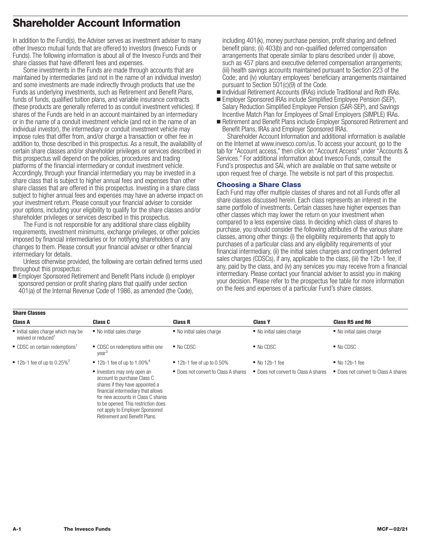# **Shareholder Account Information**

In addition to the Fund(s), the Adviser serves as investment adviser to many other Invesco mutual funds that are offered to investors (Invesco Funds or Funds). The following information is about all of the Invesco Funds and their share classes that have different fees and expenses.

Some investments in the Funds are made through accounts that are maintained by intermediaries (and not in the name of an individual investor) and some investments are made indirectly through products that use the Funds as underlying investments, such as Retirement and Benefit Plans, funds of funds, qualified tuition plans, and variable insurance contracts (these products are generally referred to as conduit investment vehicles). If shares of the Funds are held in an account maintained by an intermediary or in the name of a conduit investment vehicle (and not in the name of an individual investor), the intermediary or conduit investment vehicle may impose rules that differ from, and/or charge a transaction or other fee in addition to, those described in this prospectus. As a result, the availability of certain share classes and/or shareholder privileges or services described in this prospectus will depend on the policies, procedures and trading platforms of the financial intermediary or conduit investment vehicle. Accordingly, through your financial intermediary you may be invested in a share class that is subject to higher annual fees and expenses than other share classes that are offered in this prospectus. Investing in a share class subject to higher annual fees and expenses may have an adverse impact on your investment return. Please consult your financial adviser to consider your options, including your eligibility to qualify for the share classes and/or shareholder privileges or services described in this prospectus.

The Fund is not responsible for any additional share class eligibility requirements, investment minimums, exchange privileges, or other policies imposed by financial intermediaries or for notifying shareholders of any changes to them. Please consult your financial adviser or other financial intermediary for details.

Unless otherwise provided, the following are certain defined terms used throughout this prospectus:

■ Employer Sponsored Retirement and Benefit Plans include (i) employer sponsored pension or profit sharing plans that qualify under section 401(a) of the Internal Revenue Code of 1986, as amended (the Code),

> financial intermediary that allows for new accounts in Class C shares to be opened. This restriction does not apply to Employer Sponsored Retirement and Benefit Plans.

including 401(k), money purchase pension, profit sharing and defined benefit plans; (ii) 403(b) and non-qualified deferred compensation arrangements that operate similar to plans described under (i) above, such as 457 plans and executive deferred compensation arrangements; (iii) health savings accounts maintained pursuant to Section 223 of the Code; and (iv) voluntary employees' beneficiary arrangements maintained pursuant to Section 501(c)(9) of the Code.

- Individual Retirement Accounts (IRAs) include Traditional and Roth IRAs.
- Employer Sponsored IRAs include Simplified Employee Pension (SEP), Salary Reduction Simplified Employee Pension (SAR-SEP), and Savings Incentive Match Plan for Employees of Small Employers (SIMPLE) IRAs.
- Retirement and Benefit Plans include Employer Sponsored Retirement and Benefit Plans, IRAs and Employer Sponsored IRAs.

Shareholder Account Information and additional information is available on the Internet at www.invesco.com/us. To access your account, go to the tab for "Account access," then click on "Account Access" under "Accounts & Services." For additional information about Invesco Funds, consult the Fund's prospectus and SAI, which are available on that same website or upon request free of charge. The website is not part of this prospectus.

### **Choosing a Share Class**

Each Fund may offer multiple classes of shares and not all Funds offer all share classes discussed herein. Each class represents an interest in the same portfolio of investments. Certain classes have higher expenses than other classes which may lower the return on your investment when compared to a less expensive class. In deciding which class of shares to purchase, you should consider the following attributes of the various share classes, among other things: (i) the eligibility requirements that apply to purchases of a particular class and any eligibility requirements of your financial intermediary, (ii) the initial sales charges and contingent deferred sales charges (CDSCs), if any, applicable to the class, (iii) the 12b-1 fee, if any, paid by the class, and (iv) any services you may receive from a financial intermediary. Please contact your financial adviser to assist you in making your decision. Please refer to the prospectus fee table for more information on the fees and expenses of a particular Fund's share classes.

| <b>Share Classes</b>                                                |                                                                                              |                                         |                                      |                                      |
|---------------------------------------------------------------------|----------------------------------------------------------------------------------------------|-----------------------------------------|--------------------------------------|--------------------------------------|
| <b>Class A</b>                                                      | <b>Class C</b>                                                                               | <b>Class R</b>                          | <b>Class Y</b>                       | Class R5 and R6                      |
| Initial sales charge which may be<br>waived or reduced <sup>1</sup> | ■ No initial sales charge                                                                    | ■ No initial sales charge               | ■ No initial sales charge            | ■ No initial sales charge            |
| $\blacksquare$ CDSC on certain redemptions <sup>1</sup>             | • CDSC on redemptions within one<br>vear <sup>3</sup>                                        | $\blacksquare$ No CDSC                  | $\blacksquare$ No CDSC               | $\blacksquare$ No CDSC               |
| $\blacksquare$ 12b-1 fee of up to 0.25% <sup>2</sup>                | $\blacksquare$ 12b-1 fee of up to 1.00% <sup>4</sup>                                         | $\blacksquare$ 12b-1 fee of up to 0.50% | $No$ 12b-1 fee                       | $No$ 12b-1 fee                       |
|                                                                     | Investors may only open an<br>account to purchase Class C<br>shares if they have appointed a | • Does not convert to Class A shares    | ■ Does not convert to Class A shares | • Does not convert to Class A shares |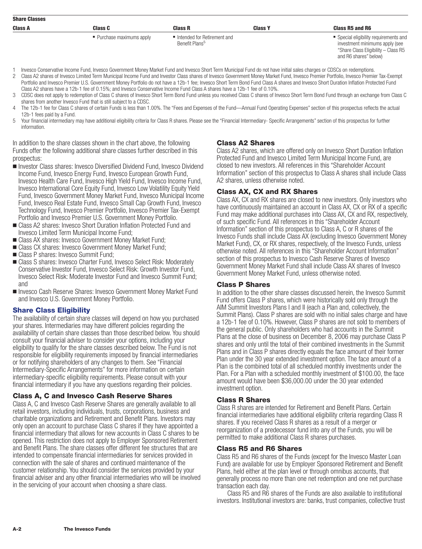| <b>Share Classes</b> |                           |                                                           |                |                                                                          |
|----------------------|---------------------------|-----------------------------------------------------------|----------------|--------------------------------------------------------------------------|
| <b>Class A</b>       | Class C                   | <b>Class R</b>                                            | <b>Class Y</b> | Class R5 and R6                                                          |
|                      | • Purchase maximums apply | Intended for Retirement and<br>Benefit Plans <sup>5</sup> |                | • Special eligibility requirements and<br>investment minimums apply (see |

- "Share Class Eligibility Class R5 and R6 shares" below)
- 1 Invesco Conservative Income Fund, Invesco Government Money Market Fund and Invesco Short Term Municipal Fund do not have initial sales charges or CDSCs on redemptions.
- 2 Class A2 shares of Invesco Limited Term Municipal Income Fund and Investor Class shares of Invesco Government Money Market Fund, Invesco Premier Portfolio, Invesco Premier Tax-Exempt Portfolio and Invesco Premier U.S. Government Money Portfolio do not have a 12b-1 fee; Invesco Short Term Bond Fund Class A shares and Invesco Short Duration Inflation Protected Fund Class A2 shares have a 12b-1 fee of 0.15%; and Invesco Conservative Income Fund Class A shares have a 12b-1 fee of 0.10%.
- 3 CDSC does not apply to redemption of Class C shares of Invesco Short Term Bond Fund unless you received Class C shares of Invesco Short Term Bond Fund through an exchange from Class C shares from another Invesco Fund that is still subject to a CDSC.
- 4 The 12b-1 fee for Class C shares of certain Funds is less than 1.00%. The "Fees and Expenses of the Fund—Annual Fund Operating Expenses" section of this prospectus reflects the actual 12b-1 fees paid by a Fund.
- 5 Your financial intermediary may have additional eligibility criteria for Class R shares. Please see the "Financial Intermediary- Specific Arrangements" section of this prospectus for further information.

In addition to the share classes shown in the chart above, the following Funds offer the following additional share classes further described in this prospectus:

- Investor Class shares: Invesco Diversified Dividend Fund, Invesco Dividend Income Fund, Invesco Energy Fund, Invesco European Growth Fund, Invesco Health Care Fund, Invesco High Yield Fund, Invesco Income Fund, Invesco International Core Equity Fund, Invesco Low Volatility Equity Yield Fund, Invesco Government Money Market Fund, Invesco Municipal Income Fund, Invesco Real Estate Fund, Invesco Small Cap Growth Fund, Invesco Technology Fund, Invesco Premier Portfolio, Invesco Premier Tax-Exempt Portfolio and Invesco Premier U.S. Government Money Portfolio.
- Class A2 shares: Invesco Short Duration Inflation Protected Fund and Invesco Limited Term Municipal Income Fund;
- Class AX shares: Invesco Government Money Market Fund;
- Class CX shares: Invesco Government Money Market Fund;
- Class P shares: Invesco Summit Fund;
- Class S shares: Invesco Charter Fund, Invesco Select Risk: Moderately Conservative Investor Fund, Invesco Select Risk: Growth Investor Fund, Invesco Select Risk: Moderate Investor Fund and Invesco Summit Fund; and
- Invesco Cash Reserve Shares: Invesco Government Money Market Fund and Invesco U.S. Government Money Portfolio.

# **Share Class Eligibility**

The availability of certain share classes will depend on how you purchased your shares. Intermediaries may have different policies regarding the availability of certain share classes than those described below. You should consult your financial adviser to consider your options, including your eligibility to qualify for the share classes described below. The Fund is not responsible for eligibility requirements imposed by financial intermediaries or for notifying shareholders of any changes to them. See "Financial Intermediary-Specific Arrangements" for more information on certain intermediary-specific eligibility requirements. Please consult with your financial intermediary if you have any questions regarding their policies.

# **Class A, C and Invesco Cash Reserve Shares**

Class A, C and Invesco Cash Reserve Shares are generally available to all retail investors, including individuals, trusts, corporations, business and charitable organizations and Retirement and Benefit Plans. Investors may only open an account to purchase Class C shares if they have appointed a financial intermediary that allows for new accounts in Class C shares to be opened. This restriction does not apply to Employer Sponsored Retirement and Benefit Plans. The share classes offer different fee structures that are intended to compensate financial intermediaries for services provided in connection with the sale of shares and continued maintenance of the customer relationship. You should consider the services provided by your financial adviser and any other financial intermediaries who will be involved in the servicing of your account when choosing a share class.

# **Class A2 Shares**

Class A2 shares, which are offered only on Invesco Short Duration Inflation Protected Fund and Invesco Limited Term Municipal Income Fund, are closed to new investors. All references in this "Shareholder Account Information" section of this prospectus to Class A shares shall include Class A2 shares, unless otherwise noted.

### **Class AX, CX and RX Shares**

Class AX, CX and RX shares are closed to new investors. Only investors who have continuously maintained an account in Class AX, CX or RX of a specific Fund may make additional purchases into Class AX, CX and RX, respectively, of such specific Fund. All references in this "Shareholder Account Information" section of this prospectus to Class A, C or R shares of the Invesco Funds shall include Class AX (excluding Invesco Government Money Market Fund), CX, or RX shares, respectively, of the Invesco Funds, unless otherwise noted. All references in this "Shareholder Account Information" section of this prospectus to Invesco Cash Reserve Shares of Invesco Government Money Market Fund shall include Class AX shares of Invesco Government Money Market Fund, unless otherwise noted.

#### **Class P Shares**

In addition to the other share classes discussed herein, the Invesco Summit Fund offers Class P shares, which were historically sold only through the AIM Summit Investors Plans I and II (each a Plan and, collectively, the Summit Plans). Class P shares are sold with no initial sales charge and have a 12b-1 fee of 0.10%. However, Class P shares are not sold to members of the general public. Only shareholders who had accounts in the Summit Plans at the close of business on December 8, 2006 may purchase Class P shares and only until the total of their combined investments in the Summit Plans and in Class P shares directly equals the face amount of their former Plan under the 30 year extended investment option. The face amount of a Plan is the combined total of all scheduled monthly investments under the Plan. For a Plan with a scheduled monthly investment of \$100.00, the face amount would have been \$36,000.00 under the 30 year extended investment option.

#### **Class R Shares**

Class R shares are intended for Retirement and Benefit Plans. Certain financial intermediaries have additional eligibility criteria regarding Class R shares. If you received Class R shares as a result of a merger or reorganization of a predecessor fund into any of the Funds, you will be permitted to make additional Class R shares purchases.

#### **Class R5 and R6 Shares**

Class R5 and R6 shares of the Funds (except for the Invesco Master Loan Fund) are available for use by Employer Sponsored Retirement and Benefit Plans, held either at the plan level or through omnibus accounts, that generally process no more than one net redemption and one net purchase transaction each day.

Class R5 and R6 shares of the Funds are also available to institutional investors. Institutional investors are: banks, trust companies, collective trust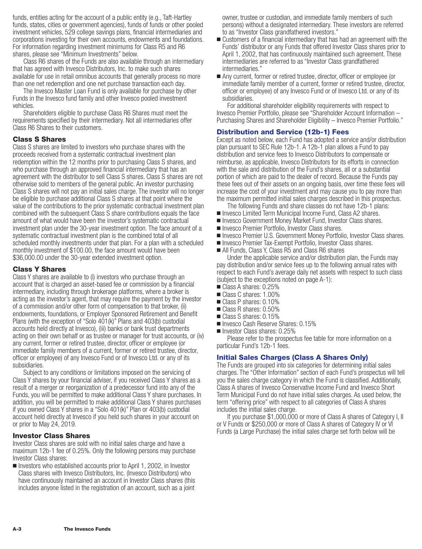funds, entities acting for the account of a public entity (e.g., Taft-Hartley funds, states, cities or government agencies), funds of funds or other pooled investment vehicles, 529 college savings plans, financial intermediaries and corporations investing for their own accounts, endowments and foundations. For information regarding investment minimums for Class R5 and R6 shares, please see "Minimum Investments" below.

Class R6 shares of the Funds are also available through an intermediary that has agreed with Invesco Distributors, Inc. to make such shares available for use in retail omnibus accounts that generally process no more than one net redemption and one net purchase transaction each day.

The Invesco Master Loan Fund is only available for purchase by other Funds in the Invesco fund family and other Invesco pooled investment vehicles.

Shareholders eligible to purchase Class R6 Shares must meet the requirements specified by their intermediary. Not all intermediaries offer Class R6 Shares to their customers.

#### **Class S Shares**

Class S shares are limited to investors who purchase shares with the proceeds received from a systematic contractual investment plan redemption within the 12 months prior to purchasing Class S shares, and who purchase through an approved financial intermediary that has an agreement with the distributor to sell Class S shares. Class S shares are not otherwise sold to members of the general public. An investor purchasing Class S shares will not pay an initial sales charge. The investor will no longer be eligible to purchase additional Class S shares at that point where the value of the contributions to the prior systematic contractual investment plan combined with the subsequent Class S share contributions equals the face amount of what would have been the investor's systematic contractual investment plan under the 30-year investment option. The face amount of a systematic contractual investment plan is the combined total of all scheduled monthly investments under that plan. For a plan with a scheduled monthly investment of \$100.00, the face amount would have been \$36,000.00 under the 30-year extended investment option.

#### **Class Y Shares**

Class Y shares are available to (i) investors who purchase through an account that is charged an asset-based fee or commission by a financial intermediary, including through brokerage platforms, where a broker is acting as the investor's agent, that may require the payment by the investor of a commission and/or other form of compensation to that broker, (ii) endowments, foundations, or Employer Sponsored Retirement and Benefit Plans (with the exception of "Solo 401(k)" Plans and 403(b) custodial accounts held directly at Invesco), (iii) banks or bank trust departments acting on their own behalf or as trustee or manager for trust accounts, or (iv) any current, former or retired trustee, director, officer or employee (or immediate family members of a current, former or retired trustee, director, officer or employee) of any Invesco Fund or of Invesco Ltd. or any of its subsidiaries.

Subject to any conditions or limitations imposed on the servicing of Class Y shares by your financial adviser, if you received Class Y shares as a result of a merger or reorganization of a predecessor fund into any of the Funds, you will be permitted to make additional Class Y share purchases. In addition, you will be permitted to make additional Class Y shares purchases if you owned Class Y shares in a "Solo 401(k)" Plan or 403(b) custodial account held directly at Invesco if you held such shares in your account on or prior to May 24, 2019.

#### **Investor Class Shares**

Investor Class shares are sold with no initial sales charge and have a maximum 12b-1 fee of 0.25%. Only the following persons may purchase Investor Class shares:

Investors who established accounts prior to April 1, 2002, in Investor Class shares with Invesco Distributors, Inc. (Invesco Distributors) who have continuously maintained an account in Investor Class shares (this includes anyone listed in the registration of an account, such as a joint owner, trustee or custodian, and immediate family members of such persons) without a designated intermediary. These investors are referred to as "Investor Class grandfathered investors."

- Customers of a financial intermediary that has had an agreement with the Funds' distributor or any Funds that offered Investor Class shares prior to April 1, 2002, that has continuously maintained such agreement. These intermediaries are referred to as "Investor Class grandfathered intermediaries."
- Any current, former or retired trustee, director, officer or employee (or immediate family member of a current, former or retired trustee, director, officer or employee) of any Invesco Fund or of Invesco Ltd. or any of its subsidiaries.

For additional shareholder eligibility requirements with respect to Invesco Premier Portfolio, please see "Shareholder Account Information – Purchasing Shares and Shareholder Eligibility – Invesco Premier Portfolio."

# **Distribution and Service (12b-1) Fees**

Except as noted below, each Fund has adopted a service and/or distribution plan pursuant to SEC Rule 12b-1. A 12b-1 plan allows a Fund to pay distribution and service fees to Invesco Distributors to compensate or reimburse, as applicable, Invesco Distributors for its efforts in connection with the sale and distribution of the Fund's shares, all or a substantial portion of which are paid to the dealer of record. Because the Funds pay these fees out of their assets on an ongoing basis, over time these fees will increase the cost of your investment and may cause you to pay more than the maximum permitted initial sales charges described in this prospectus.

- The following Funds and share classes do not have 12b-1 plans:
- Invesco Limited Term Municipal Income Fund, Class A2 shares.
- Invesco Government Money Market Fund, Investor Class shares.
- Invesco Premier Portfolio, Investor Class shares.
- Invesco Premier U.S. Government Money Portfolio, Investor Class shares.
- Invesco Premier Tax-Exempt Portfolio, Investor Class shares.
- All Funds, Class Y, Class R5 and Class R6 shares

Under the applicable service and/or distribution plan, the Funds may pay distribution and/or service fees up to the following annual rates with respect to each Fund's average daily net assets with respect to such class (subject to the exceptions noted on page A-1):

- Class A shares: 0.25%
- Class C shares: 1.00%
- Class P shares: 0.10%
- Class R shares: 0.50%
- Class S shares: 0.15%
- Invesco Cash Reserve Shares: 0.15%
- Investor Class shares: 0.25%

Please refer to the prospectus fee table for more information on a particular Fund's 12b-1 fees.

#### **Initial Sales Charges (Class A Shares Only)**

The Funds are grouped into six categories for determining initial sales charges. The "Other Information" section of each Fund's prospectus will tell you the sales charge category in which the Fund is classified. Additionally, Class A shares of Invesco Conservative Income Fund and Invesco Short Term Municipal Fund do not have initial sales charges. As used below, the term "offering price" with respect to all categories of Class A shares includes the initial sales charge.

If you purchase \$1,000,000 or more of Class A shares of Category I, II or V Funds or \$250,000 or more of Class A shares of Category IV or VI Funds (a Large Purchase) the initial sales charge set forth below will be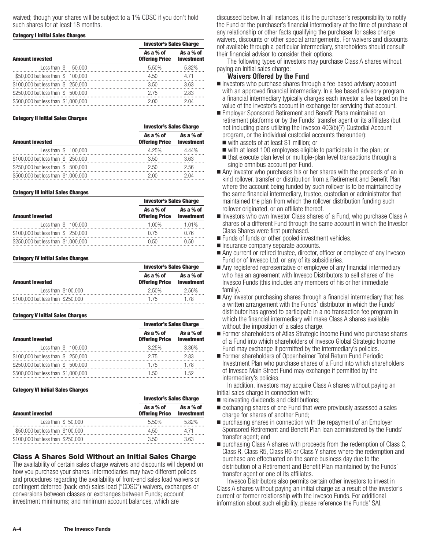waived; though your shares will be subject to a 1% CDSC if you don't hold such shares for at least 18 months.

#### **Category I Initial Sales Charges**

|                                     | <b>Investor's Sales Charge</b>     |                                |  |  |
|-------------------------------------|------------------------------------|--------------------------------|--|--|
| <b>Amount invested</b>              | As a % of<br><b>Offering Price</b> | As a % of<br><b>Investment</b> |  |  |
| Less than $$50.000$                 | 5.50%                              | 5.82%                          |  |  |
| \$50,000 but less than \$ 100,000   | 4.50                               | 4.71                           |  |  |
| \$100,000 but less than \$250,000   | 3.50                               | 3.63                           |  |  |
| \$250,000 but less than \$ 500,000  | 2.75                               | 2.83                           |  |  |
| \$500,000 but less than \$1,000,000 | 2 UU                               | 2 N.A                          |  |  |

#### **Category II Initial Sales Charges**

|                                     | <b>Investor's Sales Charge</b>                |           |  |  |
|-------------------------------------|-----------------------------------------------|-----------|--|--|
| <b>Amount invested</b>              | As a % of<br><b>Offering Price Investment</b> | As a % of |  |  |
| Less than \$ 100,000                | 4.25%                                         | 4.44%     |  |  |
| \$100,000 but less than \$250,000   | 3.50                                          | 3.63      |  |  |
| \$250,000 but less than \$ 500,000  | 2.50                                          | 2.56      |  |  |
| \$500,000 but less than \$1,000,000 | 2 VV                                          | 2 04      |  |  |

#### **Category III Initial Sales Charges**

|                                     | <b>Investor's Sales Charge</b>     |                                |
|-------------------------------------|------------------------------------|--------------------------------|
| <b>Amount invested</b>              | As a % of<br><b>Offering Price</b> | As a % of<br><b>Investment</b> |
| Less than \$ 100,000                | 1 በበ%                              | 1 01%                          |
| \$100,000 but less than \$250,000   | በ 75                               | በ 76                           |
| \$250,000 but less than \$1,000,000 | 0.50                               | N 50.                          |

#### **Category IV Initial Sales Charges**

|                                   | <b>Investor's Sales Charge</b> |                                |
|-----------------------------------|--------------------------------|--------------------------------|
| <b>Amount invested</b>            | As a % of<br>Offering Price    | As a % of<br><b>Investment</b> |
| Less than \$100,000               | 2.50%                          | 2.56%                          |
| \$100,000 but less than \$250,000 | 175                            | 1 78.                          |

#### **Category V Initial Sales Charges**

|                                     | <b>Investor's Sales Charge</b>     |                                |  |  |
|-------------------------------------|------------------------------------|--------------------------------|--|--|
| <b>Amount invested</b>              | As a % of<br><b>Offering Price</b> | As a % of<br><b>Investment</b> |  |  |
| Less than $$100,000$                | 3.25%                              | 3.36%                          |  |  |
| \$100,000 but less than \$250,000   | 2.75                               | 283                            |  |  |
| \$250,000 but less than \$ 500,000  | 1.75                               | 1.78                           |  |  |
| \$500,000 but less than \$1,000,000 | 1.50                               | 1.52                           |  |  |

#### **Category VI Initial Sales Charges**

|                                   |                                    | <b>Investor's Sales Charge</b> |  |  |  |
|-----------------------------------|------------------------------------|--------------------------------|--|--|--|
| <b>Amount invested</b>            | As a % of<br><b>Offering Price</b> | As a % of<br><b>Investment</b> |  |  |  |
| Less than $$50,000$               | 5.50%                              | 582%                           |  |  |  |
| \$50,000 but less than \$100,000  | 4.50                               | 4 71                           |  |  |  |
| \$100,000 but less than \$250,000 | 3.50                               | 3 63                           |  |  |  |

# **Class A Shares Sold Without an Initial Sales Charge**

The availability of certain sales charge waivers and discounts will depend on how you purchase your shares. Intermediaries may have different policies and procedures regarding the availability of front-end sales load waivers or contingent deferred (back-end) sales load ("CDSC") waivers, exchanges or conversions between classes or exchanges between Funds; account investment minimums; and minimum account balances, which are

discussed below. In all instances, it is the purchaser's responsibility to notify the Fund or the purchaser's financial intermediary at the time of purchase of any relationship or other facts qualifying the purchaser for sales charge waivers, discounts or other special arrangements. For waivers and discounts not available through a particular intermediary, shareholders should consult their financial advisor to consider their options.

The following types of investors may purchase Class A shares without paying an initial sales charge:

#### **Waivers Offered by the Fund**

- **n** Investors who purchase shares through a fee-based advisory account with an approved financial intermediary. In a fee based advisory program, a financial intermediary typically charges each investor a fee based on the value of the investor's account in exchange for servicing that account.
- Employer Sponsored Retirement and Benefit Plans maintained on retirement platforms or by the Funds' transfer agent or its affiliates (but not including plans utilizing the Invesco 403(b)(7) Custodial Account program, or the individual custodial accounts thereunder):
	- with assets of at least \$1 million; or
	- with at least 100 employees eligible to participate in the plan; or
	- that execute plan level or multiple-plan level transactions through a single omnibus account per Fund.
- Any investor who purchases his or her shares with the proceeds of an in kind rollover, transfer or distribution from a Retirement and Benefit Plan where the account being funded by such rollover is to be maintained by the same financial intermediary, trustee, custodian or administrator that maintained the plan from which the rollover distribution funding such rollover originated, or an affiliate thereof.
- Investors who own Investor Class shares of a Fund, who purchase Class A shares of a different Fund through the same account in which the Investor Class Shares were first purchased.
- **Example 3 Funds or other pooled investment vehicles.**
- Insurance company separate accounts.
- Any current or retired trustee, director, officer or employee of any Invesco Fund or of Invesco Ltd. or any of its subsidiaries.
- Any registered representative or employee of any financial intermediary who has an agreement with Invesco Distributors to sell shares of the Invesco Funds (this includes any members of his or her immediate family).
- Any investor purchasing shares through a financial intermediary that has a written arrangement with the Funds' distributor in which the Funds' distributor has agreed to participate in a no transaction fee program in which the financial intermediary will make Class A shares available without the imposition of a sales charge.
- Former shareholders of Atlas Strategic Income Fund who purchase shares of a Fund into which shareholders of Invesco Global Strategic Income Fund may exchange if permitted by the intermediary's policies.
- Former shareholders of Oppenheimer Total Return Fund Periodic Investment Plan who purchase shares of a Fund into which shareholders of Invesco Main Street Fund may exchange if permitted by the intermediary's policies.

In addition, investors may acquire Class A shares without paying an initial sales charge in connection with:

- **nd** reinvesting dividends and distributions;
- **Exchanging shares of one Fund that were previously assessed a sales** charge for shares of another Fund;
- **purchasing shares in connection with the repayment of an Employer** Sponsored Retirement and Benefit Plan loan administered by the Funds' transfer agent; and
- purchasing Class A shares with proceeds from the redemption of Class C, Class R, Class R5, Class R6 or Class Y shares where the redemption and purchase are effectuated on the same business day due to the distribution of a Retirement and Benefit Plan maintained by the Funds' transfer agent or one of its affiliates.

Invesco Distributors also permits certain other investors to invest in Class A shares without paying an initial charge as a result of the investor's current or former relationship with the Invesco Funds. For additional information about such eligibility, please reference the Funds' SAI.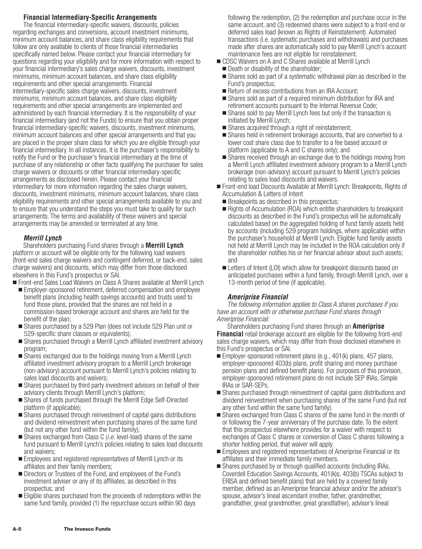# **Financial Intermediary-Specific Arrangements**

The financial intermediary-specific waivers, discounts, policies regarding exchanges and conversions, account investment minimums, minimum account balances, and share class eligibility requirements that follow are only available to clients of those financial intermediaries specifically named below. Please contact your financial intermediary for questions regarding your eligibility and for more information with respect to your financial intermediary's sales charge waivers, discounts, investment minimums, minimum account balances, and share class eligibility requirements and other special arrangements. Financial intermediary-specific sales charge waivers, discounts, investment minimums, minimum account balances, and share class eligibility requirements and other special arrangements are implemented and administered by each financial intermediary. It is the responsibility of your financial intermediary (and not the Funds) to ensure that you obtain proper financial intermediary-specific waivers, discounts, investment minimums, minimum account balances and other special arrangements and that you are placed in the proper share class for which you are eligible through your financial intermediary. In all instances, it is the purchaser's responsibility to notify the Fund or the purchaser's financial intermediary at the time of purchase of any relationship or other facts qualifying the purchaser for sales charge waivers or discounts or other financial intermediary-specific arrangements as disclosed herein. Please contact your financial intermediary for more information regarding the sales charge waivers, discounts, investment minimums, minimum account balances, share class eligibility requirements and other special arrangements available to you and to ensure that you understand the steps you must take to qualify for such arrangements. The terms and availability of these waivers and special arrangements may be amended or terminated at any time.

#### *Merrill Lynch*

Shareholders purchasing Fund shares through a **Merrill Lynch** platform or account will be eligible only for the following load waivers (front-end sales charge waivers and contingent deferred, or back-end, sales charge waivers) and discounts, which may differ from those disclosed elsewhere in this Fund's prospectus or SAI.

- Front-end Sales Load Waivers on Class A Shares available at Merrill Lynch ■ Employer-sponsored retirement, deferred compensation and employee benefit plans (including health savings accounts) and trusts used to fund those plans, provided that the shares are not held in a commission-based brokerage account and shares are held for the
- benefit of the plan; ■ Shares purchased by a 529 Plan (does not include 529 Plan unit or 529-specific share classes or equivalents);
- Shares purchased through a Merrill Lynch affiliated investment advisory program;
- Shares exchanged due to the holdings moving from a Merrill Lynch affiliated investment advisory program to a Merrill Lynch brokerage (non-advisory) account pursuant to Merrill Lynch's policies relating to sales load discounts and waivers;
- Shares purchased by third party investment advisors on behalf of their advisory clients through Merrill Lynch's platform;
- Shares of funds purchased through the Merrill Edge Self-Directed platform (if applicable);
- Shares purchased through reinvestment of capital gains distributions and dividend reinvestment when purchasing shares of the same fund (but not any other fund within the fund family);
- Shares exchanged from Class C (*i.e.* level-load) shares of the same fund pursuant to Merrill Lynch's policies relating to sales load discounts and waivers;
- Employees and registered representatives of Merrill Lynch or its affiliates and their family members;
- Directors or Trustees of the Fund, and employees of the Fund's investment adviser or any of its affiliates, as described in this prospectus; and
- Eligible shares purchased from the proceeds of redemptions within the same fund family, provided (1) the repurchase occurs within 90 days

following the redemption, (2) the redemption and purchase occur in the same account, and (3) redeemed shares were subject to a front-end or deferred sales load (known as Rights of Reinstatement). Automated transactions (i.e. systematic purchases and withdrawals) and purchases made after shares are automatically sold to pay Merrill Lynch's account maintenance fees are not eligible for reinstatement.

- **DEACORTA CONTROG CONTROLLY CONTROLLY CONTROLLY CONTROLLY CONTROLLY CONTROLLY CONTROLLY CONTROLLY CONTROLLY CONTROLLY CONTROLLY CONTROLLY CONTROLLY CONTROLLY CONTROLLY CONTROLLY CONTROLLY CONTROLLY CONTROLLY CONTROLLY CONT** 
	- **Death or disability of the shareholder;**
	- Shares sold as part of a systematic withdrawal plan as described in the Fund's prospectus;
	- Return of excess contributions from an IRA Account;
	- Shares sold as part of a required minimum distribution for IRA and retirement accounts pursuant to the Internal Revenue Code;
	- Shares sold to pay Merrill Lynch fees but only if the transaction is initiated by Merrill Lynch;
	- Shares acquired through a right of reinstatement;
	- Shares held in retirement brokerage accounts, that are converted to a lower cost share class due to transfer to a fee based account or platform (applicable to A and C shares only); and
	- Shares received through an exchange due to the holdings moving from a Merrill Lynch affiliated investment advisory program to a Merrill Lynch brokerage (non-advisory) account pursuant to Merrill Lynch's policies relating to sales load discounts and waivers.
- Front-end load Discounts Available at Merrill Lynch: Breakpoints, Rights of Accumulation & Letters of Intent
	- **Breakpoints as described in this prospectus;**
- Rights of Accumulation (ROA) which entitle shareholders to breakpoint discounts as described in the Fund's prospectus will be automatically calculated based on the aggregated holding of fund family assets held by accounts (including 529 program holdings, where applicable) within the purchaser's household at Merrill Lynch. Eligible fund family assets not held at Merrill Lynch may be included in the ROA calculation only if the shareholder notifies his or her financial advisor about such assets; and
- Letters of Intent (LOI) which allow for breakpoint discounts based on anticipated purchases within a fund family, through Merrill Lynch, over a 13-month period of time (if applicable).

# *Ameriprise Financial*

*The following information applies to Class A shares purchases if you have an account with or otherwise purchase Fund shares through Ameriprise Financial:*

Shareholders purchasing Fund shares through an **Ameriprise Financial** retail brokerage account are eligible for the following front-end sales charge waivers, which may differ from those disclosed elsewhere in this Fund's prospectus or SAI.

- Employer-sponsored retirement plans (e.g., 401(k) plans, 457 plans, employer-sponsored 403(b) plans, profit sharing and money purchase pension plans and defined benefit plans). For purposes of this provision, employer-sponsored retirement plans do not include SEP IRAs, Simple IRAs or SAR-SEPs.
- Shares purchased through reinvestment of capital gains distributions and dividend reinvestment when purchasing shares of the same Fund (but not any other fund within the same fund family).
- Shares exchanged from Class C shares of the same fund in the month of or following the 7-year anniversary of the purchase date. To the extent that this prospectus elsewhere provides for a waiver with respect to exchanges of Class C shares or conversion of Class C shares following a shorter holding period, that waiver will apply.
- Employees and registered representatives of Ameriprise Financial or its affiliates and their immediate family members.
- Shares purchased by or through qualified accounts (including IRAs, Coverdell Education Savings Accounts, 401(k)s, 403(b) TSCAs subject to ERISA and defined benefit plans) that are held by a covered family member, defined as an Ameriprise financial advisor and/or the advisor's spouse, advisor's lineal ascendant (mother, father, grandmother, grandfather, great grandmother, great grandfather), advisor's lineal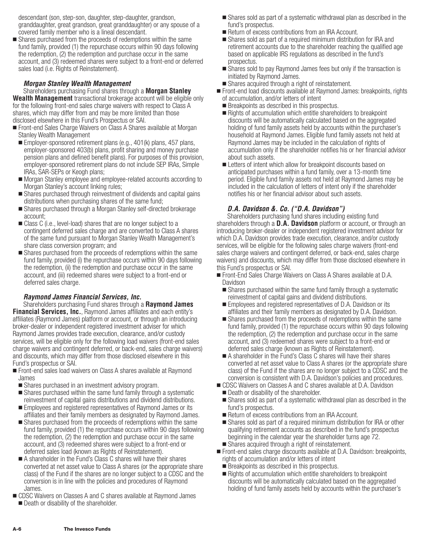descendant (son, step-son, daughter, step-daughter, grandson, granddaughter, great grandson, great granddaughter) or any spouse of a covered family member who is a lineal descendant.

**Shares purchased from the proceeds of redemptions within the same** fund family, provided (1) the repurchase occurs within 90 days following the redemption, (2) the redemption and purchase occur in the same account, and (3) redeemed shares were subject to a front-end or deferred sales load (i.e. Rights of Reinstatement).

# *Morgan Stanley Wealth Management*

Shareholders purchasing Fund shares through a **Morgan Stanley Wealth Management** transactional brokerage account will be eligible only for the following front-end sales charge waivers with respect to Class A shares, which may differ from and may be more limited than those disclosed elsewhere in this Fund's Prospectus or SAI.

- Front-end Sales Charge Waivers on Class A Shares available at Morgan Stanley Wealth Management
- Employer-sponsored retirement plans (e.g., 401(k) plans, 457 plans, employer-sponsored 403(b) plans, profit sharing and money purchase pension plans and defined benefit plans). For purposes of this provision, employer-sponsored retirement plans do not include SEP IRAs, Simple IRAs, SAR-SEPs or Keogh plans;
- Morgan Stanley employee and employee-related accounts according to Morgan Stanley's account linking rules;
- **Shares purchased through reinvestment of dividends and capital gains** distributions when purchasing shares of the same fund;
- Shares purchased through a Morgan Stanley self-directed brokerage account;
- Class C (i.e., level-load) shares that are no longer subject to a contingent deferred sales charge and are converted to Class A shares of the same fund pursuant to Morgan Stanley Wealth Management's share class conversion program; and
- Shares purchased from the proceeds of redemptions within the same fund family, provided (i) the repurchase occurs within 90 days following the redemption, (ii) the redemption and purchase occur in the same account, and (iii) redeemed shares were subject to a front-end or deferred sales charge.

# *Raymond James Financial Services, Inc.*

Shareholders purchasing Fund shares through a **Raymond James Financial Services, Inc.**, Raymond James affiliates and each entity's affiliates (Raymond James) platform or account, or through an introducing broker-dealer or independent registered investment adviser for which Raymond James provides trade execution, clearance, and/or custody services, will be eligible only for the following load waivers (front-end sales charge waivers and contingent deferred, or back-end, sales charge waivers) and discounts, which may differ from those disclosed elsewhere in this Fund's prospectus or SAI.

- Front-end sales load waivers on Class A shares available at Raymond James
- Shares purchased in an investment advisory program.
- Shares purchased within the same fund family through a systematic reinvestment of capital gains distributions and dividend distributions.
- **Employees and registered representatives of Raymond James or its** affiliates and their family members as designated by Raymond James.
- Shares purchased from the proceeds of redemptions within the same fund family, provided (1) the repurchase occurs within 90 days following the redemption, (2) the redemption and purchase occur in the same account, and (3) redeemed shares were subject to a front-end or deferred sales load (known as Rights of Reinstatement).
- A shareholder in the Fund's Class C shares will have their shares converted at net asset value to Class A shares (or the appropriate share class) of the Fund if the shares are no longer subject to a CDSC and the conversion is in line with the policies and procedures of Raymond James.
- CDSC Waivers on Classes A and C shares available at Raymond James **Death or disability of the shareholder.**
- Shares sold as part of a systematic withdrawal plan as described in the fund's prospectus.
- Return of excess contributions from an IRA Account.
- Shares sold as part of a required minimum distribution for IRA and retirement accounts due to the shareholder reaching the qualified age based on applicable IRS regulations as described in the fund's prospectus.
- Shares sold to pay Raymond James fees but only if the transaction is initiated by Raymond James.
- Shares acquired through a right of reinstatement.
- Front-end load discounts available at Raymond James: breakpoints, rights of accumulation, and/or letters of intent
	- **Breakpoints as described in this prospectus.**
	- Rights of accumulation which entitle shareholders to breakpoint discounts will be automatically calculated based on the aggregated holding of fund family assets held by accounts within the purchaser's household at Raymond James. Eligible fund family assets not held at Raymond James may be included in the calculation of rights of accumulation only if the shareholder notifies his or her financial advisor about such assets.
	- **Example 1** Letters of intent which allow for breakpoint discounts based on anticipated purchases within a fund family, over a 13-month time period. Eligible fund family assets not held at Raymond James may be included in the calculation of letters of intent only if the shareholder notifies his or her financial advisor about such assets.

# *D.A. Davidson &. Co. ("D.A. Davidson")*

Shareholders purchasing fund shares including existing fund shareholders through a **D.A. Davidson** platform or account, or through an introducing broker-dealer or independent registered investment advisor for which D.A. Davidson provides trade execution, clearance, and/or custody services, will be eligible for the following sales charge waivers (front-end sales charge waivers and contingent deferred, or back-end, sales charge waivers) and discounts, which may differ from those disclosed elsewhere in this Fund's prospectus or SAI.

- Front-End Sales Charge Waivers on Class A Shares available at D.A. Davidson
	- **Shares purchased within the same fund family through a systematic** reinvestment of capital gains and dividend distributions.
	- Employees and registered representatives of D.A. Davidson or its affiliates and their family members as designated by D.A. Davidson.
	- Shares purchased from the proceeds of redemptions within the same fund family, provided (1) the repurchase occurs within 90 days following the redemption, (2) the redemption and purchase occur in the same account, and (3) redeemed shares were subject to a front-end or deferred sales charge (known as Rights of Reinstatement).
- A shareholder in the Fund's Class C shares will have their shares converted at net asset value to Class A shares (or the appropriate share class) of the Fund if the shares are no longer subject to a CDSC and the conversion is consistent with D.A. Davidson's policies and procedures.
- CDSC Waivers on Classes A and C shares available at D.A. Davidson
	- **Death or disability of the shareholder.**
	- Shares sold as part of a systematic withdrawal plan as described in the fund's prospectus.
	- Return of excess contributions from an IRA Account.
	- Shares sold as part of a required minimum distribution for IRA or other qualifying retirement accounts as described in the fund's prospectus beginning in the calendar year the shareholder turns age 72.
- Shares acquired through a right of reinstatement.
- Front-end sales charge discounts available at D.A. Davidson: breakpoints, rights of accumulation and/or letters of intent
	- **Breakpoints as described in this prospectus.**
	- Rights of accumulation which entitle shareholders to breakpoint discounts will be automatically calculated based on the aggregated holding of fund family assets held by accounts within the purchaser's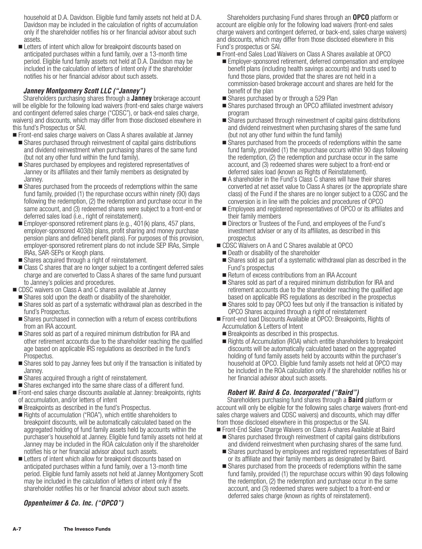household at D.A. Davidson. Eligible fund family assets not held at D.A. Davidson may be included in the calculation of rights of accumulation only if the shareholder notifies his or her financial advisor about such assets.

**Examped Letters of intent which allow for breakpoint discounts based on** anticipated purchases within a fund family, over a 13-month time period. Eligible fund family assets not held at D.A. Davidson may be included in the calculation of letters of intent only if the shareholder notifies his or her financial advisor about such assets.

# *Janney Montgomery Scott LLC ("Janney")*

Shareholders purchasing shares through a **Janney** brokerage account will be eligible for the following load waivers (front-end sales charge waivers and contingent deferred sales charge ("CDSC"), or back-end sales charge, waivers) and discounts, which may differ from those disclosed elsewhere in this fund's Prospectus or SAI.

■ Front-end sales charge waivers on Class A shares available at Janney

- Shares purchased through reinvestment of capital gains distributions and dividend reinvestment when purchasing shares of the same fund (but not any other fund within the fund family).
- Shares purchased by employees and registered representatives of Janney or its affiliates and their family members as designated by Janney.
- Shares purchased from the proceeds of redemptions within the same fund family, provided (1) the repurchase occurs within ninety (90) days following the redemption, (2) the redemption and purchase occur in the same account, and (3) redeemed shares were subject to a front-end or deferred sales load (i.e., right of reinstatement).
- Employer-sponsored retirement plans (e.g., 401(k) plans, 457 plans, employer-sponsored 403(b) plans, profit sharing and money purchase pension plans and defined benefit plans). For purposes of this provision, employer-sponsored retirement plans do not include SEP IRAs, Simple IRAs, SAR-SEPs or Keogh plans.
- Shares acquired through a right of reinstatement.
- Class C shares that are no longer subject to a contingent deferred sales charge and are converted to Class A shares of the same fund pursuant to Janney's policies and procedures.
- CDSC waivers on Class A and C shares available at Janney
	- **Shares sold upon the death or disability of the shareholder.**
	- Shares sold as part of a systematic withdrawal plan as described in the fund's Prospectus.
	- Shares purchased in connection with a return of excess contributions from an IRA account.
	- Shares sold as part of a required minimum distribution for IRA and other retirement accounts due to the shareholder reaching the qualified age based on applicable IRS regulations as described in the fund's Prospectus.
	- Shares sold to pay Janney fees but only if the transaction is initiated by Janney.
	- Shares acquired through a right of reinstatement.
- Shares exchanged into the same share class of a different fund.
- Front-end sales charge discounts available at Janney: breakpoints, rights of accumulation, and/or letters of intent
- **Breakpoints as described in the fund's Prospectus.**
- Rights of accumulation ("ROA"), which entitle shareholders to breakpoint discounts, will be automatically calculated based on the aggregated holding of fund family assets held by accounts within the purchaser's household at Janney. Eligible fund family assets not held at Janney may be included in the ROA calculation only if the shareholder notifies his or her financial advisor about such assets.
- **Examped Letters of intent which allow for breakpoint discounts based on** anticipated purchases within a fund family, over a 13-month time period. Eligible fund family assets not held at Janney Montgomery Scott may be included in the calculation of letters of intent only if the shareholder notifies his or her financial advisor about such assets.

# *Oppenheimer & Co. Inc. ("OPCO")*

Shareholders purchasing Fund shares through an **OPCO** platform or account are eligible only for the following load waivers (front-end sales charge waivers and contingent deferred, or back-end, sales charge waivers) and discounts, which may differ from those disclosed elsewhere in this Fund's prospectus or SAI.

- Front-end Sales Load Waivers on Class A Shares available at OPCO
	- Employer-sponsored retirement, deferred compensation and employee benefit plans (including health savings accounts) and trusts used to fund those plans, provided that the shares are not held in a commission-based brokerage account and shares are held for the benefit of the plan
	- Shares purchased by or through a 529 Plan
	- Shares purchased through an OPCO affiliated investment advisory program
	- Shares purchased through reinvestment of capital gains distributions and dividend reinvestment when purchasing shares of the same fund (but not any other fund within the fund family)
	- Shares purchased from the proceeds of redemptions within the same fund family, provided (1) the repurchase occurs within 90 days following the redemption, (2) the redemption and purchase occur in the same account, and (3) redeemed shares were subject to a front-end or deferred sales load (known as Rights of Reinstatement).
	- A shareholder in the Fund's Class C shares will have their shares converted at net asset value to Class A shares (or the appropriate share class) of the Fund if the shares are no longer subject to a CDSC and the conversion is in line with the policies and procedures of OPCO
	- Employees and registered representatives of OPCO or its affiliates and their family members
	- Directors or Trustees of the Fund, and employees of the Fund's investment adviser or any of its affiliates, as described in this prospectus
- CDSC Waivers on A and C Shares available at OPCO
	- **Death or disability of the shareholder**
- Shares sold as part of a systematic withdrawal plan as described in the Fund's prospectus
- Return of excess contributions from an IRA Account
- Shares sold as part of a required minimum distribution for IRA and retirement accounts due to the shareholder reaching the qualified age based on applicable IRS regulations as described in the prospectus
- Shares sold to pay OPCO fees but only if the transaction is initiated by OPCO Shares acquired through a right of reinstatement
- Front-end load Discounts Available at OPCO: Breakpoints, Rights of Accumulation & Letters of Intent
- **Breakpoints as described in this prospectus.**
- Rights of Accumulation (ROA) which entitle shareholders to breakpoint discounts will be automatically calculated based on the aggregated holding of fund family assets held by accounts within the purchaser's household at OPCO. Eligible fund family assets not held at OPCO may be included in the ROA calculation only if the shareholder notifies his or her financial advisor about such assets.

# *Robert W. Baird & Co. Incorporated ("Baird")*

Shareholders purchasing fund shares through a **Baird** platform or account will only be eligible for the following sales charge waivers (front-end sales charge waivers and CDSC waivers) and discounts, which may differ from those disclosed elsewhere in this prospectus or the SAI.

- Front-End Sales Charge Waivers on Class A-shares Available at Baird
	- Shares purchased through reinvestment of capital gains distributions and dividend reinvestment when purchasing shares of the same fund.
	- Shares purchased by employees and registered representatives of Baird or its affiliate and their family members as designated by Baird.
	- Shares purchased from the proceeds of redemptions within the same fund family, provided (1) the repurchase occurs within 90 days following the redemption, (2) the redemption and purchase occur in the same account, and (3) redeemed shares were subject to a front-end or deferred sales charge (known as rights of reinstatement).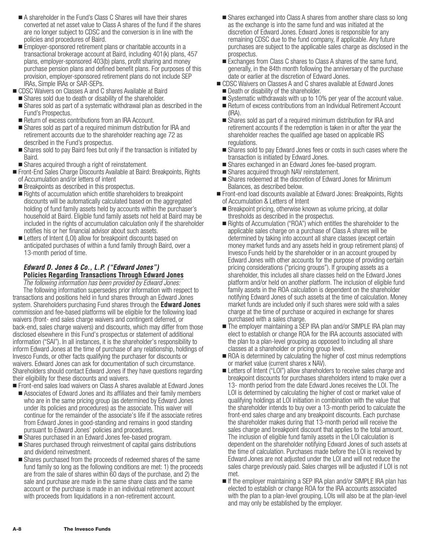- A shareholder in the Fund's Class C Shares will have their shares converted at net asset value to Class A shares of the fund if the shares are no longer subject to CDSC and the conversion is in line with the policies and procedures of Baird.
- Employer-sponsored retirement plans or charitable accounts in a transactional brokerage account at Baird, including 401(k) plans, 457 plans, employer-sponsored 403(b) plans, profit sharing and money purchase pension plans and defined benefit plans. For purposes of this provision, employer-sponsored retirement plans do not include SEP IRAs, Simple IRAs or SAR-SEPs.
- CDSC Waivers on Classes A and C shares Available at Baird
- **Shares sold due to death or disability of the shareholder.**
- Shares sold as part of a systematic withdrawal plan as described in the Fund's Prospectus.
- Return of excess contributions from an IRA Account.
- Shares sold as part of a required minimum distribution for IRA and retirement accounts due to the shareholder reaching age 72 as described in the Fund's prospectus.
- Shares sold to pay Baird fees but only if the transaction is initiated by Baird.
- Shares acquired through a right of reinstatement.
- Front-End Sales Charge Discounts Available at Baird: Breakpoints, Rights of Accumulation and/or letters of intent
	- **Breakpoints as described in this prospectus.**
	- Rights of accumulation which entitle shareholders to breakpoint discounts will be automatically calculated based on the aggregated holding of fund family assets held by accounts within the purchaser's household at Baird. Eligible fund family assets not held at Baird may be included in the rights of accumulation calculation only if the shareholder notifies his or her financial advisor about such assets.
	- Letters of Intent (LOI) allow for breakpoint discounts based on anticipated purchases of within a fund family through Baird, over a 13-month period of time.

# *Edward D. Jones & Co., L.P. ("Edward Jones")* **Policies Regarding Transactions Through Edward Jones**

*The following information has been provided by Edward Jones:* The following information supersedes prior information with respect to transactions and positions held in fund shares through an Edward Jones system. Shareholders purchasing Fund shares through the **Edward Jones** commission and fee-based platforms will be eligible for the following load waivers (front- end sales charge waivers and contingent deferred, or back-end, sales charge waivers) and discounts, which may differ from those disclosed elsewhere in this Fund's prospectus or statement of additional information ("SAI"). In all instances, it is the shareholder's responsibility to inform Edward Jones at the time of purchase of any relationship, holdings of Invesco Funds, or other facts qualifying the purchaser for discounts or waivers. Edward Jones can ask for documentation of such circumstance. Shareholders should contact Edward Jones if they have questions regarding their eligibility for these discounts and waivers.

- Front-end sales load waivers on Class A shares available at Edward Jones ■ Associates of Edward Jones and its affiliates and their family members

- who are in the same pricing group (as determined by Edward Jones under its policies and procedures) as the associate. This waiver will continue for the remainder of the associate's life if the associate retires from Edward Jones in good-standing and remains in good standing pursuant to Edward Jones' policies and procedures.
- Shares purchased in an Edward Jones fee-based program.
- Shares purchased through reinvestment of capital gains distributions and dividend reinvestment.
- **Shares purchased from the proceeds of redeemed shares of the same** fund family so long as the following conditions are met: 1) the proceeds are from the sale of shares within 60 days of the purchase, and 2) the sale and purchase are made in the same share class and the same account or the purchase is made in an individual retirement account with proceeds from liquidations in a non-retirement account.
- Shares exchanged into Class A shares from another share class so long as the exchange is into the same fund and was initiated at the discretion of Edward Jones. Edward Jones is responsible for any remaining CDSC due to the fund company, if applicable. Any future purchases are subject to the applicable sales charge as disclosed in the prospectus.
- Exchanges from Class C shares to Class A shares of the same fund, generally, in the 84th month following the anniversary of the purchase date or earlier at the discretion of Edward Jones.
- **DICO SC Waivers on Classes A and C shares available at Edward Jones** 
	- **Death or disability of the shareholder.**
	- Systematic withdrawals with up to 10% per year of the account value.
	- Return of excess contributions from an Individual Retirement Account (IRA).
	- Shares sold as part of a required minimum distribution for IRA and retirement accounts if the redemption is taken in or after the year the shareholder reaches the qualified age based on applicable IRS regulations.
	- **Shares sold to pay Edward Jones fees or costs in such cases where the** transaction is initiated by Edward Jones.
	- Shares exchanged in an Edward Jones fee-based program.
	- **Shares acquired through NAV reinstatement.**
- Shares redeemed at the discretion of Edward Jones for Minimum Balances, as described below.
- Front-end load discounts available at Edward Jones: Breakpoints, Rights of Accumulation & Letters of Intent
	- Breakpoint pricing, otherwise known as volume pricing, at dollar thresholds as described in the prospectus.
	- Rights of Accumulation ("ROA") which entitles the shareholder to the applicable sales charge on a purchase of Class A shares will be determined by taking into account all share classes (except certain money market funds and any assets held in group retirement plans) of Invesco Funds held by the shareholder or in an account grouped by Edward Jones with other accounts for the purpose of providing certain pricing considerations ("pricing groups"). If grouping assets as a shareholder, this includes all share classes held on the Edward Jones platform and/or held on another platform. The inclusion of eligible fund family assets in the ROA calculation is dependent on the shareholder notifying Edward Jones of such assets at the time of calculation. Money market funds are included only if such shares were sold with a sales charge at the time of purchase or acquired in exchange for shares purchased with a sales charge.
	- The employer maintaining a SEP IRA plan and/or SIMPLE IRA plan may elect to establish or change ROA for the IRA accounts associated with the plan to a plan-level grouping as opposed to including all share classes at a shareholder or pricing group level.
	- ROA is determined by calculating the higher of cost minus redemptions or market value (current shares x NAV).
	- **Example 1** Letters of Intent ("LOI") allow shareholders to receive sales charge and breakpoint discounts for purchases shareholders intend to make over a 13- month period from the date Edward Jones receives the LOI. The LOI is determined by calculating the higher of cost or market value of qualifying holdings at LOI initiation in combination with the value that the shareholder intends to buy over a 13-month period to calculate the front-end sales charge and any breakpoint discounts. Each purchase the shareholder makes during that 13-month period will receive the sales charge and breakpoint discount that applies to the total amount. The inclusion of eligible fund family assets in the LOI calculation is dependent on the shareholder notifying Edward Jones of such assets at the time of calculation. Purchases made before the LOI is received by Edward Jones are not adjusted under the LOI and will not reduce the sales charge previously paid. Sales charges will be adjusted if LOI is not met.
	- If the employer maintaining a SEP IRA plan and/or SIMPLE IRA plan has elected to establish or change ROA for the IRA accounts associated with the plan to a plan-level grouping, LOIs will also be at the plan-level and may only be established by the employer.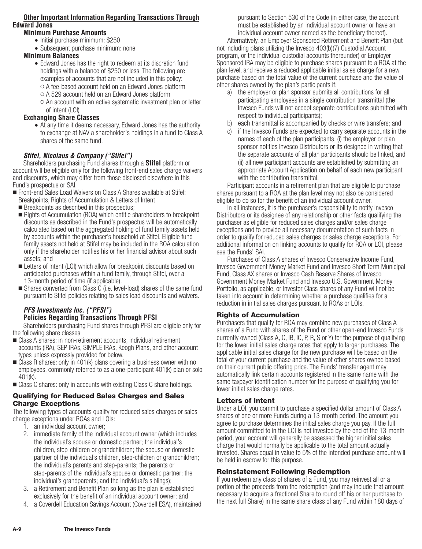# **Other Important Information Regarding Transactions Through Edward Jones**

# **Minimum Purchase Amounts**

- Initial purchase minimum: \$250
- Subsequent purchase minimum: none

# **Minimum Balances**

- Edward Jones has the right to redeem at its discretion fund holdings with a balance of \$250 or less. The following are examples of accounts that are not included in this policy:  $\circ$  A fee-based account held on an Edward Jones platform
	- A 529 account held on an Edward Jones platform
	- $\circ$  An account with an active systematic investment plan or letter of intent (LOI)

# **Exchanging Share Classes**

• At any time it deems necessary, Edward Jones has the authority to exchange at NAV a shareholder's holdings in a fund to Class A shares of the same fund.

# *Stifel, Nicolaus & Company ("Stifel")*

Shareholders purchasing Fund shares through a **Stifel** platform or account will be eligible only for the following front-end sales charge waivers and discounts, which may differ from those disclosed elsewhere in this Fund's prospectus or SAI.

- Front-end Sales Load Waivers on Class A Shares available at Stifel: Breakpoints, Rights of Accumulation & Letters of Intent
	- **Breakpoints as described in this prospectus;**
	- Rights of Accumulation (ROA) which entitle shareholders to breakpoint discounts as described in the Fund's prospectus will be automatically calculated based on the aggregated holding of fund family assets held by accounts within the purchaser's household at Stifel. Eligible fund family assets not held at Stifel may be included in the ROA calculation only if the shareholder notifies his or her financial advisor about such assets; and
	- Letters of Intent (LOI) which allow for breakpoint discounts based on anticipated purchases within a fund family, through Stifel, over a 13-month period of time (if applicable).
	- Shares converted from Class C (i.e. level-load) shares of the same fund pursuant to Stifel policies relating to sales load discounts and waivers.

# *PFS Investments Inc. ("PFSI")* **Policies Regarding Transactions Through PFSI**

Shareholders purchasing Fund shares through PFSI are eligible only for the following share classes:

- Class A shares: in non-retirement accounts, individual retirement accounts (IRA), SEP IRAs, SIMPLE IRAs, Keogh Plans, and other account types unless expressly provided for below.
- Class R shares: only in 401(k) plans covering a business owner with no employees, commonly referred to as a one-participant 401(k) plan or solo 401(k).
- Class C shares: only in accounts with existing Class C share holdings.

#### **Qualifying for Reduced Sales Charges and Sales Charge Exceptions**

The following types of accounts qualify for reduced sales charges or sales charge exceptions under ROAs and LOIs:

- 1. an individual account owner;
- 2. immediate family of the individual account owner (which includes the individual's spouse or domestic partner; the individual's children, step-children or grandchildren; the spouse or domestic partner of the individual's children, step-children or grandchildren; the individual's parents and step-parents; the parents or step-parents of the individual's spouse or domestic partner; the individual's grandparents; and the individual's siblings);
- 3. a Retirement and Benefit Plan so long as the plan is established exclusively for the benefit of an individual account owner; and
- 4. a Coverdell Education Savings Account (Coverdell ESA), maintained

pursuant to Section 530 of the Code (in either case, the account must be established by an individual account owner or have an individual account owner named as the beneficiary thereof). Alternatively, an Employer Sponsored Retirement and Benefit Plan (but not including plans utilizing the Invesco 403(b)(7) Custodial Account program, or the individual custodial accounts thereunder) or Employer Sponsored IRA may be eligible to purchase shares pursuant to a ROA at the plan level, and receive a reduced applicable initial sales charge for a new purchase based on the total value of the current purchase and the value of other shares owned by the plan's participants if:

- a) the employer or plan sponsor submits all contributions for all participating employees in a single contribution transmittal (the Invesco Funds will not accept separate contributions submitted with respect to individual participants);
- b) each transmittal is accompanied by checks or wire transfers; and
- c) if the Invesco Funds are expected to carry separate accounts in the names of each of the plan participants, (i) the employer or plan sponsor notifies Invesco Distributors or its designee in writing that the separate accounts of all plan participants should be linked, and (ii) all new participant accounts are established by submitting an appropriate Account Application on behalf of each new participant with the contribution transmittal.

Participant accounts in a retirement plan that are eligible to purchase shares pursuant to a ROA at the plan level may not also be considered eligible to do so for the benefit of an individual account owner.

In all instances, it is the purchaser's responsibility to notify Invesco Distributors or its designee of any relationship or other facts qualifying the purchaser as eligible for reduced sales charges and/or sales charge exceptions and to provide all necessary documentation of such facts in order to qualify for reduced sales charges or sales charge exceptions. For additional information on linking accounts to qualify for ROA or LOI, please see the Funds' SAI.

Purchases of Class A shares of Invesco Conservative Income Fund, Invesco Government Money Market Fund and Invesco Short Term Municipal Fund, Class AX shares or Invesco Cash Reserve Shares of Invesco Government Money Market Fund and Invesco U.S. Government Money Portfolio, as applicable, or Investor Class shares of any Fund will not be taken into account in determining whether a purchase qualifies for a reduction in initial sales charges pursuant to ROAs or LOIs.

# **Rights of Accumulation**

Purchasers that qualify for ROA may combine new purchases of Class A shares of a Fund with shares of the Fund or other open-end Invesco Funds currently owned (Class A, C, IB, IC, P, R, S or Y) for the purpose of qualifying for the lower initial sales charge rates that apply to larger purchases. The applicable initial sales charge for the new purchase will be based on the total of your current purchase and the value of other shares owned based on their current public offering price. The Funds' transfer agent may automatically link certain accounts registered in the same name with the same taxpayer identification number for the purpose of qualifying you for lower initial sales charge rates.

# **Letters of Intent**

Under a LOI, you commit to purchase a specified dollar amount of Class A shares of one or more Funds during a 13-month period. The amount you agree to purchase determines the initial sales charge you pay. If the full amount committed to in the LOI is not invested by the end of the 13-month period, your account will generally be assessed the higher initial sales charge that would normally be applicable to the total amount actually invested. Shares equal in value to 5% of the intended purchase amount will be held in escrow for this purpose.

# **Reinstatement Following Redemption**

If you redeem any class of shares of a Fund, you may reinvest all or a portion of the proceeds from the redemption (and may include that amount necessary to acquire a fractional Share to round off his or her purchase to the next full Share) in the same share class of any Fund within 180 days of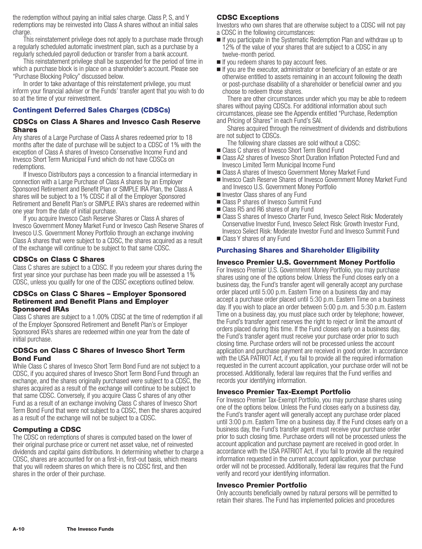the redemption without paying an initial sales charge. Class P, S, and Y redemptions may be reinvested into Class A shares without an initial sales charge.

This reinstatement privilege does not apply to a purchase made through a regularly scheduled automatic investment plan, such as a purchase by a regularly scheduled payroll deduction or transfer from a bank account.

This reinstatement privilege shall be suspended for the period of time in which a purchase block is in place on a shareholder's account. Please see "Purchase Blocking Policy" discussed below.

In order to take advantage of this reinstatement privilege, you must inform your financial adviser or the Funds' transfer agent that you wish to do so at the time of your reinvestment.

# **Contingent Deferred Sales Charges (CDSCs)**

#### **CDSCs on Class A Shares and Invesco Cash Reserve Shares**

Any shares of a Large Purchase of Class A shares redeemed prior to 18 months after the date of purchase will be subject to a CDSC of 1% with the exception of Class A shares of Invesco Conservative Income Fund and Invesco Short Term Municipal Fund which do not have CDSCs on redemptions.

If Invesco Distributors pays a concession to a financial intermediary in connection with a Large Purchase of Class A shares by an Employer Sponsored Retirement and Benefit Plan or SIMPLE IRA Plan, the Class A shares will be subject to a 1% CDSC if all of the Employer Sponsored Retirement and Benefit Plan's or SIMPLE IRA's shares are redeemed within one year from the date of initial purchase.

If you acquire Invesco Cash Reserve Shares or Class A shares of Invesco Government Money Market Fund or Invesco Cash Reserve Shares of Invesco U.S. Government Money Portfolio through an exchange involving Class A shares that were subject to a CDSC, the shares acquired as a result of the exchange will continue to be subject to that same CDSC.

### **CDSCs on Class C Shares**

Class C shares are subject to a CDSC. If you redeem your shares during the first year since your purchase has been made you will be assessed a 1% CDSC, unless you qualify for one of the CDSC exceptions outlined below.

#### **CDSCs on Class C Shares – Employer Sponsored Retirement and Benefit Plans and Employer Sponsored IRAs**

Class C shares are subject to a 1.00% CDSC at the time of redemption if all of the Employer Sponsored Retirement and Benefit Plan's or Employer Sponsored IRA's shares are redeemed within one year from the date of initial purchase.

### **CDSCs on Class C Shares of Invesco Short Term Bond Fund**

While Class C shares of Invesco Short Term Bond Fund are not subject to a CDSC, if you acquired shares of Invesco Short Term Bond Fund through an exchange, and the shares originally purchased were subject to a CDSC, the shares acquired as a result of the exchange will continue to be subject to that same CDSC. Conversely, if you acquire Class C shares of any other Fund as a result of an exchange involving Class C shares of Invesco Short Term Bond Fund that were not subject to a CDSC, then the shares acquired as a result of the exchange will not be subject to a CDSC.

# **Computing a CDSC**

The CDSC on redemptions of shares is computed based on the lower of their original purchase price or current net asset value, net of reinvested dividends and capital gains distributions. In determining whether to charge a CDSC, shares are accounted for on a first-in, first-out basis, which means that you will redeem shares on which there is no CDSC first, and then shares in the order of their purchase.

# **CDSC Exceptions**

Investors who own shares that are otherwise subject to a CDSC will not pay a CDSC in the following circumstances:

- If you participate in the Systematic Redemption Plan and withdraw up to 12% of the value of your shares that are subject to a CDSC in any twelve-month period.
- If you redeem shares to pay account fees.
- If you are the executor, administrator or beneficiary of an estate or are otherwise entitled to assets remaining in an account following the death or post-purchase disability of a shareholder or beneficial owner and you choose to redeem those shares.

There are other circumstances under which you may be able to redeem shares without paying CDSCs. For additional information about such circumstances, please see the Appendix entitled "Purchase, Redemption and Pricing of Shares" in each Fund's SAI.

Shares acquired through the reinvestment of dividends and distributions are not subject to CDSCs.

- The following share classes are sold without a CDSC:
- Class C shares of Invesco Short Term Bond Fund
- Class A2 shares of Invesco Short Duration Inflation Protected Fund and Invesco Limited Term Municipal Income Fund
- Class A shares of Invesco Government Money Market Fund
- Invesco Cash Reserve Shares of Invesco Government Money Market Fund and Invesco U.S. Government Money Portfolio
- Investor Class shares of any Fund
- Class P shares of Invesco Summit Fund
- Class R5 and R6 shares of any Fund
- Class S shares of Invesco Charter Fund, Invesco Select Risk: Moderately Conservative Investor Fund, Invesco Select Risk: Growth Investor Fund, Invesco Select Risk: Moderate Investor Fund and Invesco Summit Fund ■ Class Y shares of any Fund
- **Purchasing Shares and Shareholder Eligibility**

# **Invesco Premier U.S. Government Money Portfolio**

For Invesco Premier U.S. Government Money Portfolio, you may purchase shares using one of the options below. Unless the Fund closes early on a business day, the Fund's transfer agent will generally accept any purchase order placed until 5:00 p.m. Eastern Time on a business day and may accept a purchase order placed until 5:30 p.m. Eastern Time on a business day. If you wish to place an order between 5:00 p.m. and 5:30 p.m. Eastern Time on a business day, you must place such order by telephone; however, the Fund's transfer agent reserves the right to reject or limit the amount of orders placed during this time. If the Fund closes early on a business day, the Fund's transfer agent must receive your purchase order prior to such closing time. Purchase orders will not be processed unless the account application and purchase payment are received in good order. In accordance with the USA PATRIOT Act, if you fail to provide all the required information requested in the current account application, your purchase order will not be processed. Additionally, federal law requires that the Fund verifies and records your identifying information.

#### **Invesco Premier Tax-Exempt Portfolio**

For Invesco Premier Tax-Exempt Portfolio, you may purchase shares using one of the options below. Unless the Fund closes early on a business day, the Fund's transfer agent will generally accept any purchase order placed until 3:00 p.m. Eastern Time on a business day. If the Fund closes early on a business day, the Fund's transfer agent must receive your purchase order prior to such closing time. Purchase orders will not be processed unless the account application and purchase payment are received in good order. In accordance with the USA PATRIOT Act, if you fail to provide all the required information requested in the current account application, your purchase order will not be processed. Additionally, federal law requires that the Fund verify and record your identifying information.

#### **Invesco Premier Portfolio**

Only accounts beneficially owned by natural persons will be permitted to retain their shares. The Fund has implemented policies and procedures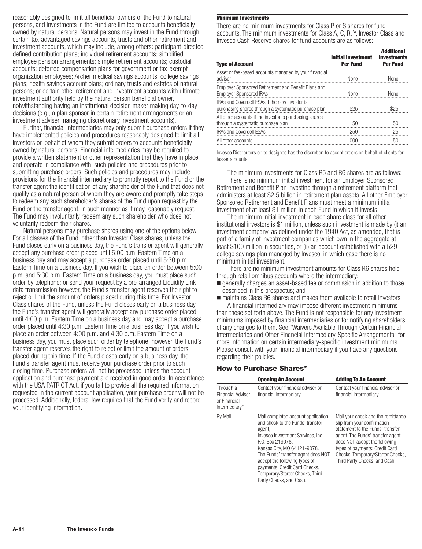reasonably designed to limit all beneficial owners of the Fund to natural persons, and investments in the Fund are limited to accounts beneficially owned by natural persons. Natural persons may invest in the Fund through certain tax-advantaged savings accounts, trusts and other retirement and investment accounts, which may include, among others: participant-directed defined contribution plans; individual retirement accounts; simplified employee pension arrangements; simple retirement accounts; custodial accounts; deferred compensation plans for government or tax-exempt organization employees; Archer medical savings accounts; college savings plans; health savings account plans; ordinary trusts and estates of natural persons; or certain other retirement and investment accounts with ultimate investment authority held by the natural person beneficial owner, notwithstanding having an institutional decision maker making day-to-day decisions (e.g., a plan sponsor in certain retirement arrangements or an investment adviser managing discretionary investment accounts).

Further, financial intermediaries may only submit purchase orders if they have implemented policies and procedures reasonably designed to limit all investors on behalf of whom they submit orders to accounts beneficially owned by natural persons. Financial intermediaries may be required to provide a written statement or other representation that they have in place, and operate in compliance with, such policies and procedures prior to submitting purchase orders. Such policies and procedures may include provisions for the financial intermediary to promptly report to the Fund or the transfer agent the identification of any shareholder of the Fund that does not qualify as a natural person of whom they are aware and promptly take steps to redeem any such shareholder's shares of the Fund upon request by the Fund or the transfer agent, in such manner as it may reasonably request. The Fund may involuntarily redeem any such shareholder who does not voluntarily redeem their shares.

Natural persons may purchase shares using one of the options below. For all classes of the Fund, other than Investor Class shares, unless the Fund closes early on a business day, the Fund's transfer agent will generally accept any purchase order placed until 5:00 p.m. Eastern Time on a business day and may accept a purchase order placed until 5:30 p.m. Eastern Time on a business day. If you wish to place an order between 5:00 p.m. and 5:30 p.m. Eastern Time on a business day, you must place such order by telephone; or send your request by a pre-arranged Liquidity Link data transmission however, the Fund's transfer agent reserves the right to reject or limit the amount of orders placed during this time. For Investor Class shares of the Fund, unless the Fund closes early on a business day, the Fund's transfer agent will generally accept any purchase order placed until 4:00 p.m. Eastern Time on a business day and may accept a purchase order placed until 4:30 p.m. Eastern Time on a business day. If you wish to place an order between 4:00 p.m. and 4:30 p.m. Eastern Time on a business day, you must place such order by telephone; however, the Fund's transfer agent reserves the right to reject or limit the amount of orders placed during this time. If the Fund closes early on a business day, the Fund's transfer agent must receive your purchase order prior to such closing time. Purchase orders will not be processed unless the account application and purchase payment are received in good order. In accordance with the USA PATRIOT Act, if you fail to provide all the required information requested in the current account application, your purchase order will not be processed. Additionally, federal law requires that the Fund verify and record your identifying information.

#### **Minimum Investments**

There are no minimum investments for Class P or S shares for fund accounts. The minimum investments for Class A, C, R, Y, Investor Class and Invesco Cash Reserve shares for fund accounts are as follows:

| <b>Type of Account</b>                                                                                        | <b>Initial Investment</b><br><b>Per Fund</b> | <b>Additional</b><br><b>Investments</b><br><b>Per Fund</b> |
|---------------------------------------------------------------------------------------------------------------|----------------------------------------------|------------------------------------------------------------|
| Asset or fee-based accounts managed by your financial<br>adviser                                              | <b>None</b>                                  | <b>None</b>                                                |
| Employer Sponsored Retirement and Benefit Plans and<br><b>Employer Sponsored IRAs</b>                         | <b>None</b>                                  | <b>None</b>                                                |
| <b>IRAs and Coverdell ESAs if the new investor is</b><br>purchasing shares through a systematic purchase plan | \$25                                         | \$25                                                       |
| All other accounts if the investor is purchasing shares<br>through a systematic purchase plan                 | 50                                           | 50                                                         |
| <b>IRAs and Coverdell ESAs</b>                                                                                | 250                                          | 25                                                         |
| All other accounts                                                                                            | 1.000                                        | 50                                                         |
|                                                                                                               |                                              |                                                            |

Invesco Distributors or its designee has the discretion to accept orders on behalf of clients for lesser amounts.

The minimum investments for Class R5 and R6 shares are as follows: There is no minimum initial investment for an Employer Sponsored Retirement and Benefit Plan investing through a retirement platform that administers at least \$2.5 billion in retirement plan assets. All other Employer Sponsored Retirement and Benefit Plans must meet a minimum initial investment of at least \$1 million in each Fund in which it invests.

The minimum initial investment in each share class for all other institutional investors is \$1 million, unless such investment is made by (i) an investment company, as defined under the 1940 Act, as amended, that is part of a family of investment companies which own in the aggregate at least \$100 million in securities, or (ii) an account established with a 529 college savings plan managed by Invesco, in which case there is no minimum initial investment.

There are no minimum investment amounts for Class R6 shares held through retail omnibus accounts where the intermediary:

- generally charges an asset-based fee or commission in addition to those described in this prospectus; and
- maintains Class R6 shares and makes them available to retail investors. A financial intermediary may impose different investment minimums

than those set forth above. The Fund is not responsible for any investment minimums imposed by financial intermediaries or for notifying shareholders of any changes to them. See "Waivers Available Through Certain Financial Intermediaries and Other Financial Intermediary-Specific Arrangements" for more information on certain intermediary-specific investment minimums. Please consult with your financial intermediary if you have any questions regarding their policies.

#### **How to Purchase Shares\***

|                                                                        | <b>Opening An Account</b>                                                                                                                                                                                                                                                                                                                      | <b>Adding To An Account</b>                                                                                                                                                                                                                                                        |
|------------------------------------------------------------------------|------------------------------------------------------------------------------------------------------------------------------------------------------------------------------------------------------------------------------------------------------------------------------------------------------------------------------------------------|------------------------------------------------------------------------------------------------------------------------------------------------------------------------------------------------------------------------------------------------------------------------------------|
| Through a<br><b>Financial Adviser</b><br>or Financial<br>Intermediary* | Contact your financial adviser or<br>financial intermediary.                                                                                                                                                                                                                                                                                   | Contact your financial adviser or<br>financial intermediary.                                                                                                                                                                                                                       |
| By Mail                                                                | Mail completed account application<br>and check to the Funds' transfer<br>agent,<br>Invesco Investment Services, Inc.<br>P.O. Box 219078.<br>Kansas City, MO 64121-9078.<br>The Funds' transfer agent does NOT<br>accept the following types of<br>payments: Credit Card Checks,<br>Temporary/Starter Checks, Third<br>Party Checks, and Cash. | Mail your check and the remittance<br>slip from your confirmation<br>statement to the Funds' transfer<br>agent. The Funds' transfer agent<br>does NOT accept the following<br>types of payments: Credit Card<br>Checks, Temporary/Starter Checks,<br>Third Party Checks, and Cash. |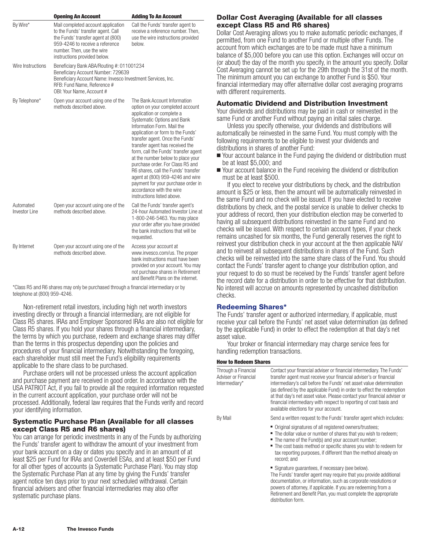|                            | <b>Opening An Account</b>                                                                                                                                                                                       | <b>Adding To An Account</b>                                                                                                                                                                                                                                                                                                                                                                                                                                                                                                                                       |
|----------------------------|-----------------------------------------------------------------------------------------------------------------------------------------------------------------------------------------------------------------|-------------------------------------------------------------------------------------------------------------------------------------------------------------------------------------------------------------------------------------------------------------------------------------------------------------------------------------------------------------------------------------------------------------------------------------------------------------------------------------------------------------------------------------------------------------------|
| By Wire*                   | Mail completed account application<br>to the Funds' transfer agent. Call<br>the Funds' transfer agent at (800)<br>959-4246 to receive a reference<br>number. Then, use the wire<br>instructions provided below. | Call the Funds' transfer agent to<br>receive a reference number. Then,<br>use the wire instructions provided<br>below.                                                                                                                                                                                                                                                                                                                                                                                                                                            |
| Wire Instructions          | Beneficiary Bank ABA/Routing #: 011001234<br>Beneficiary Account Number: 729639<br>Beneficiary Account Name: Invesco Investment Services, Inc.<br>RFB: Fund Name, Reference #<br>OBI: Your Name, Account #      |                                                                                                                                                                                                                                                                                                                                                                                                                                                                                                                                                                   |
| By Telephone*              | Open your account using one of the<br>methods described above.                                                                                                                                                  | The Bank Account Information<br>option on your completed account<br>application or complete a<br>Systematic Options and Bank<br>Information Form, Mail the<br>application or form to the Funds'<br>transfer agent. Once the Funds'<br>transfer agent has received the<br>form, call the Funds' transfer agent<br>at the number below to place your<br>purchase order. For Class R5 and<br>R6 shares, call the Funds' transfer<br>agent at (800) 959-4246 and wire<br>payment for your purchase order in<br>accordance with the wire<br>instructions listed above. |
| Automated<br>Investor Line | Open your account using one of the<br>methods described above.                                                                                                                                                  | Call the Funds' transfer agent's<br>24-hour Automated Investor Line at<br>1-800-246-5463. You may place<br>your order after you have provided<br>the bank instructions that will be<br>requested.                                                                                                                                                                                                                                                                                                                                                                 |
| By Internet                | Open your account using one of the<br>methods described above.                                                                                                                                                  | Access your account at<br>www.invesco.com/us. The proper<br>bank instructions must have been<br>provided on your account. You may<br>not purchase shares in Retirement<br>and Benefit Plans on the internet.                                                                                                                                                                                                                                                                                                                                                      |

\*Class R5 and R6 shares may only be purchased through a financial intermediary or by telephone at (800) 959-4246.

Non-retirement retail investors, including high net worth investors investing directly or through a financial intermediary, are not eligible for Class R5 shares. IRAs and Employer Sponsored IRAs are also not eligible for Class R5 shares. If you hold your shares through a financial intermediary, the terms by which you purchase, redeem and exchange shares may differ than the terms in this prospectus depending upon the policies and procedures of your financial intermediary. Notwithstanding the foregoing, each shareholder must still meet the Fund's eligibility requirements applicable to the share class to be purchased.

Purchase orders will not be processed unless the account application and purchase payment are received in good order. In accordance with the USA PATRIOT Act, if you fail to provide all the required information requested in the current account application, your purchase order will not be processed. Additionally, federal law requires that the Funds verify and record your identifying information.

#### **Systematic Purchase Plan (Available for all classes except Class R5 and R6 shares)**

You can arrange for periodic investments in any of the Funds by authorizing the Funds' transfer agent to withdraw the amount of your investment from your bank account on a day or dates you specify and in an amount of at least \$25 per Fund for IRAs and Coverdell ESAs, and at least \$50 per Fund for all other types of accounts (a Systematic Purchase Plan). You may stop the Systematic Purchase Plan at any time by giving the Funds' transfer agent notice ten days prior to your next scheduled withdrawal. Certain financial advisers and other financial intermediaries may also offer systematic purchase plans.

# **Dollar Cost Averaging (Available for all classes except Class R5 and R6 shares)**

Dollar Cost Averaging allows you to make automatic periodic exchanges, if permitted, from one Fund to another Fund or multiple other Funds. The account from which exchanges are to be made must have a minimum balance of \$5,000 before you can use this option. Exchanges will occur on (or about) the day of the month you specify, in the amount you specify. Dollar Cost Averaging cannot be set up for the 29th through the 31st of the month. The minimum amount you can exchange to another Fund is \$50. Your financial intermediary may offer alternative dollar cost averaging programs with different requirements.

### **Automatic Dividend and Distribution Investment**

Your dividends and distributions may be paid in cash or reinvested in the same Fund or another Fund without paying an initial sales charge.

Unless you specify otherwise, your dividends and distributions will automatically be reinvested in the same Fund. You must comply with the following requirements to be eligible to invest your dividends and distributions in shares of another Fund:

- Your account balance in the Fund paying the dividend or distribution must be at least \$5,000; and
- Your account balance in the Fund receiving the dividend or distribution must be at least \$500.

If you elect to receive your distributions by check, and the distribution amount is \$25 or less, then the amount will be automatically reinvested in the same Fund and no check will be issued. If you have elected to receive distributions by check, and the postal service is unable to deliver checks to your address of record, then your distribution election may be converted to having all subsequent distributions reinvested in the same Fund and no checks will be issued. With respect to certain account types, if your check remains uncashed for six months, the Fund generally reserves the right to reinvest your distribution check in your account at the then applicable NAV and to reinvest all subsequent distributions in shares of the Fund. Such checks will be reinvested into the same share class of the Fund. You should contact the Funds' transfer agent to change your distribution option, and your request to do so must be received by the Funds' transfer agent before the record date for a distribution in order to be effective for that distribution. No interest will accrue on amounts represented by uncashed distribution checks.

#### **Redeeming Shares\***

The Funds' transfer agent or authorized intermediary, if applicable, must receive your call before the Funds' net asset value determination (as defined by the applicable Fund) in order to effect the redemption at that day's net asset value.

Your broker or financial intermediary may charge service fees for handling redemption transactions.

#### **How to Redeem Shares**

| Through a Financial<br>Adviser or Financial<br>Intermediary* | Contact your financial adviser or financial intermediary. The Funds'<br>transfer agent must receive your financial adviser's or financial<br>intermediary's call before the Funds' net asset value determination<br>(as defined by the applicable Fund) in order to effect the redemption<br>at that day's net asset value. Please contact your financial adviser or<br>financial intermediary with respect to reporting of cost basis and<br>available elections for your account. |
|--------------------------------------------------------------|-------------------------------------------------------------------------------------------------------------------------------------------------------------------------------------------------------------------------------------------------------------------------------------------------------------------------------------------------------------------------------------------------------------------------------------------------------------------------------------|
| By Mail                                                      | Send a written request to the Funds' transfer agent which includes:                                                                                                                                                                                                                                                                                                                                                                                                                 |
|                                                              | ■ Original signatures of all registered owners/trustees;<br>■ The dollar value or number of shares that you wish to redeem;<br>• The name of the Fund(s) and your account number;<br>• The cost basis method or specific shares you wish to redeem for<br>tax reporting purposes, if different than the method already on<br>record; and                                                                                                                                            |
|                                                              | Signature quarantees, if necessary (see below).<br>The Funds' transfer agent may require that you provide additional<br>documentation, or information, such as corporate resolutions or<br>powers of attorney, if applicable. If you are redeeming from a<br>Retirement and Benefit Plan, you must complete the appropriate<br>distribution form                                                                                                                                    |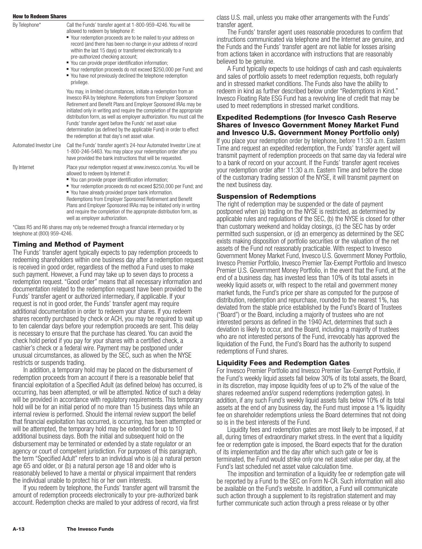| By Telephone*           | Call the Funds' transfer agent at 1-800-959-4246. You will be<br>allowed to redeem by telephone if:<br>" Your redemption proceeds are to be mailed to your address on<br>record (and there has been no change in your address of record<br>within the last 15 days) or transferred electronically to a<br>pre-authorized checking account;<br>■ You can provide proper identification information;<br>■ Your redemption proceeds do not exceed \$250,000 per Fund; and<br>• You have not previously declined the telephone redemption<br>privilege. |
|-------------------------|-----------------------------------------------------------------------------------------------------------------------------------------------------------------------------------------------------------------------------------------------------------------------------------------------------------------------------------------------------------------------------------------------------------------------------------------------------------------------------------------------------------------------------------------------------|
|                         | You may, in limited circumstances, initiate a redemption from an<br>Invesco IRA by telephone. Redemptions from Employer Sponsored<br>Retirement and Benefit Plans and Employer Sponsored IRAs may be<br>initiated only in writing and require the completion of the appropriate<br>distribution form, as well as employer authorization. You must call the<br>Funds' transfer agent before the Funds' net asset value<br>determination (as defined by the applicable Fund) in order to effect<br>the redemption at that day's net asset value.      |
| Automated Investor Line | Call the Funds' transfer agent's 24-hour Automated Investor Line at<br>1-800-246-5463. You may place your redemption order after you<br>have provided the bank instructions that will be requested.                                                                                                                                                                                                                                                                                                                                                 |
| By Internet             | Place your redemption request at www.invesco.com/us. You will be<br>allowed to redeem by Internet if:<br>■ You can provide proper identification information;<br>■ Your redemption proceeds do not exceed \$250,000 per Fund; and<br>• You have already provided proper bank information.<br>Redemptions from Employer Sponsored Retirement and Benefit<br>Plans and Employer Sponsored IRAs may be initiated only in writing<br>and require the completion of the appropriate distribution form, as                                                |

well as employer authorization. \*Class R5 and R6 shares may only be redeemed through a financial intermediary or by telephone at (800) 959-4246.

#### **Timing and Method of Payment**

The Funds' transfer agent typically expects to pay redemption proceeds to redeeming shareholders within one business day after a redemption request is received in good order, regardless of the method a Fund uses to make such payment. However, a Fund may take up to seven days to process a redemption request. "Good order" means that all necessary information and documentation related to the redemption request have been provided to the Funds' transfer agent or authorized intermediary, if applicable. If your request is not in good order, the Funds' transfer agent may require additional documentation in order to redeem your shares. If you redeem shares recently purchased by check or ACH, you may be required to wait up to ten calendar days before your redemption proceeds are sent. This delay is necessary to ensure that the purchase has cleared. You can avoid the check hold period if you pay for your shares with a certified check, a cashier's check or a federal wire. Payment may be postponed under unusual circumstances, as allowed by the SEC, such as when the NYSE restricts or suspends trading.

In addition, a temporary hold may be placed on the disbursement of redemption proceeds from an account if there is a reasonable belief that financial exploitation of a Specified Adult (as defined below) has occurred, is occurring, has been attempted, or will be attempted. Notice of such a delay will be provided in accordance with regulatory requirements. This temporary hold will be for an initial period of no more than 15 business days while an internal review is performed. Should the internal review support the belief that financial exploitation has occurred, is occurring, has been attempted or will be attempted, the temporary hold may be extended for up to 10 additional business days. Both the initial and subsequent hold on the disbursement may be terminated or extended by a state regulator or an agency or court of competent jurisdiction. For purposes of this paragraph, the term "Specified Adult" refers to an individual who is (a) a natural person age 65 and older, or (b) a natural person age 18 and older who is reasonably believed to have a mental or physical impairment that renders the individual unable to protect his or her own interests.

If you redeem by telephone, the Funds' transfer agent will transmit the amount of redemption proceeds electronically to your pre-authorized bank account. Redemption checks are mailed to your address of record, via first

class U.S. mail, unless you make other arrangements with the Funds' transfer agent.

The Funds' transfer agent uses reasonable procedures to confirm that instructions communicated via telephone and the Internet are genuine, and the Funds and the Funds' transfer agent are not liable for losses arising from actions taken in accordance with instructions that are reasonably believed to be genuine.

A Fund typically expects to use holdings of cash and cash equivalents and sales of portfolio assets to meet redemption requests, both regularly and in stressed market conditions. The Funds also have the ability to redeem in kind as further described below under "Redemptions in Kind." Invesco Floating Rate ESG Fund has a revolving line of credit that may be used to meet redemptions in stressed market conditions.

#### **Expedited Redemptions (for Invesco Cash Reserve Shares of Invesco Government Money Market Fund and Invesco U.S. Government Money Portfolio only)**

If you place your redemption order by telephone, before 11:30 a.m. Eastern Time and request an expedited redemption, the Funds' transfer agent will transmit payment of redemption proceeds on that same day via federal wire to a bank of record on your account. If the Funds' transfer agent receives your redemption order after 11:30 a.m. Eastern Time and before the close of the customary trading session of the NYSE, it will transmit payment on the next business day.

#### **Suspension of Redemptions**

The right of redemption may be suspended or the date of payment postponed when (a) trading on the NYSE is restricted, as determined by applicable rules and regulations of the SEC, (b) the NYSE is closed for other than customary weekend and holiday closings, (c) the SEC has by order permitted such suspension, or (d) an emergency as determined by the SEC exists making disposition of portfolio securities or the valuation of the net assets of the Fund not reasonably practicable. With respect to Invesco Government Money Market Fund, Invesco U.S. Government Money Portfolio, Invesco Premier Portfolio, Invesco Premier Tax-Exempt Portfolio and Invesco Premier U.S. Government Money Portfolio, in the event that the Fund, at the end of a business day, has invested less than 10% of its total assets in weekly liquid assets or, with respect to the retail and government money market funds, the Fund's price per share as computed for the purpose of distribution, redemption and repurchase, rounded to the nearest 1%, has deviated from the stable price established by the Fund's Board of Trustees ("Board") or the Board, including a majority of trustees who are not interested persons as defined in the 1940 Act, determines that such a deviation is likely to occur, and the Board, including a majority of trustees who are not interested persons of the Fund, irrevocably has approved the liquidation of the Fund, the Fund's Board has the authority to suspend redemptions of Fund shares.

#### **Liquidity Fees and Redemption Gates**

For Invesco Premier Portfolio and Invesco Premier Tax-Exempt Portfolio, if the Fund's weekly liquid assets fall below 30% of its total assets, the Board, in its discretion, may impose liquidity fees of up to 2% of the value of the shares redeemed and/or suspend redemptions (redemption gates). In addition, if any such Fund's weekly liquid assets falls below 10% of its total assets at the end of any business day, the Fund must impose a 1% liquidity fee on shareholder redemptions unless the Board determines that not doing so is in the best interests of the Fund.

Liquidity fees and redemption gates are most likely to be imposed, if at all, during times of extraordinary market stress. In the event that a liquidity fee or redemption gate is imposed, the Board expects that for the duration of its implementation and the day after which such gate or fee is terminated, the Fund would strike only one net asset value per day, at the Fund's last scheduled net asset value calculation time.

The imposition and termination of a liquidity fee or redemption gate will be reported by a Fund to the SEC on Form N-CR. Such information will also be available on the Fund's website. In addition, a Fund will communicate such action through a supplement to its registration statement and may further communicate such action through a press release or by other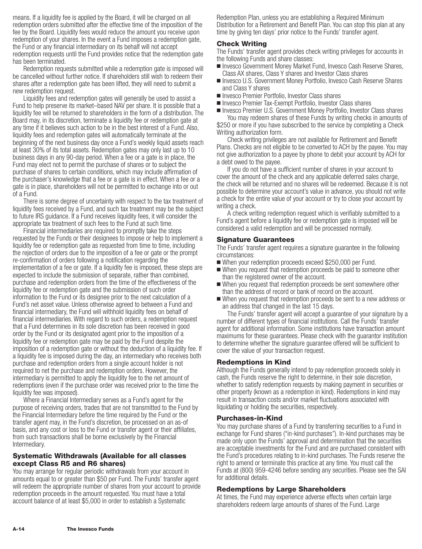means. If a liquidity fee is applied by the Board, it will be charged on all redemption orders submitted after the effective time of the imposition of the fee by the Board. Liquidity fees would reduce the amount you receive upon redemption of your shares. In the event a Fund imposes a redemption gate, the Fund or any financial intermediary on its behalf will not accept redemption requests until the Fund provides notice that the redemption gate has been terminated.

Redemption requests submitted while a redemption gate is imposed will be cancelled without further notice. If shareholders still wish to redeem their shares after a redemption gate has been lifted, they will need to submit a new redemption request.

Liquidity fees and redemption gates will generally be used to assist a Fund to help preserve its market–based NAV per share. It is possible that a liquidity fee will be returned to shareholders in the form of a distribution. The Board may, in its discretion, terminate a liquidity fee or redemption gate at any time if it believes such action to be in the best interest of a Fund. Also, liquidity fees and redemption gates will automatically terminate at the beginning of the next business day once a Fund's weekly liquid assets reach at least 30% of its total assets. Redemption gates may only last up to 10 business days in any 90-day period. When a fee or a gate is in place, the Fund may elect not to permit the purchase of shares or to subject the purchase of shares to certain conditions, which may include affirmation of the purchaser's knowledge that a fee or a gate is in effect. When a fee or a gate is in place, shareholders will not be permitted to exchange into or out of a Fund.

There is some degree of uncertainty with respect to the tax treatment of liquidity fees received by a Fund, and such tax treatment may be the subject to future IRS guidance. If a Fund receives liquidity fees, it will consider the appropriate tax treatment of such fees to the Fund at such time.

Financial intermediaries are required to promptly take the steps requested by the Funds or their designees to impose or help to implement a liquidity fee or redemption gate as requested from time to time, including the rejection of orders due to the imposition of a fee or gate or the prompt re-confirmation of orders following a notification regarding the implementation of a fee or gate. If a liquidity fee is imposed, these steps are expected to include the submission of separate, rather than combined, purchase and redemption orders from the time of the effectiveness of the liquidity fee or redemption gate and the submission of such order information to the Fund or its designee prior to the next calculation of a Fund's net asset value. Unless otherwise agreed to between a Fund and financial intermediary, the Fund will withhold liquidity fees on behalf of financial intermediaries. With regard to such orders, a redemption request that a Fund determines in its sole discretion has been received in good order by the Fund or its designated agent prior to the imposition of a liquidity fee or redemption gate may be paid by the Fund despite the imposition of a redemption gate or without the deduction of a liquidity fee. If a liquidity fee is imposed during the day, an intermediary who receives both purchase and redemption orders from a single account holder is not required to net the purchase and redemption orders. However, the intermediary is permitted to apply the liquidity fee to the net amount of redemptions (even if the purchase order was received prior to the time the liquidity fee was imposed).

Where a Financial Intermediary serves as a Fund's agent for the purpose of receiving orders, trades that are not transmitted to the Fund by the Financial Intermediary before the time required by the Fund or the transfer agent may, in the Fund's discretion, be processed on an as-of basis, and any cost or loss to the Fund or transfer agent or their affiliates, from such transactions shall be borne exclusively by the Financial Intermediary.

### **Systematic Withdrawals (Available for all classes except Class R5 and R6 shares)**

You may arrange for regular periodic withdrawals from your account in amounts equal to or greater than \$50 per Fund. The Funds' transfer agent will redeem the appropriate number of shares from your account to provide redemption proceeds in the amount requested. You must have a total account balance of at least \$5,000 in order to establish a Systematic

Redemption Plan, unless you are establishing a Required Minimum Distribution for a Retirement and Benefit Plan. You can stop this plan at any time by giving ten days' prior notice to the Funds' transfer agent.

#### **Check Writing**

The Funds' transfer agent provides check writing privileges for accounts in the following Funds and share classes:

- Invesco Government Money Market Fund, Invesco Cash Reserve Shares, Class AX shares, Class Y shares and Investor Class shares
- Invesco U.S. Government Money Portfolio, Invesco Cash Reserve Shares and Class Y shares
- Invesco Premier Portfolio, Investor Class shares
- Invesco Premier Tax-Exempt Portfolio, Investor Class shares
- Invesco Premier U.S. Government Money Portfolio, Investor Class shares You may redeem shares of these Funds by writing checks in amounts of \$250 or more if you have subscribed to the service by completing a Check

Writing authorization form. Check writing privileges are not available for Retirement and Benefit Plans. Checks are not eligible to be converted to ACH by the payee. You may not give authorization to a payee by phone to debit your account by ACH for a debt owed to the payee.

If you do not have a sufficient number of shares in your account to cover the amount of the check and any applicable deferred sales charge, the check will be returned and no shares will be redeemed. Because it is not possible to determine your account's value in advance, you should not write a check for the entire value of your account or try to close your account by writing a check.

A check writing redemption request which is verifiably submitted to a Fund's agent before a liquidity fee or redemption gate is imposed will be considered a valid redemption and will be processed normally.

#### **Signature Guarantees**

The Funds' transfer agent requires a signature guarantee in the following circumstances:

- When your redemption proceeds exceed \$250,000 per Fund.
- When you request that redemption proceeds be paid to someone other than the registered owner of the account.
- When you request that redemption proceeds be sent somewhere other than the address of record or bank of record on the account.
- When you request that redemption proceeds be sent to a new address or an address that changed in the last 15 days.

The Funds' transfer agent will accept a guarantee of your signature by a number of different types of financial institutions. Call the Funds' transfer agent for additional information. Some institutions have transaction amount maximums for these guarantees. Please check with the guarantor institution to determine whether the signature guarantee offered will be sufficient to cover the value of your transaction request.

# **Redemptions in Kind**

Although the Funds generally intend to pay redemption proceeds solely in cash, the Funds reserve the right to determine, in their sole discretion, whether to satisfy redemption requests by making payment in securities or other property (known as a redemption in kind). Redemptions in kind may result in transaction costs and/or market fluctuations associated with liquidating or holding the securities, respectively.

#### **Purchases-in-Kind**

You may purchase shares of a Fund by transferring securities to a Fund in exchange for Fund shares ("in-kind purchases"). In-kind purchases may be made only upon the Funds' approval and determination that the securities are acceptable investments for the Fund and are purchased consistent with the Fund's procedures relating to in-kind purchases. The Funds reserve the right to amend or terminate this practice at any time. You must call the Funds at (800) 959-4246 before sending any securities. Please see the SAI for additional details.

# **Redemptions by Large Shareholders**

At times, the Fund may experience adverse effects when certain large shareholders redeem large amounts of shares of the Fund. Large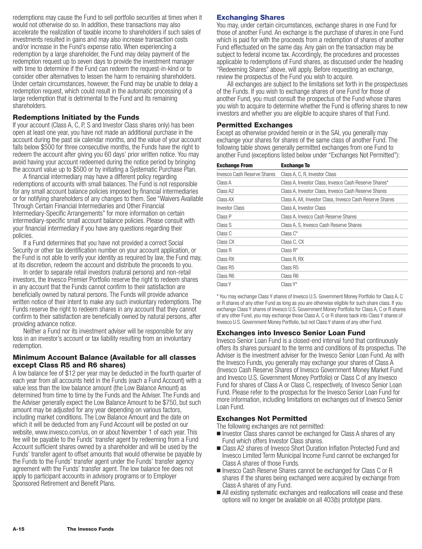redemptions may cause the Fund to sell portfolio securities at times when it would not otherwise do so. In addition, these transactions may also accelerate the realization of taxable income to shareholders if such sales of investments resulted in gains and may also increase transaction costs and/or increase in the Fund's expense ratio. When experiencing a redemption by a large shareholder, the Fund may delay payment of the redemption request up to seven days to provide the investment manager with time to determine if the Fund can redeem the request-in-kind or to consider other alternatives to lessen the harm to remaining shareholders. Under certain circumstances, however, the Fund may be unable to delay a redemption request, which could result in the automatic processing of a large redemption that is detrimental to the Fund and its remaining shareholders.

#### **Redemptions Initiated by the Funds**

If your account (Class A, C, P, S and Investor Class shares only) has been open at least one year, you have not made an additional purchase in the account during the past six calendar months, and the value of your account falls below \$500 for three consecutive months, the Funds have the right to redeem the account after giving you 60 days' prior written notice. You may avoid having your account redeemed during the notice period by bringing the account value up to \$500 or by initiating a Systematic Purchase Plan.

A financial intermediary may have a different policy regarding redemptions of accounts with small balances. The Fund is not responsible for any small account balance policies imposed by financial intermediaries or for notifying shareholders of any changes to them. See "Waivers Available Through Certain Financial Intermediaries and Other Financial Intermediary-Specific Arrangements" for more information on certain intermediary-specific small account balance policies. Please consult with your financial intermediary if you have any questions regarding their policies.

If a Fund determines that you have not provided a correct Social Security or other tax identification number on your account application, or the Fund is not able to verify your identity as required by law, the Fund may, at its discretion, redeem the account and distribute the proceeds to you.

In order to separate retail investors (natural persons) and non-retail investors, the Invesco Premier Portfolio reserve the right to redeem shares in any account that the Funds cannot confirm to their satisfaction are beneficially owned by natural persons. The Funds will provide advance written notice of their intent to make any such involuntary redemptions. The Funds reserve the right to redeem shares in any account that they cannot confirm to their satisfaction are beneficially owned by natural persons, after providing advance notice.

Neither a Fund nor its investment adviser will be responsible for any loss in an investor's account or tax liability resulting from an involuntary redemption.

#### **Minimum Account Balance (Available for all classes except Class R5 and R6 shares)**

A low balance fee of \$12 per year may be deducted in the fourth quarter of each year from all accounts held in the Funds (each a Fund Account) with a value less than the low balance amount (the Low Balance Amount) as determined from time to time by the Funds and the Adviser. The Funds and the Adviser generally expect the Low Balance Amount to be \$750, but such amount may be adjusted for any year depending on various factors, including market conditions. The Low Balance Amount and the date on which it will be deducted from any Fund Account will be posted on our website, www.invesco.com/us, on or about November 1 of each year. This fee will be payable to the Funds' transfer agent by redeeming from a Fund Account sufficient shares owned by a shareholder and will be used by the Funds' transfer agent to offset amounts that would otherwise be payable by the Funds to the Funds' transfer agent under the Funds' transfer agency agreement with the Funds' transfer agent. The low balance fee does not apply to participant accounts in advisory programs or to Employer Sponsored Retirement and Benefit Plans.

### **Exchanging Shares**

You may, under certain circumstances, exchange shares in one Fund for those of another Fund. An exchange is the purchase of shares in one Fund which is paid for with the proceeds from a redemption of shares of another Fund effectuated on the same day. Any gain on the transaction may be subject to federal income tax. Accordingly, the procedures and processes applicable to redemptions of Fund shares, as discussed under the heading "Redeeming Shares" above, will apply. Before requesting an exchange, review the prospectus of the Fund you wish to acquire.

All exchanges are subject to the limitations set forth in the prospectuses of the Funds. If you wish to exchange shares of one Fund for those of another Fund, you must consult the prospectus of the Fund whose shares you wish to acquire to determine whether the Fund is offering shares to new investors and whether you are eligible to acquire shares of that Fund.

#### **Permitted Exchanges**

Except as otherwise provided herein or in the SAI, you generally may exchange your shares for shares of the same class of another Fund. The following table shows generally permitted exchanges from one Fund to another Fund (exceptions listed below under "Exchanges Not Permitted"):

| <b>Exchange From</b>        | <b>Exchange To</b>                                       |  |
|-----------------------------|----------------------------------------------------------|--|
| Invesco Cash Reserve Shares | Class A, C, R, Investor Class                            |  |
| Class A                     | Class A, Investor Class, Invesco Cash Reserve Shares*    |  |
| Class A <sub>2</sub>        | Class A, Investor Class, Invesco Cash Reserve Shares     |  |
| Class AX                    | Class A, AX, Investor Class, Invesco Cash Reserve Shares |  |
| <b>Investor Class</b>       | Class A, Investor Class                                  |  |
| Class P                     | Class A, Invesco Cash Reserve Shares                     |  |
| Class S                     | Class A, S, Invesco Cash Reserve Shares                  |  |
| Class C                     | Class $C^*$                                              |  |
| Class CX                    | Class C, CX                                              |  |
| Class R                     | Class $R^*$                                              |  |
| Class RX                    | Class R. RX                                              |  |
| Class R <sub>5</sub>        | Class R <sub>5</sub>                                     |  |
| Class R6                    | Class R6                                                 |  |
| Class Y                     | Class Y*                                                 |  |

\* You may exchange Class Y shares of Invesco U.S. Government Money Portfolio for Class A, C or R shares of any other Fund as long as you are otherwise eligible for such share class. If you exchange Class Y shares of Invesco U.S. Government Money Portfolio for Class A, C or R shares of any other Fund, you may exchange those Class A, C or R shares back into Class Y shares of Invesco U.S. Government Money Portfolio, but not Class Y shares of any other Fund.

# **Exchanges into Invesco Senior Loan Fund**

Invesco Senior Loan Fund is a closed-end interval fund that continuously offers its shares pursuant to the terms and conditions of its prospectus. The Adviser is the investment adviser for the Invesco Senior Loan Fund. As with the Invesco Funds, you generally may exchange your shares of Class A (Invesco Cash Reserve Shares of Invesco Government Money Market Fund and Invesco U.S. Government Money Portfolio) or Class C of any Invesco Fund for shares of Class A or Class C, respectively, of Invesco Senior Loan Fund. Please refer to the prospectus for the Invesco Senior Loan Fund for more information, including limitations on exchanges out of Invesco Senior Loan Fund.

# **Exchanges Not Permitted**

The following exchanges are not permitted:

- **n** Investor Class shares cannot be exchanged for Class A shares of any Fund which offers Investor Class shares.
- Class A2 shares of Invesco Short Duration Inflation Protected Fund and Invesco Limited Term Municipal Income Fund cannot be exchanged for Class A shares of those Funds.
- Invesco Cash Reserve Shares cannot be exchanged for Class C or R shares if the shares being exchanged were acquired by exchange from Class A shares of any Fund.
- I All existing systematic exchanges and reallocations will cease and these options will no longer be available on all 403(b) prototype plans.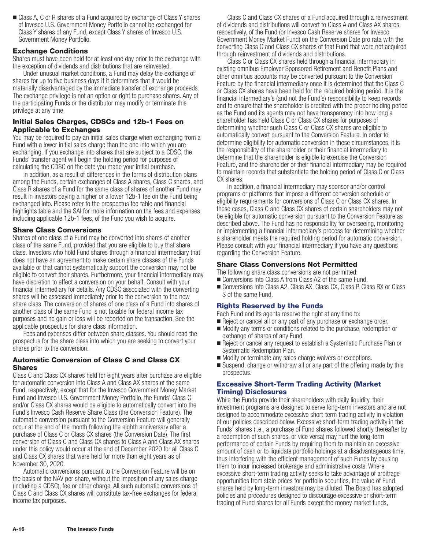■ Class A, C or R shares of a Fund acquired by exchange of Class Y shares of Invesco U.S. Government Money Portfolio cannot be exchanged for Class Y shares of any Fund, except Class Y shares of Invesco U.S. Government Money Portfolio.

### **Exchange Conditions**

Shares must have been held for at least one day prior to the exchange with the exception of dividends and distributions that are reinvested.

Under unusual market conditions, a Fund may delay the exchange of shares for up to five business days if it determines that it would be materially disadvantaged by the immediate transfer of exchange proceeds. The exchange privilege is not an option or right to purchase shares. Any of the participating Funds or the distributor may modify or terminate this privilege at any time.

### **Initial Sales Charges, CDSCs and 12b-1 Fees on Applicable to Exchanges**

You may be required to pay an initial sales charge when exchanging from a Fund with a lower initial sales charge than the one into which you are exchanging. If you exchange into shares that are subject to a CDSC, the Funds' transfer agent will begin the holding period for purposes of calculating the CDSC on the date you made your initial purchase.

In addition, as a result of differences in the forms of distribution plans among the Funds, certain exchanges of Class A shares, Class C shares, and Class R shares of a Fund for the same class of shares of another Fund may result in investors paying a higher or a lower 12b-1 fee on the Fund being exchanged into. Please refer to the prospectus fee table and financial highlights table and the SAI for more information on the fees and expenses, including applicable 12b-1 fees, of the Fund you wish to acquire.

# **Share Class Conversions**

Shares of one class of a Fund may be converted into shares of another class of the same Fund, provided that you are eligible to buy that share class. Investors who hold Fund shares through a financial intermediary that does not have an agreement to make certain share classes of the Funds available or that cannot systematically support the conversion may not be eligible to convert their shares. Furthermore, your financial intermediary may have discretion to effect a conversion on your behalf. Consult with your financial intermediary for details. Any CDSC associated with the converting shares will be assessed immediately prior to the conversion to the new share class. The conversion of shares of one class of a Fund into shares of another class of the same Fund is not taxable for federal income tax purposes and no gain or loss will be reported on the transaction. See the applicable prospectus for share class information.

Fees and expenses differ between share classes. You should read the prospectus for the share class into which you are seeking to convert your shares prior to the conversion.

### **Automatic Conversion of Class C and Class CX Shares**

Class C and Class CX shares held for eight years after purchase are eligible for automatic conversion into Class A and Class AX shares of the same Fund, respectively, except that for the Invesco Government Money Market Fund and Invesco U.S. Government Money Portfolio, the Funds' Class C and/or Class CX shares would be eligible to automatically convert into the Fund's Invesco Cash Reserve Share Class (the Conversion Feature). The automatic conversion pursuant to the Conversion Feature will generally occur at the end of the month following the eighth anniversary after a purchase of Class C or Class CX shares (the Conversion Date). The first conversion of Class C and Class CX shares to Class A and Class AX shares under this policy would occur at the end of December 2020 for all Class C and Class CX shares that were held for more than eight years as of November 30, 2020.

Automatic conversions pursuant to the Conversion Feature will be on the basis of the NAV per share, without the imposition of any sales charge (including a CDSC), fee or other charge. All such automatic conversions of Class C and Class CX shares will constitute tax-free exchanges for federal income tax purposes.

Class C and Class CX shares of a Fund acquired through a reinvestment of dividends and distributions will convert to Class A and Class AX shares, respectively, of the Fund (or Invesco Cash Reserve shares for Invesco Government Money Market Fund) on the Conversion Date pro rata with the converting Class C and Class CX shares of that Fund that were not acquired through reinvestment of dividends and distributions.

Class C or Class CX shares held through a financial intermediary in existing omnibus Employer Sponsored Retirement and Benefit Plans and other omnibus accounts may be converted pursuant to the Conversion Feature by the financial intermediary once it is determined that the Class C or Class CX shares have been held for the required holding period. It is the financial intermediary's (and not the Fund's) responsibility to keep records and to ensure that the shareholder is credited with the proper holding period as the Fund and its agents may not have transparency into how long a shareholder has held Class C or Class CX shares for purposes of determining whether such Class C or Class CX shares are eligible to automatically convert pursuant to the Conversion Feature. In order to determine eligibility for automatic conversion in these circumstances, it is the responsibility of the shareholder or their financial intermediary to determine that the shareholder is eligible to exercise the Conversion Feature, and the shareholder or their financial intermediary may be required to maintain records that substantiate the holding period of Class C or Class CX shares.

In addition, a financial intermediary may sponsor and/or control programs or platforms that impose a different conversion schedule or eligibility requirements for conversions of Class C or Class CX shares. In these cases, Class C and Class CX shares of certain shareholders may not be eligible for automatic conversion pursuant to the Conversion Feature as described above. The Fund has no responsibility for overseeing, monitoring or implementing a financial intermediary's process for determining whether a shareholder meets the required holding period for automatic conversion. Please consult with your financial intermediary if you have any questions regarding the Conversion Feature.

# **Share Class Conversions Not Permitted**

- The following share class conversions are not permitted:
- **Conversions into Class A from Class A2 of the same Fund.**
- Conversions into Class A2, Class AX, Class CX, Class P, Class RX or Class S of the same Fund.

# **Rights Reserved by the Funds**

Each Fund and its agents reserve the right at any time to:

- Reject or cancel all or any part of any purchase or exchange order.
- Modify any terms or conditions related to the purchase, redemption or exchange of shares of any Fund.
- Reject or cancel any request to establish a Systematic Purchase Plan or Systematic Redemption Plan.
- **Modify or terminate any sales charge waivers or exceptions.**
- Suspend, change or withdraw all or any part of the offering made by this prospectus.

# **Excessive Short-Term Trading Activity (Market Timing) Disclosures**

While the Funds provide their shareholders with daily liquidity, their investment programs are designed to serve long-term investors and are not designed to accommodate excessive short-term trading activity in violation of our policies described below. Excessive short-term trading activity in the Funds' shares (i.e., a purchase of Fund shares followed shortly thereafter by a redemption of such shares, or vice versa) may hurt the long-term performance of certain Funds by requiring them to maintain an excessive amount of cash or to liquidate portfolio holdings at a disadvantageous time, thus interfering with the efficient management of such Funds by causing them to incur increased brokerage and administrative costs. Where excessive short-term trading activity seeks to take advantage of arbitrage opportunities from stale prices for portfolio securities, the value of Fund shares held by long-term investors may be diluted. The Board has adopted policies and procedures designed to discourage excessive or short-term trading of Fund shares for all Funds except the money market funds,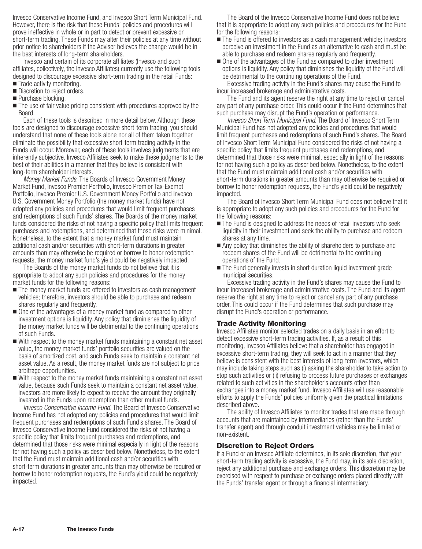Invesco Conservative Income Fund, and Invesco Short Term Municipal Fund. However, there is the risk that these Funds' policies and procedures will prove ineffective in whole or in part to detect or prevent excessive or short-term trading. These Funds may alter their policies at any time without prior notice to shareholders if the Adviser believes the change would be in the best interests of long-term shareholders.

Invesco and certain of its corporate affiliates (Invesco and such affiliates, collectively, the Invesco Affiliates) currently use the following tools designed to discourage excessive short-term trading in the retail Funds:

- **Trade activity monitoring.**
- **Discretion to reject orders.**
- **Purchase blocking.**
- The use of fair value pricing consistent with procedures approved by the Board.

Each of these tools is described in more detail below. Although these tools are designed to discourage excessive short-term trading, you should understand that none of these tools alone nor all of them taken together eliminate the possibility that excessive short-term trading activity in the Funds will occur. Moreover, each of these tools involves judgments that are inherently subjective. Invesco Affiliates seek to make these judgments to the best of their abilities in a manner that they believe is consistent with long-term shareholder interests.

*Money Market Funds.* The Boards of Invesco Government Money Market Fund, Invesco Premier Portfolio, Invesco Premier Tax-Exempt Portfolio, Invesco Premier U.S. Government Money Portfolio and Invesco U.S. Government Money Portfolio (the money market funds) have not adopted any policies and procedures that would limit frequent purchases and redemptions of such Funds' shares. The Boards of the money market funds considered the risks of not having a specific policy that limits frequent purchases and redemptions, and determined that those risks were minimal. Nonetheless, to the extent that a money market fund must maintain additional cash and/or securities with short-term durations in greater amounts than may otherwise be required or borrow to honor redemption requests, the money market fund's yield could be negatively impacted.

The Boards of the money market funds do not believe that it is appropriate to adopt any such policies and procedures for the money market funds for the following reasons:

- $\blacksquare$  The money market funds are offered to investors as cash management vehicles; therefore, investors should be able to purchase and redeem shares regularly and frequently.
- One of the advantages of a money market fund as compared to other investment options is liquidity. Any policy that diminishes the liquidity of the money market funds will be detrimental to the continuing operations of such Funds.
- With respect to the money market funds maintaining a constant net asset value, the money market funds' portfolio securities are valued on the basis of amortized cost, and such Funds seek to maintain a constant net asset value. As a result, the money market funds are not subject to price arbitrage opportunities.
- With respect to the money market funds maintaining a constant net asset value, because such Funds seek to maintain a constant net asset value, investors are more likely to expect to receive the amount they originally invested in the Funds upon redemption than other mutual funds.

*Invesco Conservative Income Fund.* The Board of Invesco Conservative Income Fund has not adopted any policies and procedures that would limit frequent purchases and redemptions of such Fund's shares. The Board of Invesco Conservative Income Fund considered the risks of not having a specific policy that limits frequent purchases and redemptions, and determined that those risks were minimal especially in light of the reasons for not having such a policy as described below. Nonetheless, to the extent that the Fund must maintain additional cash and/or securities with short-term durations in greater amounts than may otherwise be required or borrow to honor redemption requests, the Fund's yield could be negatively impacted.

The Board of the Invesco Conservative Income Fund does not believe that it is appropriate to adopt any such policies and procedures for the Fund for the following reasons:

- The Fund is offered to investors as a cash management vehicle; investors perceive an investment in the Fund as an alternative to cash and must be able to purchase and redeem shares regularly and frequently.
- One of the advantages of the Fund as compared to other investment options is liquidity. Any policy that diminishes the liquidity of the Fund will be detrimental to the continuing operations of the Fund.

Excessive trading activity in the Fund's shares may cause the Fund to incur increased brokerage and administrative costs.

The Fund and its agent reserve the right at any time to reject or cancel any part of any purchase order. This could occur if the Fund determines that such purchase may disrupt the Fund's operation or performance.

*Invesco Short Term Municipal Fund*. The Board of Invesco Short Term Municipal Fund has not adopted any policies and procedures that would limit frequent purchases and redemptions of such Fund's shares. The Board of Invesco Short Term Municipal Fund considered the risks of not having a specific policy that limits frequent purchases and redemptions, and determined that those risks were minimal, especially in light of the reasons for not having such a policy as described below. Nonetheless, to the extent that the Fund must maintain additional cash and/or securities with short-term durations in greater amounts than may otherwise be required or borrow to honor redemption requests, the Fund's yield could be negatively impacted.

The Board of Invesco Short Term Municipal Fund does not believe that it is appropriate to adopt any such policies and procedures for the Fund for the following reasons:

- The Fund is designed to address the needs of retail investors who seek liquidity in their investment and seek the ability to purchase and redeem shares at any time.
- Any policy that diminishes the ability of shareholders to purchase and redeem shares of the Fund will be detrimental to the continuing operations of the Fund.
- The Fund generally invests in short duration liquid investment grade municipal securities.

Excessive trading activity in the Fund's shares may cause the Fund to incur increased brokerage and administrative costs. The Fund and its agent reserve the right at any time to reject or cancel any part of any purchase order. This could occur if the Fund determines that such purchase may disrupt the Fund's operation or performance.

#### **Trade Activity Monitoring**

Invesco Affiliates monitor selected trades on a daily basis in an effort to detect excessive short-term trading activities. If, as a result of this monitoring, Invesco Affiliates believe that a shareholder has engaged in excessive short-term trading, they will seek to act in a manner that they believe is consistent with the best interests of long-term investors, which may include taking steps such as (i) asking the shareholder to take action to stop such activities or (ii) refusing to process future purchases or exchanges related to such activities in the shareholder's accounts other than exchanges into a money market fund. Invesco Affiliates will use reasonable efforts to apply the Funds' policies uniformly given the practical limitations described above.

The ability of Invesco Affiliates to monitor trades that are made through accounts that are maintained by intermediaries (rather than the Funds' transfer agent) and through conduit investment vehicles may be limited or non-existent.

#### **Discretion to Reject Orders**

If a Fund or an Invesco Affiliate determines, in its sole discretion, that your short-term trading activity is excessive, the Fund may, in its sole discretion, reject any additional purchase and exchange orders. This discretion may be exercised with respect to purchase or exchange orders placed directly with the Funds' transfer agent or through a financial intermediary.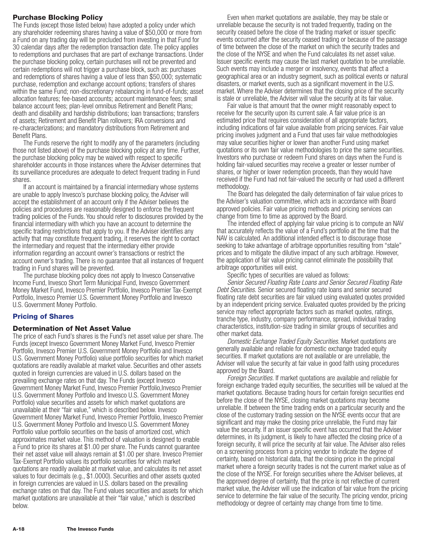# **Purchase Blocking Policy**

The Funds (except those listed below) have adopted a policy under which any shareholder redeeming shares having a value of \$50,000 or more from a Fund on any trading day will be precluded from investing in that Fund for 30 calendar days after the redemption transaction date. The policy applies to redemptions and purchases that are part of exchange transactions. Under the purchase blocking policy, certain purchases will not be prevented and certain redemptions will not trigger a purchase block, such as: purchases and redemptions of shares having a value of less than \$50,000; systematic purchase, redemption and exchange account options; transfers of shares within the same Fund; non-discretionary rebalancing in fund-of-funds; asset allocation features; fee-based accounts; account maintenance fees; small balance account fees; plan-level omnibus Retirement and Benefit Plans; death and disability and hardship distributions; loan transactions; transfers of assets; Retirement and Benefit Plan rollovers; IRA conversions and re-characterizations; and mandatory distributions from Retirement and Benefit Plans.

The Funds reserve the right to modify any of the parameters (including those not listed above) of the purchase blocking policy at any time. Further, the purchase blocking policy may be waived with respect to specific shareholder accounts in those instances where the Adviser determines that its surveillance procedures are adequate to detect frequent trading in Fund shares.

If an account is maintained by a financial intermediary whose systems are unable to apply Invesco's purchase blocking policy, the Adviser will accept the establishment of an account only if the Adviser believes the policies and procedures are reasonably designed to enforce the frequent trading policies of the Funds. You should refer to disclosures provided by the financial intermediary with which you have an account to determine the specific trading restrictions that apply to you. If the Adviser identifies any activity that may constitute frequent trading, it reserves the right to contact the intermediary and request that the intermediary either provide information regarding an account owner's transactions or restrict the account owner's trading. There is no guarantee that all instances of frequent trading in Fund shares will be prevented.

The purchase blocking policy does not apply to Invesco Conservative Income Fund, Invesco Short Term Municipal Fund, Invesco Government Money Market Fund, Invesco Premier Portfolio, Invesco Premier Tax-Exempt Portfolio, Invesco Premier U.S. Government Money Portfolio and Invesco U.S. Government Money Portfolio.

# **Pricing of Shares**

# **Determination of Net Asset Value**

The price of each Fund's shares is the Fund's net asset value per share. The Funds (except Invesco Government Money Market Fund, Invesco Premier Portfolio, Invesco Premier U.S. Government Money Portfolio and Invesco U.S. Government Money Portfolio) value portfolio securities for which market quotations are readily available at market value. Securities and other assets quoted in foreign currencies are valued in U.S. dollars based on the prevailing exchange rates on that day. The Funds (except Invesco Government Money Market Fund, Invesco Premier Portfolio,Invesco Premier U.S. Government Money Portfolio and Invesco U.S. Government Money Portfolio) value securities and assets for which market quotations are unavailable at their "fair value," which is described below. Invesco Government Money Market Fund, Invesco Premier Portfolio, Invesco Premier U.S. Government Money Portfolio and Invesco U.S. Government Money Portfolio value portfolio securities on the basis of amortized cost, which approximates market value. This method of valuation is designed to enable a Fund to price its shares at \$1.00 per share. The Funds cannot guarantee their net asset value will always remain at \$1.00 per share. Invesco Premier Tax-Exempt Portfolio values its portfolio securities for which market quotations are readily available at market value, and calculates its net asset values to four decimals (e.g., \$1.0000). Securities and other assets quoted in foreign currencies are valued in U.S. dollars based on the prevailing exchange rates on that day. The Fund values securities and assets for which market quotations are unavailable at their "fair value," which is described below.

Even when market quotations are available, they may be stale or unreliable because the security is not traded frequently, trading on the security ceased before the close of the trading market or issuer specific events occurred after the security ceased trading or because of the passage of time between the close of the market on which the security trades and the close of the NYSE and when the Fund calculates its net asset value. Issuer specific events may cause the last market quotation to be unreliable. Such events may include a merger or insolvency, events that affect a geographical area or an industry segment, such as political events or natural disasters, or market events, such as a significant movement in the U.S. market. Where the Adviser determines that the closing price of the security is stale or unreliable, the Adviser will value the security at its fair value.

Fair value is that amount that the owner might reasonably expect to receive for the security upon its current sale. A fair value price is an estimated price that requires consideration of all appropriate factors, including indications of fair value available from pricing services. Fair value pricing involves judgment and a Fund that uses fair value methodologies may value securities higher or lower than another Fund using market quotations or its own fair value methodologies to price the same securities. Investors who purchase or redeem Fund shares on days when the Fund is holding fair-valued securities may receive a greater or lesser number of shares, or higher or lower redemption proceeds, than they would have received if the Fund had not fair-valued the security or had used a different methodology.

The Board has delegated the daily determination of fair value prices to the Adviser's valuation committee, which acts in accordance with Board approved policies. Fair value pricing methods and pricing services can change from time to time as approved by the Board.

The intended effect of applying fair value pricing is to compute an NAV that accurately reflects the value of a Fund's portfolio at the time that the NAV is calculated. An additional intended effect is to discourage those seeking to take advantage of arbitrage opportunities resulting from "stale" prices and to mitigate the dilutive impact of any such arbitrage. However, the application of fair value pricing cannot eliminate the possibility that arbitrage opportunities will exist.

Specific types of securities are valued as follows:

*Senior Secured Floating Rate Loans and Senior Secured Floating Rate Debt Securities.* Senior secured floating rate loans and senior secured floating rate debt securities are fair valued using evaluated quotes provided by an independent pricing service. Evaluated quotes provided by the pricing service may reflect appropriate factors such as market quotes, ratings, tranche type, industry, company performance, spread, individual trading characteristics, institution-size trading in similar groups of securities and other market data.

*Domestic Exchange Traded Equity Securities.* Market quotations are generally available and reliable for domestic exchange traded equity securities. If market quotations are not available or are unreliable, the Adviser will value the security at fair value in good faith using procedures approved by the Board.

*Foreign Securities.* If market quotations are available and reliable for foreign exchange traded equity securities, the securities will be valued at the market quotations. Because trading hours for certain foreign securities end before the close of the NYSE, closing market quotations may become unreliable. If between the time trading ends on a particular security and the close of the customary trading session on the NYSE events occur that are significant and may make the closing price unreliable, the Fund may fair value the security. If an issuer specific event has occurred that the Adviser determines, in its judgment, is likely to have affected the closing price of a foreign security, it will price the security at fair value. The Adviser also relies on a screening process from a pricing vendor to indicate the degree of certainty, based on historical data, that the closing price in the principal market where a foreign security trades is not the current market value as of the close of the NYSE. For foreign securities where the Adviser believes, at the approved degree of certainty, that the price is not reflective of current market value, the Adviser will use the indication of fair value from the pricing service to determine the fair value of the security. The pricing vendor, pricing methodology or degree of certainty may change from time to time.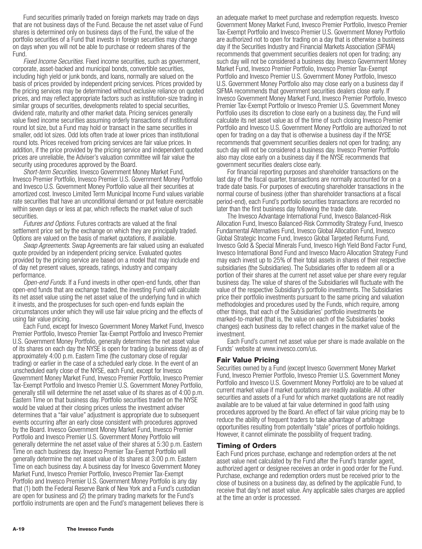Fund securities primarily traded on foreign markets may trade on days that are not business days of the Fund. Because the net asset value of Fund shares is determined only on business days of the Fund, the value of the portfolio securities of a Fund that invests in foreign securities may change on days when you will not be able to purchase or redeem shares of the Fund.

*Fixed Income Securities.* Fixed income securities, such as government, corporate, asset-backed and municipal bonds, convertible securities, including high yield or junk bonds, and loans, normally are valued on the basis of prices provided by independent pricing services. Prices provided by the pricing services may be determined without exclusive reliance on quoted prices, and may reflect appropriate factors such as institution-size trading in similar groups of securities, developments related to special securities, dividend rate, maturity and other market data. Pricing services generally value fixed income securities assuming orderly transactions of institutional round lot size, but a Fund may hold or transact in the same securities in smaller, odd lot sizes. Odd lots often trade at lower prices than institutional round lots. Prices received from pricing services are fair value prices. In addition, if the price provided by the pricing service and independent quoted prices are unreliable, the Adviser's valuation committee will fair value the security using procedures approved by the Board.

*Short-term Securities.* Invesco Government Money Market Fund, Invesco Premier Portfolio, Invesco Premier U.S. Government Money Portfolio and Invesco U.S. Government Money Portfolio value all their securities at amortized cost. Invesco Limited Term Municipal Income Fund values variable rate securities that have an unconditional demand or put feature exercisable within seven days or less at par, which reflects the market value of such securities.

*Futures and Options.* Futures contracts are valued at the final settlement price set by the exchange on which they are principally traded. Options are valued on the basis of market quotations, if available.

*Swap Agreements.* Swap Agreements are fair valued using an evaluated quote provided by an independent pricing service. Evaluated quotes provided by the pricing service are based on a model that may include end of day net present values, spreads, ratings, industry and company performance.

*Open-end Funds.* If a Fund invests in other open-end funds, other than open-end funds that are exchange traded, the investing Fund will calculate its net asset value using the net asset value of the underlying fund in which it invests, and the prospectuses for such open-end funds explain the circumstances under which they will use fair value pricing and the effects of using fair value pricing.

Each Fund, except for Invesco Government Money Market Fund, Invesco Premier Portfolio, Invesco Premier Tax-Exempt Portfolio and Invesco Premier U.S. Government Money Portfolio, generally determines the net asset value of its shares on each day the NYSE is open for trading (a business day) as of approximately 4:00 p.m. Eastern Time (the customary close of regular trading) or earlier in the case of a scheduled early close. In the event of an unscheduled early close of the NYSE, each Fund, except for Invesco Government Money Market Fund, Invesco Premier Portfolio, Invesco Premier Tax-Exempt Portfolio and Invesco Premier U.S. Government Money Portfolio, generally still will determine the net asset value of its shares as of 4:00 p.m. Eastern Time on that business day. Portfolio securities traded on the NYSE would be valued at their closing prices unless the investment adviser determines that a "fair value" adjustment is appropriate due to subsequent events occurring after an early close consistent with procedures approved by the Board. Invesco Government Money Market Fund, Invesco Premier Portfolio and Invesco Premier U.S. Government Money Portfolio will generally determine the net asset value of their shares at 5:30 p.m. Eastern Time on each business day. Invesco Premier Tax-Exempt Portfolio will generally determine the net asset value of its shares at 3:00 p.m. Eastern Time on each business day. A business day for Invesco Government Money Market Fund, Invesco Premier Portfolio, Invesco Premier Tax-Exempt Portfolio and Invesco Premier U.S. Government Money Portfolio is any day that (1) both the Federal Reserve Bank of New York and a Fund's custodian are open for business and (2) the primary trading markets for the Fund's portfolio instruments are open and the Fund's management believes there is

an adequate market to meet purchase and redemption requests. Invesco Government Money Market Fund, Invesco Premier Portfolio, Invesco Premier Tax-Exempt Portfolio and Invesco Premier U.S. Government Money Portfolio are authorized not to open for trading on a day that is otherwise a business day if the Securities Industry and Financial Markets Association (SIFMA) recommends that government securities dealers not open for trading; any such day will not be considered a business day. Invesco Government Money Market Fund, Invesco Premier Portfolio, Invesco Premier Tax-Exempt Portfolio and Invesco Premier U.S. Government Money Portfolio, Invesco U.S. Government Money Portfolio also may close early on a business day if SIFMA recommends that government securities dealers close early. If Invesco Government Money Market Fund, Invesco Premier Portfolio, Invesco Premier Tax-Exempt Portfolio or Invesco Premier U.S. Government Money Portfolio uses its discretion to close early on a business day, the Fund will calculate its net asset value as of the time of such closing Invesco Premier Portfolio and Invesco U.S. Government Money Portfolio are authorized to not open for trading on a day that is otherwise a business day if the NYSE recommends that government securities dealers not open for trading; any such day will not be considered a business day. Invesco Premier Portfolio also may close early on a business day if the NYSE recommends that government securities dealers close early.

For financial reporting purposes and shareholder transactions on the last day of the fiscal quarter, transactions are normally accounted for on a trade date basis. For purposes of executing shareholder transactions in the normal course of business (other than shareholder transactions at a fiscal period-end), each Fund's portfolio securities transactions are recorded no later than the first business day following the trade date.

The Invesco Advantage International Fund, Invesco Balanced-Risk Allocation Fund, Invesco Balanced-Risk Commodity Strategy Fund, Invesco Fundamental Alternatives Fund, Invesco Global Allocation Fund, Invesco Global Strategic Income Fund, Invesco Global Targeted Returns Fund, Invesco Gold & Special Minerals Fund, Invesco High Yield Bond Factor Fund, Invesco International Bond Fund and Invesco Macro Allocation Strategy Fund may each invest up to 25% of their total assets in shares of their respective subsidiaries (the Subsidiaries). The Subsidiaries offer to redeem all or a portion of their shares at the current net asset value per share every regular business day. The value of shares of the Subsidiaries will fluctuate with the value of the respective Subsidiary's portfolio investments. The Subsidiaries price their portfolio investments pursuant to the same pricing and valuation methodologies and procedures used by the Funds, which require, among other things, that each of the Subsidiaries' portfolio investments be marked-to-market (that is, the value on each of the Subsidiaries' books changes) each business day to reflect changes in the market value of the investment.

Each Fund's current net asset value per share is made available on the Funds' website at www.invesco.com/us.

#### **Fair Value Pricing**

Securities owned by a Fund (except Invesco Government Money Market Fund, Invesco Premier Portfolio, Invesco Premier U.S. Government Money Portfolio and Invesco U.S. Government Money Portfolio) are to be valued at current market value if market quotations are readily available. All other securities and assets of a Fund for which market quotations are not readily available are to be valued at fair value determined in good faith using procedures approved by the Board. An effect of fair value pricing may be to reduce the ability of frequent traders to take advantage of arbitrage opportunities resulting from potentially "stale" prices of portfolio holdings. However, it cannot eliminate the possibility of frequent trading.

#### **Timing of Orders**

Each Fund prices purchase, exchange and redemption orders at the net asset value next calculated by the Fund after the Fund's transfer agent, authorized agent or designee receives an order in good order for the Fund. Purchase, exchange and redemption orders must be received prior to the close of business on a business day, as defined by the applicable Fund, to receive that day's net asset value. Any applicable sales charges are applied at the time an order is processed.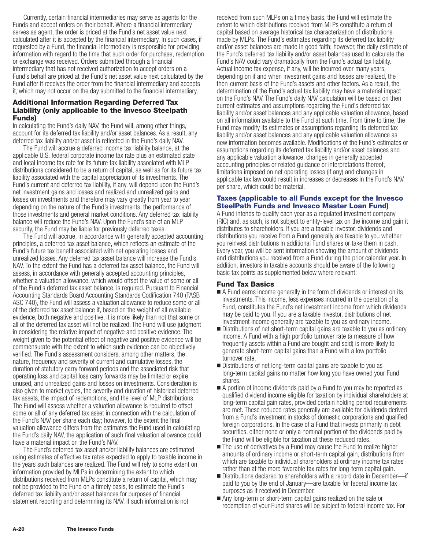Currently, certain financial intermediaries may serve as agents for the Funds and accept orders on their behalf. Where a financial intermediary serves as agent, the order is priced at the Fund's net asset value next calculated after it is accepted by the financial intermediary. In such cases, if requested by a Fund, the financial intermediary is responsible for providing information with regard to the time that such order for purchase, redemption or exchange was received. Orders submitted through a financial intermediary that has not received authorization to accept orders on a Fund's behalf are priced at the Fund's net asset value next calculated by the Fund after it receives the order from the financial intermediary and accepts it, which may not occur on the day submitted to the financial intermediary.

# **Additional Information Regarding Deferred Tax Liability (only applicable to the Invesco Steelpath Funds)**

In calculating the Fund's daily NAV, the Fund will, among other things, account for its deferred tax liability and/or asset balances. As a result, any deferred tax liability and/or asset is reflected in the Fund's daily NAV.

The Fund will accrue a deferred income tax liability balance, at the applicable U.S. federal corporate income tax rate plus an estimated state and local income tax rate for its future tax liability associated with MLP distributions considered to be a return of capital, as well as for its future tax liability associated with the capital appreciation of its investments. The Fund's current and deferred tax liability, if any, will depend upon the Fund's net investment gains and losses and realized and unrealized gains and losses on investments and therefore may vary greatly from year to year depending on the nature of the Fund's investments, the performance of those investments and general market conditions. Any deferred tax liability balance will reduce the Fund's NAV. Upon the Fund's sale of an MLP security, the Fund may be liable for previously deferred taxes.

The Fund will accrue, in accordance with generally accepted accounting principles, a deferred tax asset balance, which reflects an estimate of the Fund's future tax benefit associated with net operating losses and unrealized losses. Any deferred tax asset balance will increase the Fund's NAV. To the extent the Fund has a deferred tax asset balance, the Fund will assess, in accordance with generally accepted accounting principles, whether a valuation allowance, which would offset the value of some or all of the Fund's deferred tax asset balance, is required. Pursuant to Financial Accounting Standards Board Accounting Standards Codification 740 (FASB ASC 740), the Fund will assess a valuation allowance to reduce some or all of the deferred tax asset balance if, based on the weight of all available evidence, both negative and positive, it is more likely than not that some or all of the deferred tax asset will not be realized. The Fund will use judgment in considering the relative impact of negative and positive evidence. The weight given to the potential effect of negative and positive evidence will be commensurate with the extent to which such evidence can be objectively verified. The Fund's assessment considers, among other matters, the nature, frequency and severity of current and cumulative losses, the duration of statutory carry forward periods and the associated risk that operating loss and capital loss carry forwards may be limited or expire unused, and unrealized gains and losses on investments. Consideration is also given to market cycles, the severity and duration of historical deferred tax assets, the impact of redemptions, and the level of MLP distributions. The Fund will assess whether a valuation allowance is required to offset some or all of any deferred tax asset in connection with the calculation of the Fund's NAV per share each day; however, to the extent the final valuation allowance differs from the estimates the Fund used in calculating the Fund's daily NAV, the application of such final valuation allowance could have a material impact on the Fund's NAV.

The Fund's deferred tax asset and/or liability balances are estimated using estimates of effective tax rates expected to apply to taxable income in the years such balances are realized. The Fund will rely to some extent on information provided by MLPs in determining the extent to which distributions received from MLPs constitute a return of capital, which may not be provided to the Fund on a timely basis, to estimate the Fund's deferred tax liability and/or asset balances for purposes of financial statement reporting and determining its NAV. If such information is not

received from such MLPs on a timely basis, the Fund will estimate the extent to which distributions received from MLPs constitute a return of capital based on average historical tax characterization of distributions made by MLPs. The Fund's estimates regarding its deferred tax liability and/or asset balances are made in good faith; however, the daily estimate of the Fund's deferred tax liability and/or asset balances used to calculate the Fund's NAV could vary dramatically from the Fund's actual tax liability. Actual income tax expense, if any, will be incurred over many years, depending on if and when investment gains and losses are realized, the then-current basis of the Fund's assets and other factors. As a result, the determination of the Fund's actual tax liability may have a material impact on the Fund's NAV. The Fund's daily NAV calculation will be based on then current estimates and assumptions regarding the Fund's deferred tax liability and/or asset balances and any applicable valuation allowance, based on all information available to the Fund at such time. From time to time, the Fund may modify its estimates or assumptions regarding its deferred tax liability and/or asset balances and any applicable valuation allowance as new information becomes available. Modifications of the Fund's estimates or assumptions regarding its deferred tax liability and/or asset balances and any applicable valuation allowance, changes in generally accepted accounting principles or related guidance or interpretations thereof, limitations imposed on net operating losses (if any) and changes in applicable tax law could result in increases or decreases in the Fund's NAV per share, which could be material.

# **Taxes (applicable to all Funds except for the Invesco SteelPath Funds and Invesco Master Loan Fund)**

A Fund intends to qualify each year as a regulated investment company (RIC) and, as such, is not subject to entity-level tax on the income and gain it distributes to shareholders. If you are a taxable investor, dividends and distributions you receive from a Fund generally are taxable to you whether you reinvest distributions in additional Fund shares or take them in cash. Every year, you will be sent information showing the amount of dividends and distributions you received from a Fund during the prior calendar year. In addition, investors in taxable accounts should be aware of the following basic tax points as supplemented below where relevant:

# **Fund Tax Basics**

- A Fund earns income generally in the form of dividends or interest on its investments. This income, less expenses incurred in the operation of a Fund, constitutes the Fund's net investment income from which dividends may be paid to you. If you are a taxable investor, distributions of net investment income generally are taxable to you as ordinary income.
- Distributions of net short-term capital gains are taxable to you as ordinary income. A Fund with a high portfolio turnover rate (a measure of how frequently assets within a Fund are bought and sold) is more likely to generate short-term capital gains than a Fund with a low portfolio turnover rate.
- **Distributions of net long-term capital gains are taxable to you as** long-term capital gains no matter how long you have owned your Fund shares.
- A portion of income dividends paid by a Fund to you may be reported as qualified dividend income eligible for taxation by individual shareholders at long-term capital gain rates, provided certain holding period requirements are met. These reduced rates generally are available for dividends derived from a Fund's investment in stocks of domestic corporations and qualified foreign corporations. In the case of a Fund that invests primarily in debt securities, either none or only a nominal portion of the dividends paid by the Fund will be eligible for taxation at these reduced rates.
- The use of derivatives by a Fund may cause the Fund to realize higher amounts of ordinary income or short-term capital gain, distributions from which are taxable to individual shareholders at ordinary income tax rates rather than at the more favorable tax rates for long-term capital gain.
- Distributions declared to shareholders with a record date in December—if paid to you by the end of January—are taxable for federal income tax purposes as if received in December.
- Any long-term or short-term capital gains realized on the sale or redemption of your Fund shares will be subject to federal income tax. For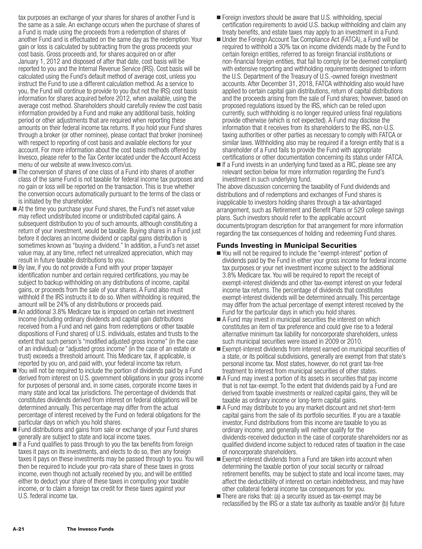tax purposes an exchange of your shares for shares of another Fund is the same as a sale. An exchange occurs when the purchase of shares of a Fund is made using the proceeds from a redemption of shares of another Fund and is effectuated on the same day as the redemption. Your gain or loss is calculated by subtracting from the gross proceeds your cost basis. Gross proceeds and, for shares acquired on or after January 1, 2012 and disposed of after that date, cost basis will be reported to you and the Internal Revenue Service (IRS). Cost basis will be calculated using the Fund's default method of average cost, unless you instruct the Fund to use a different calculation method. As a service to you, the Fund will continue to provide to you (but not the IRS) cost basis information for shares acquired before 2012, when available, using the average cost method. Shareholders should carefully review the cost basis information provided by a Fund and make any additional basis, holding period or other adjustments that are required when reporting these amounts on their federal income tax returns. If you hold your Fund shares through a broker (or other nominee), please contact that broker (nominee) with respect to reporting of cost basis and available elections for your account. For more information about the cost basis methods offered by Invesco, please refer to the Tax Center located under the Account Access menu of our website at www.Invesco.com/us.

- The conversion of shares of one class of a Fund into shares of another class of the same Fund is not taxable for federal income tax purposes and no gain or loss will be reported on the transaction. This is true whether the conversion occurs automatically pursuant to the terms of the class or is initiated by the shareholder.
- At the time you purchase your Fund shares, the Fund's net asset value may reflect undistributed income or undistributed capital gains. A subsequent distribution to you of such amounts, although constituting a return of your investment, would be taxable. Buying shares in a Fund just before it declares an income dividend or capital gains distribution is sometimes known as "buying a dividend." In addition, a Fund's net asset value may, at any time, reflect net unrealized appreciation, which may result in future taxable distributions to you.
- By law, if you do not provide a Fund with your proper taxpayer identification number and certain required certifications, you may be subject to backup withholding on any distributions of income, capital gains, or proceeds from the sale of your shares. A Fund also must withhold if the IRS instructs it to do so. When withholding is required, the amount will be 24% of any distributions or proceeds paid.
- An additional 3.8% Medicare tax is imposed on certain net investment income (including ordinary dividends and capital gain distributions received from a Fund and net gains from redemptions or other taxable dispositions of Fund shares) of U.S. individuals, estates and trusts to the extent that such person's "modified adjusted gross income" (in the case of an individual) or "adjusted gross income" (in the case of an estate or trust) exceeds a threshold amount. This Medicare tax, if applicable, is reported by you on, and paid with, your federal income tax return.
- You will not be required to include the portion of dividends paid by a Fund derived from interest on U.S. government obligations in your gross income for purposes of personal and, in some cases, corporate income taxes in many state and local tax jurisdictions. The percentage of dividends that constitutes dividends derived from interest on federal obligations will be determined annually. This percentage may differ from the actual percentage of interest received by the Fund on federal obligations for the particular days on which you hold shares.
- Fund distributions and gains from sale or exchange of your Fund shares generally are subject to state and local income taxes.
- If a Fund qualifies to pass through to you the tax benefits from foreign taxes it pays on its investments, and elects to do so, then any foreign taxes it pays on these investments may be passed through to you. You will then be required to include your pro-rata share of these taxes in gross income, even though not actually received by you, and will be entitled either to deduct your share of these taxes in computing your taxable income, or to claim a foreign tax credit for these taxes against your U.S. federal income tax.
- Foreign investors should be aware that U.S. withholding, special certification requirements to avoid U.S. backup withholding and claim any treaty benefits, and estate taxes may apply to an investment in a Fund.
- Under the Foreign Account Tax Compliance Act (FATCA), a Fund will be required to withhold a 30% tax on income dividends made by the Fund to certain foreign entities, referred to as foreign financial institutions or non-financial foreign entities, that fail to comply (or be deemed compliant) with extensive reporting and withholding requirements designed to inform the U.S. Department of the Treasury of U.S.-owned foreign investment accounts. After December 31, 2018, FATCA withholding also would have applied to certain capital gain distributions, return of capital distributions and the proceeds arising from the sale of Fund shares; however, based on proposed regulations issued by the IRS, which can be relied upon currently, such withholding is no longer required unless final regulations provide otherwise (which is not expected). A Fund may disclose the information that it receives from its shareholders to the IRS, non-U.S. taxing authorities or other parties as necessary to comply with FATCA or similar laws. Withholding also may be required if a foreign entity that is a shareholder of a Fund fails to provide the Fund with appropriate certifications or other documentation concerning its status under FATCA.
- If a Fund invests in an underlying fund taxed as a RIC, please see any relevant section below for more information regarding the Fund's investment in such underlying fund.

The above discussion concerning the taxability of Fund dividends and distributions and of redemptions and exchanges of Fund shares is inapplicable to investors holding shares through a tax-advantaged arrangement, such as Retirement and Benefit Plans or 529 college savings plans. Such investors should refer to the applicable account documents/program description for that arrangement for more information regarding the tax consequences of holding and redeeming Fund shares.

# **Funds Investing in Municipal Securities**

- You will not be required to include the "exempt-interest" portion of dividends paid by the Fund in either your gross income for federal income tax purposes or your net investment income subject to the additional 3.8% Medicare tax. You will be required to report the receipt of exempt-interest dividends and other tax-exempt interest on your federal income tax returns. The percentage of dividends that constitutes exempt-interest dividends will be determined annually. This percentage may differ from the actual percentage of exempt interest received by the Fund for the particular days in which you hold shares.
- A Fund may invest in municipal securities the interest on which constitutes an item of tax preference and could give rise to a federal alternative minimum tax liability for noncorporate shareholders, unless such municipal securities were issued in 2009 or 2010.
- Exempt-interest dividends from interest earned on municipal securities of a state, or its political subdivisions, generally are exempt from that state's personal income tax. Most states, however, do not grant tax-free treatment to interest from municipal securities of other states.
- A Fund may invest a portion of its assets in securities that pay income that is not tax-exempt. To the extent that dividends paid by a Fund are derived from taxable investments or realized capital gains, they will be taxable as ordinary income or long-term capital gains.
- A Fund may distribute to you any market discount and net short-term capital gains from the sale of its portfolio securities. If you are a taxable investor, Fund distributions from this income are taxable to you as ordinary income, and generally will neither qualify for the dividends-received deduction in the case of corporate shareholders nor as qualified dividend income subject to reduced rates of taxation in the case of noncorporate shareholders.
- Exempt-interest dividends from a Fund are taken into account when determining the taxable portion of your social security or railroad retirement benefits, may be subject to state and local income taxes, may affect the deductibility of interest on certain indebtedness, and may have other collateral federal income tax consequences for you.
- $\blacksquare$  There are risks that: (a) a security issued as tax-exempt may be reclassified by the IRS or a state tax authority as taxable and/or (b) future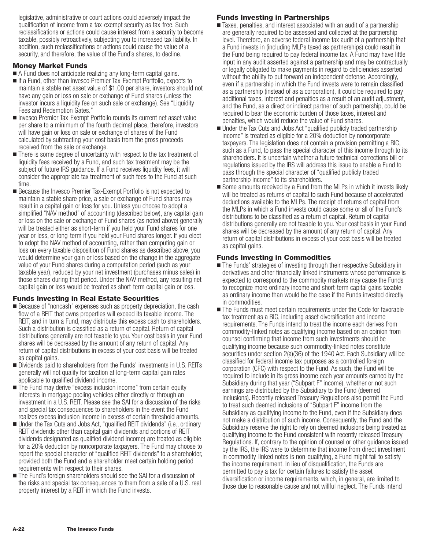legislative, administrative or court actions could adversely impact the qualification of income from a tax-exempt security as tax-free. Such reclassifications or actions could cause interest from a security to become taxable, possibly retroactively, subjecting you to increased tax liability. In addition, such reclassifications or actions could cause the value of a security, and therefore, the value of the Fund's shares, to decline.

# **Money Market Funds**

- A Fund does not anticipate realizing any long-term capital gains.
- If a Fund, other than Invesco Premier Tax-Exempt Portfolio, expects to maintain a stable net asset value of \$1.00 per share, investors should not have any gain or loss on sale or exchange of Fund shares (unless the investor incurs a liquidity fee on such sale or exchange). See "Liquidity Fees and Redemption Gates."
- Invesco Premier Tax-Exempt Portfolio rounds its current net asset value per share to a minimum of the fourth decimal place, therefore, investors will have gain or loss on sale or exchange of shares of the Fund calculated by subtracting your cost basis from the gross proceeds received from the sale or exchange.
- There is some degree of uncertainty with respect to the tax treatment of liquidity fees received by a Fund, and such tax treatment may be the subject of future IRS guidance. If a Fund receives liquidity fees, it will consider the appropriate tax treatment of such fees to the Fund at such time.
- **Because the Invesco Premier Tax-Exempt Portfolio is not expected to** maintain a stable share price, a sale or exchange of Fund shares may result in a capital gain or loss for you. Unless you choose to adopt a simplified "NAV method" of accounting (described below), any capital gain or loss on the sale or exchange of Fund shares (as noted above) generally will be treated either as short-term if you held your Fund shares for one year or less, or long-term if you held your Fund shares longer. If you elect to adopt the NAV method of accounting, rather than computing gain or loss on every taxable disposition of Fund shares as described above, you would determine your gain or loss based on the change in the aggregate value of your Fund shares during a computation period (such as your taxable year), reduced by your net investment (purchases minus sales) in those shares during that period. Under the NAV method, any resulting net capital gain or loss would be treated as short-term capital gain or loss.

#### **Funds Investing in Real Estate Securities**

- **Because of "noncash" expenses such as property depreciation, the cash** flow of a REIT that owns properties will exceed its taxable income. The REIT, and in turn a Fund, may distribute this excess cash to shareholders. Such a distribution is classified as a return of capital. Return of capital distributions generally are not taxable to you. Your cost basis in your Fund shares will be decreased by the amount of any return of capital. Any return of capital distributions in excess of your cost basis will be treated as capital gains.
- **Dividends paid to shareholders from the Funds' investments in U.S. REITs** generally will not qualify for taxation at long-term capital gain rates applicable to qualified dividend income.
- The Fund may derive "excess inclusion income" from certain equity interests in mortgage pooling vehicles either directly or through an investment in a U.S. REIT. Please see the SAI for a discussion of the risks and special tax consequences to shareholders in the event the Fund realizes excess inclusion income in excess of certain threshold amounts.
- Under the Tax Cuts and Jobs Act, "qualified REIT dividends" (i.e., ordinary REIT dividends other than capital gain dividends and portions of REIT dividends designated as qualified dividend income) are treated as eligible for a 20% deduction by noncorporate taxpayers. The Fund may choose to report the special character of "qualified REIT dividends" to a shareholder, provided both the Fund and a shareholder meet certain holding period requirements with respect to their shares.
- The Fund's foreign shareholders should see the SAI for a discussion of the risks and special tax consequences to them from a sale of a U.S. real property interest by a REIT in which the Fund invests.

# **Funds Investing in Partnerships**

- Taxes, penalties, and interest associated with an audit of a partnership are generally required to be assessed and collected at the partnership level. Therefore, an adverse federal income tax audit of a partnership that a Fund invests in (including MLPs taxed as partnerships) could result in the Fund being required to pay federal income tax. A Fund may have little input in any audit asserted against a partnership and may be contractually or legally obligated to make payments in regard to deficiencies asserted without the ability to put forward an independent defense. Accordingly, even if a partnership in which the Fund invests were to remain classified as a partnership (instead of as a corporation), it could be required to pay additional taxes, interest and penalties as a result of an audit adjustment, and the Fund, as a direct or indirect partner of such partnership, could be required to bear the economic burden of those taxes, interest and penalties, which would reduce the value of Fund shares.
- Under the Tax Cuts and Jobs Act "qualified publicly traded partnership income" is treated as eligible for a 20% deduction by noncorporate taxpayers. The legislation does not contain a provision permitting a RIC, such as a Fund, to pass the special character of this income through to its shareholders. It is uncertain whether a future technical corrections bill or regulations issued by the IRS will address this issue to enable a Fund to pass through the special character of "qualified publicly traded partnership income" to its shareholders.
- Some amounts received by a Fund from the MLPs in which it invests likely will be treated as returns of capital to such Fund because of accelerated deductions available to the MLPs. The receipt of returns of capital from the MLPs in which a Fund invests could cause some or all of the Fund's distributions to be classified as a return of capital. Return of capital distributions generally are not taxable to you. Your cost basis in your Fund shares will be decreased by the amount of any return of capital. Any return of capital distributions in excess of your cost basis will be treated as capital gains.

# **Funds Investing in Commodities**

- The Funds' strategies of investing through their respective Subsidiary in derivatives and other financially linked instruments whose performance is expected to correspond to the commodity markets may cause the Funds to recognize more ordinary income and short-term capital gains taxable as ordinary income than would be the case if the Funds invested directly in commodities.
- The Funds must meet certain requirements under the Code for favorable tax treatment as a RIC, including asset diversification and income requirements. The Funds intend to treat the income each derives from commodity-linked notes as qualifying income based on an opinion from counsel confirming that income from such investments should be qualifying income because such commodity-linked notes constitute securities under section 2(a)(36) of the 1940 Act. Each Subsidiary will be classified for federal income tax purposes as a controlled foreign corporation (CFC) with respect to the Fund. As such, the Fund will be required to include in its gross income each year amounts earned by the Subsidiary during that year ("Subpart F" income), whether or not such earnings are distributed by the Subsidiary to the Fund (deemed inclusions). Recently released Treasury Regulations also permit the Fund to treat such deemed inclusions of "Subpart F" income from the Subsidiary as qualifying income to the Fund, even if the Subsidiary does not make a distribution of such income. Consequently, the Fund and the Subsidiary reserve the right to rely on deemed inclusions being treated as qualifying income to the Fund consistent with recently released Treasury Regulations. If, contrary to the opinion of counsel or other guidance issued by the IRS, the IRS were to determine that income from direct investment in commodity-linked notes is non-qualifying, a Fund might fail to satisfy the income requirement. In lieu of disqualification, the Funds are permitted to pay a tax for certain failures to satisfy the asset diversification or income requirements, which, in general, are limited to those due to reasonable cause and not willful neglect. The Funds intend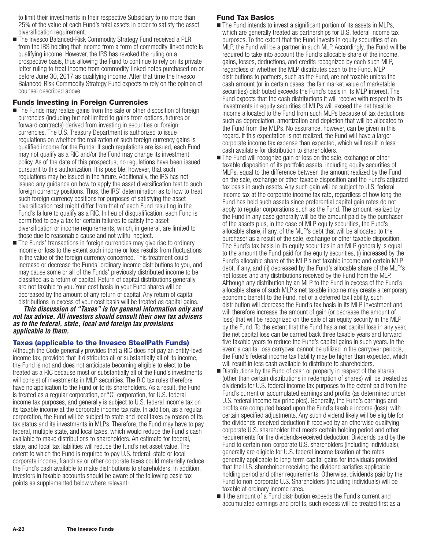to limit their investments in their respective Subsidiary to no more than 25% of the value of each Fund's total assets in order to satisfy the asset diversification requirement.

■ The Invesco Balanced-Risk Commodity Strategy Fund received a PLR from the IRS holding that income from a form of commodity-linked note is qualifying income. However, the IRS has revoked the ruling on a prospective basis, thus allowing the Fund to continue to rely on its private letter ruling to treat income from commodity-linked notes purchased on or before June 30, 2017 as qualifying income. After that time the Invesco Balanced-Risk Commodity Strategy Fund expects to rely on the opinion of counsel described above.

# **Funds Investing in Foreign Currencies**

- Ine Funds may realize gains from the sale or other disposition of foreign currencies (including but not limited to gains from options, futures or forward contracts) derived from investing in securities or foreign currencies. The U.S. Treasury Department is authorized to issue regulations on whether the realization of such foreign currency gains is qualified income for the Funds. If such regulations are issued, each Fund may not qualify as a RIC and/or the Fund may change its investment policy. As of the date of this prospectus, no regulations have been issued pursuant to this authorization. It is possible, however, that such regulations may be issued in the future. Additionally, the IRS has not issued any guidance on how to apply the asset diversification test to such foreign currency positions. Thus, the IRS' determination as to how to treat such foreign currency positions for purposes of satisfying the asset diversification test might differ from that of each Fund resulting in the Fund's failure to qualify as a RIC. In lieu of disqualification, each Fund is permitted to pay a tax for certain failures to satisfy the asset diversification or income requirements, which, in general, are limited to those due to reasonable cause and not willful neglect.
- The Funds' transactions in foreign currencies may give rise to ordinary income or loss to the extent such income or loss results from fluctuations in the value of the foreign currency concerned. This treatment could increase or decrease the Funds' ordinary income distributions to you, and may cause some or all of the Funds' previously distributed income to be classified as a return of capital. Return of capital distributions generally are not taxable to you. Your cost basis in your Fund shares will be decreased by the amount of any return of capital. Any return of capital distributions in excess of your cost basis will be treated as capital gains.

*This discussion of "Taxes" is for general information only and not tax advice. All investors should consult their own tax advisers as to the federal, state, local and foreign tax provisions applicable to them.*

#### **Taxes (applicable to the Invesco SteelPath Funds)**

Although the Code generally provides that a RIC does not pay an entity-level income tax, provided that it distributes all or substantially all of its income, the Fund is not and does not anticipate becoming eligible to elect to be treated as a RIC because most or substantially all of the Fund's investments will consist of investments in MLP securities. The RIC tax rules therefore have no application to the Fund or to its shareholders. As a result, the Fund is treated as a regular corporation, or "C" corporation, for U.S. federal income tax purposes, and generally is subject to U.S. federal income tax on its taxable income at the corporate income tax rate. In addition, as a regular corporation, the Fund will be subject to state and local taxes by reason of its tax status and its investments in MLPs. Therefore, the Fund may have to pay federal, multiple state, and local taxes, which would reduce the Fund's cash available to make distributions to shareholders. An estimate for federal, state, and local tax liabilities will reduce the fund's net asset value. The extent to which the Fund is required to pay U.S. federal, state or local corporate income, franchise or other corporate taxes could materially reduce the Fund's cash available to make distributions to shareholders. In addition, investors in taxable accounts should be aware of the following basic tax points as supplemented below where relevant:

# **Fund Tax Basics**

- If The Fund intends to invest a significant portion of its assets in MLPs, which are generally treated as partnerships for U.S. federal income tax purposes. To the extent that the Fund invests in equity securities of an MLP, the Fund will be a partner in such MLP. Accordingly, the Fund will be required to take into account the Fund's allocable share of the income, gains, losses, deductions, and credits recognized by each such MLP, regardless of whether the MLP distributes cash to the Fund. MLP distributions to partners, such as the Fund, are not taxable unless the cash amount (or in certain cases, the fair market value of marketable securities) distributed exceeds the Fund's basis in its MLP interest. The Fund expects that the cash distributions it will receive with respect to its investments in equity securities of MLPs will exceed the net taxable income allocated to the Fund from such MLPs because of tax deductions such as depreciation, amortization and depletion that will be allocated to the Fund from the MLPs. No assurance, however, can be given in this regard. If this expectation is not realized, the Fund will have a larger corporate income tax expense than expected, which will result in less cash available for distribution to shareholders.
- The Fund will recognize gain or loss on the sale, exchange or other taxable disposition of its portfolio assets, including equity securities of MLPs, equal to the difference between the amount realized by the Fund on the sale, exchange or other taxable disposition and the Fund's adjusted tax basis in such assets. Any such gain will be subject to U.S. federal income tax at the corporate income tax rate, regardless of how long the Fund has held such assets since preferential capital gain rates do not apply to regular corporations such as the Fund. The amount realized by the Fund in any case generally will be the amount paid by the purchaser of the assets plus, in the case of MLP equity securities, the Fund's allocable share, if any, of the MLP's debt that will be allocated to the purchaser as a result of the sale, exchange or other taxable disposition. The Fund's tax basis in its equity securities in an MLP generally is equal to the amount the Fund paid for the equity securities, (i) increased by the Fund's allocable share of the MLP's net taxable income and certain MLP debt, if any, and (ii) decreased by the Fund's allocable share of the MLP's net losses and any distributions received by the Fund from the MLP. Although any distribution by an MLP to the Fund in excess of the Fund's allocable share of such MLP's net taxable income may create a temporary economic benefit to the Fund, net of a deferred tax liability, such distribution will decrease the Fund's tax basis in its MLP investment and will therefore increase the amount of gain (or decrease the amount of loss) that will be recognized on the sale of an equity security in the MLP by the Fund. To the extent that the Fund has a net capital loss in any year, the net capital loss can be carried back three taxable years and forward five taxable years to reduce the Fund's capital gains in such years. In the event a capital loss carryover cannot be utilized in the carryover periods, the Fund's federal income tax liability may be higher than expected, which will result in less cash available to distribute to shareholders.
- **Distributions by the Fund of cash or property in respect of the shares** (other than certain distributions in redemption of shares) will be treated as dividends for U.S. federal income tax purposes to the extent paid from the Fund's current or accumulated earnings and profits (as determined under U.S. federal income tax principles). Generally, the Fund's earnings and profits are computed based upon the Fund's taxable income (loss), with certain specified adjustments. Any such dividend likely will be eligible for the dividends-received deduction if received by an otherwise qualifying corporate U.S. shareholder that meets certain holding period and other requirements for the dividends-received deduction. Dividends paid by the Fund to certain non-corporate U.S. shareholders (including individuals), generally are eligible for U.S. federal income taxation at the rates generally applicable to long-term capital gains for individuals provided that the U.S. shareholder receiving the dividend satisfies applicable holding period and other requirements. Otherwise, dividends paid by the Fund to non-corporate U.S. Shareholders (including individuals) will be taxable at ordinary income rates.
- If the amount of a Fund distribution exceeds the Fund's current and accumulated earnings and profits, such excess will be treated first as a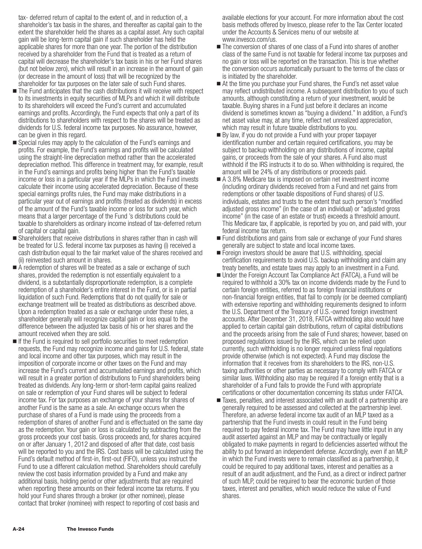tax- deferred return of capital to the extent of, and in reduction of, a shareholder's tax basis in the shares, and thereafter as capital gain to the extent the shareholder held the shares as a capital asset. Any such capital gain will be long-term capital gain if such shareholder has held the applicable shares for more than one year. The portion of the distribution received by a shareholder from the Fund that is treated as a return of capital will decrease the shareholder's tax basis in his or her Fund shares (but not below zero), which will result in an increase in the amount of gain (or decrease in the amount of loss) that will be recognized by the shareholder for tax purposes on the later sale of such Fund shares.

- The Fund anticipates that the cash distributions it will receive with respect to its investments in equity securities of MLPs and which it will distribute to its shareholders will exceed the Fund's current and accumulated earnings and profits. Accordingly, the Fund expects that only a part of its distributions to shareholders with respect to the shares will be treated as dividends for U.S. federal income tax purposes. No assurance, however, can be given in this regard.
- **Special rules may apply to the calculation of the Fund's earnings and** profits. For example, the Fund's earnings and profits will be calculated using the straight-line depreciation method rather than the accelerated depreciation method. This difference in treatment may, for example, result in the Fund's earnings and profits being higher than the Fund's taxable income or loss in a particular year if the MLPs in which the Fund invests calculate their income using accelerated depreciation. Because of these special earnings profits rules, the Fund may make distributions in a particular year out of earnings and profits (treated as dividends) in excess of the amount of the Fund's taxable income or loss for such year, which means that a larger percentage of the Fund 's distributions could be taxable to shareholders as ordinary income instead of tax-deferred return of capital or capital gain.
- Shareholders that receive distributions in shares rather than in cash will be treated for U.S. federal income tax purposes as having (i) received a cash distribution equal to the fair market value of the shares received and (ii) reinvested such amount in shares.
- A redemption of shares will be treated as a sale or exchange of such shares, provided the redemption is not essentially equivalent to a dividend, is a substantially disproportionate redemption, is a complete redemption of a shareholder's entire interest in the Fund, or is in partial liquidation of such Fund. Redemptions that do not qualify for sale or exchange treatment will be treated as distributions as described above. Upon a redemption treated as a sale or exchange under these rules, a shareholder generally will recognize capital gain or loss equal to the difference between the adjusted tax basis of his or her shares and the amount received when they are sold.
- If the Fund is required to sell portfolio securities to meet redemption requests, the Fund may recognize income and gains for U.S. federal, state and local income and other tax purposes, which may result in the imposition of corporate income or other taxes on the Fund and may increase the Fund's current and accumulated earnings and profits, which will result in a greater portion of distributions to Fund shareholders being treated as dividends. Any long-term or short-term capital gains realized on sale or redemption of your Fund shares will be subject to federal income tax. For tax purposes an exchange of your shares for shares of another Fund is the same as a sale. An exchange occurs when the purchase of shares of a Fund is made using the proceeds from a redemption of shares of another Fund and is effectuated on the same day as the redemption. Your gain or loss is calculated by subtracting from the gross proceeds your cost basis. Gross proceeds and, for shares acquired on or after January 1, 2012 and disposed of after that date, cost basis will be reported to you and the IRS. Cost basis will be calculated using the Fund's default method of first-in, first-out (FIFO), unless you instruct the Fund to use a different calculation method. Shareholders should carefully review the cost basis information provided by a Fund and make any additional basis, holding period or other adjustments that are required when reporting these amounts on their federal income tax returns. If you hold your Fund shares through a broker (or other nominee), please contact that broker (nominee) with respect to reporting of cost basis and

available elections for your account. For more information about the cost basis methods offered by Invesco, please refer to the Tax Center located under the Accounts & Services menu of our website at www.invesco.com/us.

- The conversion of shares of one class of a Fund into shares of another class of the same Fund is not taxable for federal income tax purposes and no gain or loss will be reported on the transaction. This is true whether the conversion occurs automatically pursuant to the terms of the class or is initiated by the shareholder.
- At the time you purchase your Fund shares, the Fund's net asset value may reflect undistributed income. A subsequent distribution to you of such amounts, although constituting a return of your investment, would be taxable. Buying shares in a Fund just before it declares an income dividend is sometimes known as "buying a dividend." In addition, a Fund's net asset value may, at any time, reflect net unrealized appreciation, which may result in future taxable distributions to you.
- $\blacksquare$  By law, if you do not provide a Fund with your proper taxpayer identification number and certain required certifications, you may be subject to backup withholding on any distributions of income, capital gains, or proceeds from the sale of your shares. A Fund also must withhold if the IRS instructs it to do so. When withholding is required, the amount will be 24% of any distributions or proceeds paid.
- A 3.8% Medicare tax is imposed on certain net investment income (including ordinary dividends received from a Fund and net gains from redemptions or other taxable dispositions of Fund shares) of U.S. individuals, estates and trusts to the extent that such person's "modified adjusted gross income" (in the case of an individual) or "adjusted gross income" (in the case of an estate or trust) exceeds a threshold amount. This Medicare tax, if applicable, is reported by you on, and paid with, your federal income tax return.
- Fund distributions and gains from sale or exchange of your Fund shares generally are subject to state and local income taxes.
- Foreign investors should be aware that U.S. withholding, special certification requirements to avoid U.S. backup withholding and claim any treaty benefits, and estate taxes may apply to an investment in a Fund.
- Under the Foreign Account Tax Compliance Act (FATCA), a Fund will be required to withhold a 30% tax on income dividends made by the Fund to certain foreign entities, referred to as foreign financial institutions or non-financial foreign entities, that fail to comply (or be deemed compliant) with extensive reporting and withholding requirements designed to inform the U.S. Department of the Treasury of U.S.-owned foreign investment accounts. After December 31, 2018, FATCA withholding also would have applied to certain capital gain distributions, return of capital distributions and the proceeds arising from the sale of Fund shares; however, based on proposed regulations issued by the IRS, which can be relied upon currently, such withholding is no longer required unless final regulations provide otherwise (which is not expected). A Fund may disclose the information that it receives from its shareholders to the IRS, non-U.S. taxing authorities or other parties as necessary to comply with FATCA or similar laws. Withholding also may be required if a foreign entity that is a shareholder of a Fund fails to provide the Fund with appropriate certifications or other documentation concerning its status under FATCA.
- Taxes, penalties, and interest associated with an audit of a partnership are generally required to be assessed and collected at the partnership level. Therefore, an adverse federal income tax audit of an MLP taxed as a partnership that the Fund invests in could result in the Fund being required to pay federal income tax. The Fund may have little input in any audit asserted against an MLP and may be contractually or legally obligated to make payments in regard to deficiencies asserted without the ability to put forward an independent defense. Accordingly, even if an MLP in which the Fund invests were to remain classified as a partnership, it could be required to pay additional taxes, interest and penalties as a result of an audit adjustment, and the Fund, as a direct or indirect partner of such MLP, could be required to bear the economic burden of those taxes, interest and penalties, which would reduce the value of Fund shares.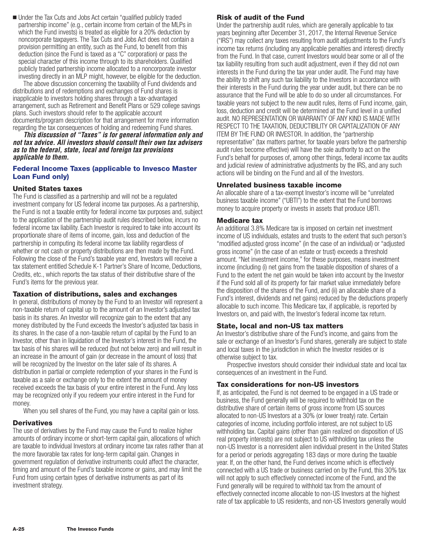**Under the Tax Cuts and Jobs Act certain "qualified publicly traded** partnership income" (e.g., certain income from certain of the MLPs in which the Fund invests) is treated as eligible for a 20% deduction by noncorporate taxpayers. The Tax Cuts and Jobs Act does not contain a provision permitting an entity, such as the Fund, to benefit from this deduction (since the Fund is taxed as a "C" corporation) or pass the special character of this income through to its shareholders. Qualified publicly traded partnership income allocated to a noncorporate investor investing directly in an MLP might, however, be eligible for the deduction.

The above discussion concerning the taxability of Fund dividends and distributions and of redemptions and exchanges of Fund shares is inapplicable to investors holding shares through a tax-advantaged arrangement, such as Retirement and Benefit Plans or 529 college savings plans. Such investors should refer to the applicable account documents/program description for that arrangement for more information regarding the tax consequences of holding and redeeming Fund shares.

*This discussion of "Taxes" is for general information only and not tax advice. All investors should consult their own tax advisers as to the federal, state, local and foreign tax provisions applicable to them.*

# **Federal Income Taxes (applicable to Invesco Master Loan Fund only)**

# **United States taxes**

The Fund is classified as a partnership and will not be a regulated investment company for US federal income tax purposes. As a partnership, the Fund is not a taxable entity for federal income tax purposes and, subject to the application of the partnership audit rules described below, incurs no federal income tax liability. Each Investor is required to take into account its proportionate share of items of income, gain, loss and deduction of the partnership in computing its federal income tax liability regardless of whether or not cash or property distributions are then made by the Fund. Following the close of the Fund's taxable year end, Investors will receive a tax statement entitled Schedule K-1 Partner's Share of Income, Deductions, Credits, etc., which reports the tax status of their distributive share of the Fund's items for the previous year.

#### **Taxation of distributions, sales and exchanges**

In general, distributions of money by the Fund to an Investor will represent a non-taxable return of capital up to the amount of an Investor's adjusted tax basis in its shares. An Investor will recognize gain to the extent that any money distributed by the Fund exceeds the Investor's adjusted tax basis in its shares. In the case of a non-taxable return of capital by the Fund to an Investor, other than in liquidation of the Investor's interest in the Fund, the tax basis of his shares will be reduced (but not below zero) and will result in an increase in the amount of gain (or decrease in the amount of loss) that will be recognized by the Investor on the later sale of its shares. A distribution in partial or complete redemption of your shares in the Fund is taxable as a sale or exchange only to the extent the amount of money received exceeds the tax basis of your entire interest in the Fund. Any loss may be recognized only if you redeem your entire interest in the Fund for money.

When you sell shares of the Fund, you may have a capital gain or loss.

#### **Derivatives**

The use of derivatives by the Fund may cause the Fund to realize higher amounts of ordinary income or short-term capital gain, allocations of which are taxable to individual Investors at ordinary income tax rates rather than at the more favorable tax rates for long-term capital gain. Changes in government regulation of derivative instruments could affect the character, timing and amount of the Fund's taxable income or gains, and may limit the Fund from using certain types of derivative instruments as part of its investment strategy.

# **Risk of audit of the Fund**

Under the partnership audit rules, which are generally applicable to tax years beginning after December 31, 2017, the Internal Revenue Service ("IRS") may collect any taxes resulting from audit adjustments to the Fund's income tax returns (including any applicable penalties and interest) directly from the Fund. In that case, current Investors would bear some or all of the tax liability resulting from such audit adjustment, even if they did not own interests in the Fund during the tax year under audit. The Fund may have the ability to shift any such tax liability to the Investors in accordance with their interests in the Fund during the year under audit, but there can be no assurance that the Fund will be able to do so under all circumstances. For taxable years not subject to the new audit rules, items of Fund income, gain, loss, deduction and credit will be determined at the Fund level in a unified audit. NO REPRESENTATION OR WARRANTY OF ANY KIND IS MADE WITH RESPECT TO THE TAXATION, DEDUCTIBILITY OR CAPITALIZATION OF ANY ITEM BY THE FUND OR INVESTOR. In addition, the "partnership representative" (tax matters partner, for taxable years before the partnership audit rules become effective) will have the sole authority to act on the Fund's behalf for purposes of, among other things, federal income tax audits and judicial review of administrative adjustments by the IRS, and any such actions will be binding on the Fund and all of the Investors.

### **Unrelated business taxable income**

An allocable share of a tax-exempt Investor's income will be "unrelated business taxable income" ("UBTI") to the extent that the Fund borrows money to acquire property or invests in assets that produce UBTI.

#### **Medicare tax**

An additional 3.8% Medicare tax is imposed on certain net investment income of US individuals, estates and trusts to the extent that such person's "modified adjusted gross income" (in the case of an individual) or "adjusted gross income" (in the case of an estate or trust) exceeds a threshold amount. "Net investment income," for these purposes, means investment income (including (i) net gains from the taxable disposition of shares of a Fund to the extent the net gain would be taken into account by the Investor if the Fund sold all of its property for fair market value immediately before the disposition of the shares of the Fund, and (ii) an allocable share of a Fund's interest, dividends and net gains) reduced by the deductions properly allocable to such income. This Medicare tax, if applicable, is reported by Investors on, and paid with, the Investor's federal income tax return.

# **State, local and non-US tax matters**

An Investor's distributive share of the Fund's income, and gains from the sale or exchange of an Investor's Fund shares, generally are subject to state and local taxes in the jurisdiction in which the Investor resides or is otherwise subject to tax.

Prospective investors should consider their individual state and local tax consequences of an investment in the Fund.

# **Tax considerations for non-US investors**

If, as anticipated, the Fund is not deemed to be engaged in a US trade or business, the Fund generally will be required to withhold tax on the distributive share of certain items of gross income from US sources allocated to non-US Investors at a 30% (or lower treaty) rate. Certain categories of income, including portfolio interest, are not subject to US withholding tax. Capital gains (other than gain realized on disposition of US real property interests) are not subject to US withholding tax unless the non-US Investor is a nonresident alien individual present in the United States for a period or periods aggregating 183 days or more during the taxable year. If, on the other hand, the Fund derives income which is effectively connected with a US trade or business carried on by the Fund, this 30% tax will not apply to such effectively connected income of the Fund, and the Fund generally will be required to withhold tax from the amount of effectively connected income allocable to non-US Investors at the highest rate of tax applicable to US residents, and non-US Investors generally would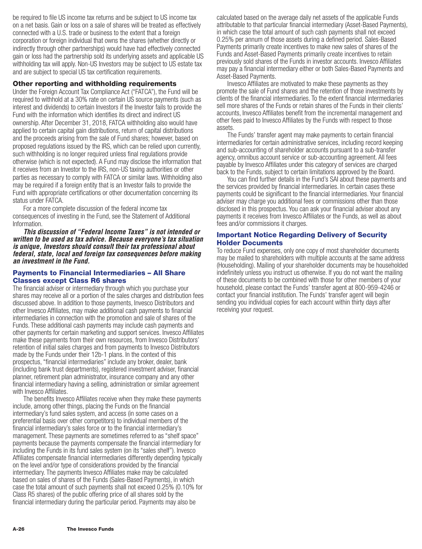be required to file US income tax returns and be subject to US income tax on a net basis. Gain or loss on a sale of shares will be treated as effectively connected with a U.S. trade or business to the extent that a foreign corporation or foreign individual that owns the shares (whether directly or indirectly through other partnerships) would have had effectively connected gain or loss had the partnership sold its underlying assets and applicable US withholding tax will apply. Non-US Investors may be subject to US estate tax and are subject to special US tax certification requirements.

#### **Other reporting and withholding requirements**

Under the Foreign Account Tax Compliance Act ("FATCA"), the Fund will be required to withhold at a 30% rate on certain US source payments (such as interest and dividends) to certain Investors if the Investor fails to provide the Fund with the information which identifies its direct and indirect US ownership. After December 31, 2018, FATCA withholding also would have applied to certain capital gain distributions, return of capital distributions and the proceeds arising from the sale of Fund shares; however, based on proposed regulations issued by the IRS, which can be relied upon currently, such withholding is no longer required unless final regulations provide otherwise (which is not expected). A Fund may disclose the information that it receives from an Investor to the IRS, non-US taxing authorities or other parties as necessary to comply with FATCA or similar laws. Withholding also may be required if a foreign entity that is an Investor fails to provide the Fund with appropriate certifications or other documentation concerning its status under FATCA.

For a more complete discussion of the federal income tax consequences of investing in the Fund, see the Statement of Additional Information.

*This discussion of "Federal Income Taxes" is not intended or written to be used as tax advice. Because everyone's tax situation is unique, Investors should consult their tax professional about federal, state, local and foreign tax consequences before making an investment in the Fund.*

#### **Payments to Financial Intermediaries – All Share Classes except Class R6 shares**

The financial adviser or intermediary through which you purchase your shares may receive all or a portion of the sales charges and distribution fees discussed above. In addition to those payments, Invesco Distributors and other Invesco Affiliates, may make additional cash payments to financial intermediaries in connection with the promotion and sale of shares of the Funds. These additional cash payments may include cash payments and other payments for certain marketing and support services. Invesco Affiliates make these payments from their own resources, from Invesco Distributors' retention of initial sales charges and from payments to Invesco Distributors made by the Funds under their 12b-1 plans. In the context of this prospectus, "financial intermediaries" include any broker, dealer, bank (including bank trust departments), registered investment adviser, financial planner, retirement plan administrator, insurance company and any other financial intermediary having a selling, administration or similar agreement with Invesco Affiliates.

The benefits Invesco Affiliates receive when they make these payments include, among other things, placing the Funds on the financial intermediary's fund sales system, and access (in some cases on a preferential basis over other competitors) to individual members of the financial intermediary's sales force or to the financial intermediary's management. These payments are sometimes referred to as "shelf space" payments because the payments compensate the financial intermediary for including the Funds in its fund sales system (on its "sales shelf"). Invesco Affiliates compensate financial intermediaries differently depending typically on the level and/or type of considerations provided by the financial intermediary. The payments Invesco Affiliates make may be calculated based on sales of shares of the Funds (Sales-Based Payments), in which case the total amount of such payments shall not exceed 0.25% (0.10% for Class R5 shares) of the public offering price of all shares sold by the financial intermediary during the particular period. Payments may also be

calculated based on the average daily net assets of the applicable Funds attributable to that particular financial intermediary (Asset-Based Payments), in which case the total amount of such cash payments shall not exceed 0.25% per annum of those assets during a defined period. Sales-Based Payments primarily create incentives to make new sales of shares of the Funds and Asset-Based Payments primarily create incentives to retain previously sold shares of the Funds in investor accounts. Invesco Affiliates may pay a financial intermediary either or both Sales-Based Payments and Asset-Based Payments.

Invesco Affiliates are motivated to make these payments as they promote the sale of Fund shares and the retention of those investments by clients of the financial intermediaries. To the extent financial intermediaries sell more shares of the Funds or retain shares of the Funds in their clients' accounts, Invesco Affiliates benefit from the incremental management and other fees paid to Invesco Affiliates by the Funds with respect to those assets.

The Funds' transfer agent may make payments to certain financial intermediaries for certain administrative services, including record keeping and sub-accounting of shareholder accounts pursuant to a sub-transfer agency, omnibus account service or sub-accounting agreement. All fees payable by Invesco Affiliates under this category of services are charged back to the Funds, subject to certain limitations approved by the Board.

You can find further details in the Fund's SAI about these payments and the services provided by financial intermediaries. In certain cases these payments could be significant to the financial intermediaries. Your financial adviser may charge you additional fees or commissions other than those disclosed in this prospectus. You can ask your financial adviser about any payments it receives from Invesco Affiliates or the Funds, as well as about fees and/or commissions it charges.

#### **Important Notice Regarding Delivery of Security Holder Documents**

To reduce Fund expenses, only one copy of most shareholder documents may be mailed to shareholders with multiple accounts at the same address (Householding). Mailing of your shareholder documents may be householded indefinitely unless you instruct us otherwise. If you do not want the mailing of these documents to be combined with those for other members of your household, please contact the Funds' transfer agent at 800-959-4246 or contact your financial institution. The Funds' transfer agent will begin sending you individual copies for each account within thirty days after receiving your request.